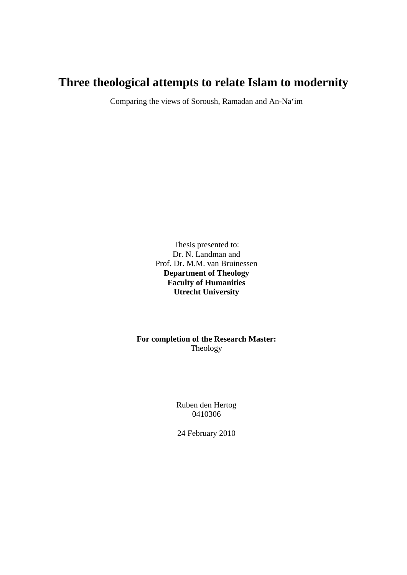# **Three theological attempts to relate Islam to modernity**

Comparing the views of Soroush, Ramadan and An-Na'im

Thesis presented to: Dr. N. Landman and Prof. Dr. M.M. van Bruinessen **Department of Theology Faculty of Humanities Utrecht University** 

**For completion of the Research Master:**  Theology

> Ruben den Hertog 0410306

24 February 2010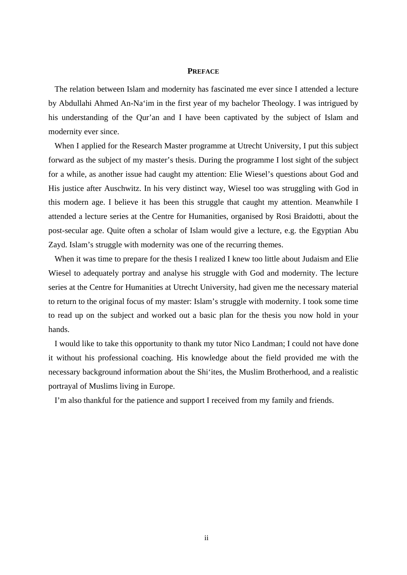#### **PREFACE**

<span id="page-1-0"></span>The relation between Islam and modernity has fascinated me ever since I attended a lecture by Abdullahi Ahmed An-Na'im in the first year of my bachelor Theology. I was intrigued by his understanding of the Qur'an and I have been captivated by the subject of Islam and modernity ever since.

When I applied for the Research Master programme at Utrecht University, I put this subject forward as the subject of my master's thesis. During the programme I lost sight of the subject for a while, as another issue had caught my attention: Elie Wiesel's questions about God and His justice after Auschwitz. In his very distinct way, Wiesel too was struggling with God in this modern age. I believe it has been this struggle that caught my attention. Meanwhile I attended a lecture series at the Centre for Humanities, organised by Rosi Braidotti, about the post-secular age. Quite often a scholar of Islam would give a lecture, e.g. the Egyptian Abu Zayd. Islam's struggle with modernity was one of the recurring themes.

When it was time to prepare for the thesis I realized I knew too little about Judaism and Elie Wiesel to adequately portray and analyse his struggle with God and modernity. The lecture series at the Centre for Humanities at Utrecht University, had given me the necessary material to return to the original focus of my master: Islam's struggle with modernity. I took some time to read up on the subject and worked out a basic plan for the thesis you now hold in your hands.

I would like to take this opportunity to thank my tutor Nico Landman; I could not have done it without his professional coaching. His knowledge about the field provided me with the necessary background information about the Shi'ites, the Muslim Brotherhood, and a realistic portrayal of Muslims living in Europe.

I'm also thankful for the patience and support I received from my family and friends.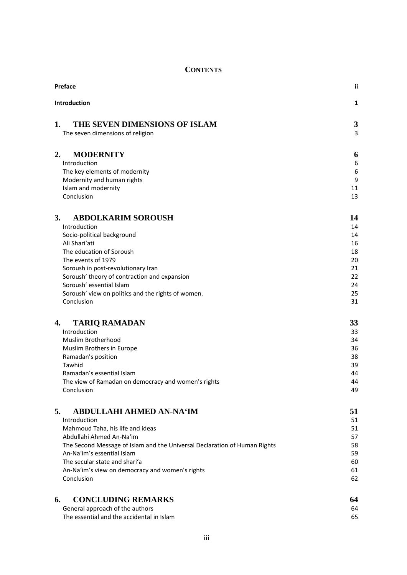## **CONTENTS**

| Preface                                                                   | ij       |
|---------------------------------------------------------------------------|----------|
| Introduction                                                              | 1        |
| THE SEVEN DIMENSIONS OF ISLAM<br>1.<br>The seven dimensions of religion   | 3<br>3   |
| <b>MODERNITY</b><br>2.                                                    | 6        |
| Introduction                                                              | 6        |
| The key elements of modernity                                             | 6        |
| Modernity and human rights                                                | 9        |
| Islam and modernity                                                       | 11       |
| Conclusion                                                                | 13       |
| <b>ABDOLKARIM SOROUSH</b><br>3.                                           | 14       |
| Introduction                                                              | 14       |
| Socio-political background                                                | 14       |
| Ali Shari'ati                                                             | 16       |
| The education of Soroush                                                  | 18       |
| The events of 1979                                                        | 20       |
| Soroush in post-revolutionary Iran                                        | 21<br>22 |
| Soroush' theory of contraction and expansion<br>Soroush' essential Islam  | 24       |
| Soroush' view on politics and the rights of women.                        | 25       |
| Conclusion                                                                | 31       |
| <b>TARIQ RAMADAN</b><br>4.                                                | 33       |
| Introduction                                                              | 33       |
| Muslim Brotherhood                                                        | 34       |
| Muslim Brothers in Europe                                                 | 36       |
| Ramadan's position                                                        | 38       |
| Tawhid                                                                    | 39       |
| Ramadan's essential Islam                                                 | 44       |
| The view of Ramadan on democracy and women's rights                       | 44       |
| Conclusion                                                                | 49       |
| <b>ABDULLAHI AHMED AN-NA'IM</b><br>5.                                     | 51       |
| Introduction                                                              | 51       |
| Mahmoud Taha, his life and ideas                                          | 51       |
| Abdullahi Ahmed An-Na'im                                                  | 57       |
| The Second Message of Islam and the Universal Declaration of Human Rights | 58       |
| An-Na'im's essential Islam<br>The secular state and shari'a               | 59       |
| An-Na'im's view on democracy and women's rights                           | 60<br>61 |
| Conclusion                                                                | 62       |
| <b>CONCLUDING REMARKS</b><br>6.                                           | 64       |
| General approach of the authors                                           | 64       |
| The essential and the accidental in Islam                                 | 65       |
|                                                                           |          |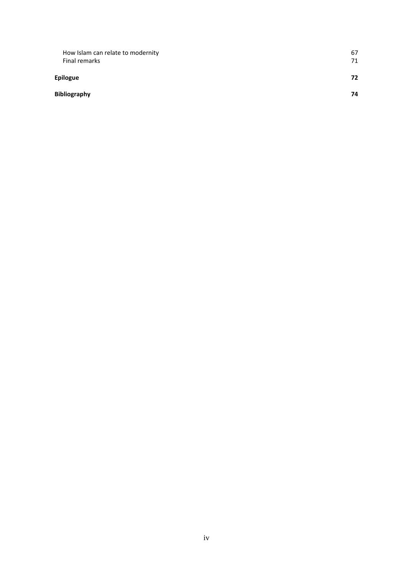| How Islam can relate to modernity | 67 |
|-----------------------------------|----|
| Final remarks                     | 71 |
| <b>Epilogue</b>                   | 72 |
| <b>Bibliography</b>               | 74 |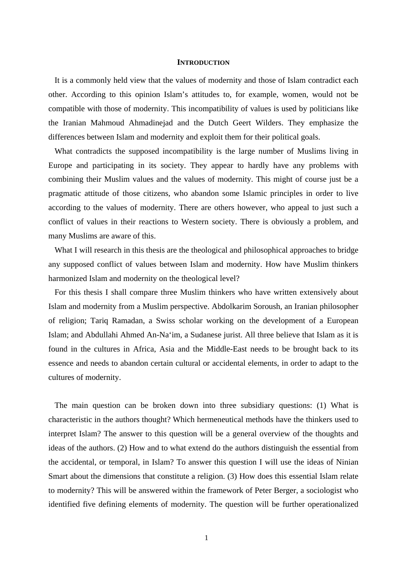#### **INTRODUCTION**

<span id="page-4-0"></span>It is a commonly held view that the values of modernity and those of Islam contradict each other. According to this opinion Islam's attitudes to, for example, women, would not be compatible with those of modernity. This incompatibility of values is used by politicians like the Iranian Mahmoud Ahmadinejad and the Dutch Geert Wilders. They emphasize the differences between Islam and modernity and exploit them for their political goals.

What contradicts the supposed incompatibility is the large number of Muslims living in Europe and participating in its society. They appear to hardly have any problems with combining their Muslim values and the values of modernity. This might of course just be a pragmatic attitude of those citizens, who abandon some Islamic principles in order to live according to the values of modernity. There are others however, who appeal to just such a conflict of values in their reactions to Western society. There is obviously a problem, and many Muslims are aware of this.

What I will research in this thesis are the theological and philosophical approaches to bridge any supposed conflict of values between Islam and modernity. How have Muslim thinkers harmonized Islam and modernity on the theological level?

For this thesis I shall compare three Muslim thinkers who have written extensively about Islam and modernity from a Muslim perspective. Abdolkarim Soroush, an Iranian philosopher of religion; Tariq Ramadan, a Swiss scholar working on the development of a European Islam; and Abdullahi Ahmed An-Na'im, a Sudanese jurist. All three believe that Islam as it is found in the cultures in Africa, Asia and the Middle-East needs to be brought back to its essence and needs to abandon certain cultural or accidental elements, in order to adapt to the cultures of modernity.

The main question can be broken down into three subsidiary questions: (1) What is characteristic in the authors thought? Which hermeneutical methods have the thinkers used to interpret Islam? The answer to this question will be a general overview of the thoughts and ideas of the authors. (2) How and to what extend do the authors distinguish the essential from the accidental, or temporal, in Islam? To answer this question I will use the ideas of Ninian Smart about the dimensions that constitute a religion. (3) How does this essential Islam relate to modernity? This will be answered within the framework of Peter Berger, a sociologist who identified five defining elements of modernity. The question will be further operationalized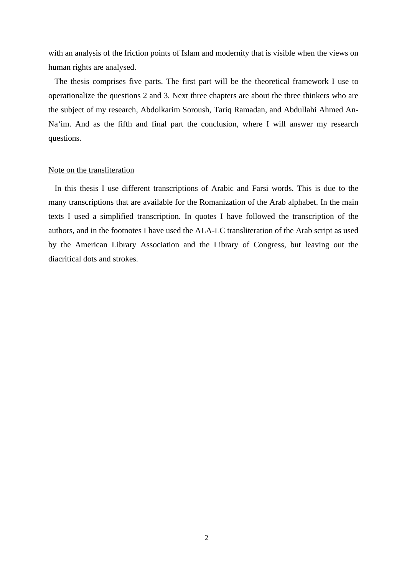with an analysis of the friction points of Islam and modernity that is visible when the views on human rights are analysed.

The thesis comprises five parts. The first part will be the theoretical framework I use to operationalize the questions 2 and 3. Next three chapters are about the three thinkers who are the subject of my research, Abdolkarim Soroush, Tariq Ramadan, and Abdullahi Ahmed An-Na'im. And as the fifth and final part the conclusion, where I will answer my research questions.

#### Note on the transliteration

In this thesis I use different transcriptions of Arabic and Farsi words. This is due to the many transcriptions that are available for the Romanization of the Arab alphabet. In the main texts I used a simplified transcription. In quotes I have followed the transcription of the authors, and in the footnotes I have used the ALA-LC transliteration of the Arab script as used by the American Library Association and the Library of Congress, but leaving out the diacritical dots and strokes.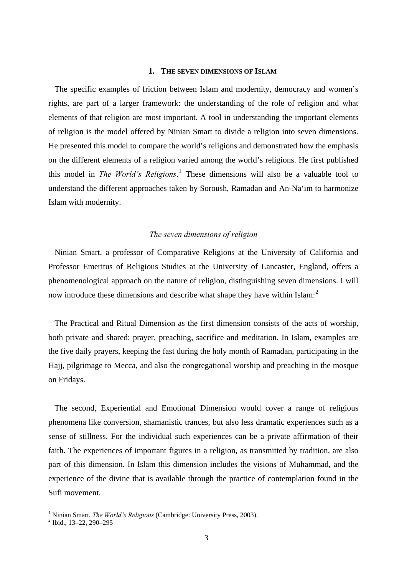#### **1. THE SEVEN DIMENSIONS OF ISLAM**

<span id="page-6-0"></span>The specific examples of friction between Islam and modernity, democracy and women's rights, are part of a larger framework: the understanding of the role of religion and what elements of that religion are most important. A tool in understanding the important elements of religion is the model offered by Ninian Smart to divide a religion into seven dimensions. He presented this model to compare the world's religions and demonstrated how the emphasis on the different elements of a religion varied among the world's religions. He first published this model in *The World's Religions*. [1](#page-6-1) These dimensions will also be a valuable tool to understand the different approaches taken by Soroush, Ramadan and An-Na'im to harmonize Islam with modernity.

## *The seven dimensions of religion*

Ninian Smart, a professor of Comparative Religions at the University of California and Professor Emeritus of Religious Studies at the [University of Lancaster](http://www.bbc.co.uk/dna/h2g2/A2149805), England, offers a phenomenological approach on the nature of religion, distinguishing seven dimensions. I will now introduce these dimensions and describe what shape they have within Islam: $2$ 

The Practical and Ritual Dimension as the first dimension consists of the acts of worship, both private and shared: prayer, preaching, sacrifice and meditation. In Islam, examples are the five daily prayers, keeping the fast during the holy month of Ramadan, participating in the Hajj, pilgrimage to Mecca, and also the congregational worship and preaching in the mosque on Fridays.

The second, Experiential and Emotional Dimension would cover a range of religious phenomena like conversion, shamanistic trances, but also less dramatic experiences such as a sense of stillness. For the individual such experiences can be a private affirmation of their faith. The experiences of important figures in a religion, as transmitted by tradition, are also part of this dimension. In Islam this dimension includes the visions of Muhammad, and the experience of the divine that is available through the practice of contemplation found in the Sufi movement.

 $\frac{1}{1}$  N <sup>1</sup> Ninian Smart, *The World's Religions* (Cambridge: University Press, 2003).

<span id="page-6-2"></span><span id="page-6-1"></span> $\frac{2}{1}$  Ibid., 13–22, 290–295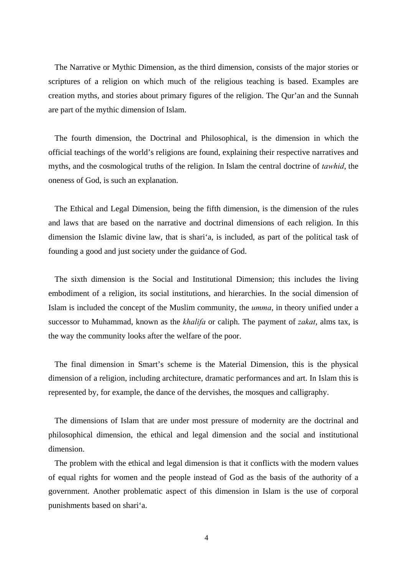The Narrative or Mythic Dimension, as the third dimension, consists of the major stories or scriptures of a religion on which much of the religious teaching is based. Examples are creation myths, and stories about primary figures of the religion. The Qur'an and the Sunnah are part of the mythic dimension of Islam.

The fourth dimension, the Doctrinal and Philosophical, is the dimension in which the official teachings of the world's religions are found, explaining their respective narratives and myths, and the cosmological truths of the religion. In Islam the central doctrine of *tawhid*, the oneness of God, is such an explanation.

The Ethical and Legal Dimension, being the fifth dimension, is the dimension of the rules and laws that are based on the narrative and doctrinal dimensions of each religion. In this dimension the Islamic divine law, that is shari'a, is included, as part of the political task of founding a good and just society under the guidance of God.

The sixth dimension is the Social and Institutional Dimension; this includes the living embodiment of a religion, its social institutions, and hierarchies. In the social dimension of Islam is included the concept of the Muslim community, the *umma*, in theory unified under a successor to Muhammad, known as the *khalifa* or caliph. The payment of *zakat*, alms tax, is the way the community looks after the welfare of the poor.

The final dimension in Smart's scheme is the Material Dimension, this is the physical dimension of a religion, including architecture, dramatic performances and art. In Islam this is represented by, for example, the dance of the dervishes, the mosques and calligraphy.

The dimensions of Islam that are under most pressure of modernity are the doctrinal and philosophical dimension, the ethical and legal dimension and the social and institutional dimension.

The problem with the ethical and legal dimension is that it conflicts with the modern values of equal rights for women and the people instead of God as the basis of the authority of a government. Another problematic aspect of this dimension in Islam is the use of corporal punishments based on shari'a.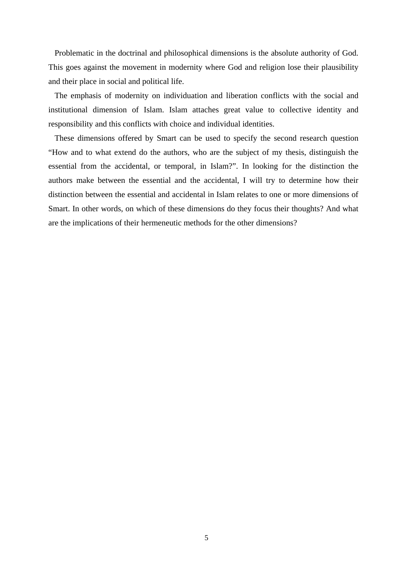Problematic in the doctrinal and philosophical dimensions is the absolute authority of God. This goes against the movement in modernity where God and religion lose their plausibility and their place in social and political life.

The emphasis of modernity on individuation and liberation conflicts with the social and institutional dimension of Islam. Islam attaches great value to collective identity and responsibility and this conflicts with choice and individual identities.

These dimensions offered by Smart can be used to specify the second research question "How and to what extend do the authors, who are the subject of my thesis, distinguish the essential from the accidental, or temporal, in Islam?". In looking for the distinction the authors make between the essential and the accidental, I will try to determine how their distinction between the essential and accidental in Islam relates to one or more dimensions of Smart. In other words, on which of these dimensions do they focus their thoughts? And what are the implications of their hermeneutic methods for the other dimensions?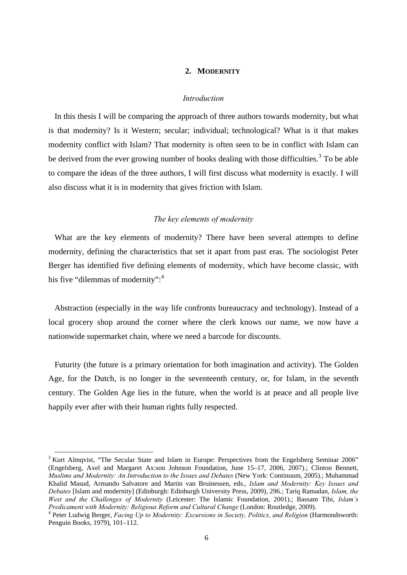## **2. MODERNITY**

#### *Introduction*

<span id="page-9-0"></span>In this thesis I will be comparing the approach of three authors towards modernity, but what is that modernity? Is it Western; secular; individual; technological? What is it that makes modernity conflict with Islam? That modernity is often seen to be in conflict with Islam can be derived from the ever growing number of books dealing with those difficulties.<sup>[3](#page-9-1)</sup> To be able to compare the ideas of the three authors, I will first discuss what modernity is exactly. I will also discuss what it is in modernity that gives friction with Islam.

## *The key elements of modernity*

What are the key elements of modernity? There have been several attempts to define modernity, defining the characteristics that set it apart from past eras. The sociologist Peter Berger has identified five defining elements of modernity, which have become classic, with his five "dilemmas of modernity":<sup>[4](#page-9-2)</sup>

Abstraction (especially in the way life confronts bureaucracy and technology). Instead of a local grocery shop around the corner where the clerk knows our name, we now have a nationwide supermarket chain, where we need a barcode for discounts.

Futurity (the future is a primary orientation for both imagination and activity). The Golden Age, for the Dutch, is no longer in the seventeenth century, or, for Islam, in the seventh century. The Golden Age lies in the future, when the world is at peace and all people live happily ever after with their human rights fully respected.

<span id="page-9-1"></span><sup>&</sup>lt;sup>3</sup> Kurt Almqvist, "The Secular State and Islam in Europe: Perspectives from the Engelsberg Seminar 2006" (Engelsberg, Axel and Margaret Ax:son Johnson Foundation, June 15–17, 2006, 2007).; Clinton Bennett, *Muslims and Modernity: An Introduction to the Issues and Debates* (New York: Continuum, 2005).; Muhammad Khalid Masud, Armando Salvatore and Martin van Bruinessen, eds., *Islam and Modernity: Key Issues and Debates* [Islam and modernity] (Edinburgh: Edinburgh University Press, 2009), 296.; Tariq Ramadan, *Islam, the West and the Challenges of Modernity* (Leicester: The Islamic Foundation, 2001).; Bassam Tibi, *Islam's Predicament with Modernity: Religious Reform and Cultural Change* (London: Routledge, 2009). 4

<span id="page-9-2"></span>Peter Ludwig Berger, *Facing Up to Modernity: Excursions in Society, Politics, and Religion* (Harmondsworth: Penguin Books, 1979), 101–112.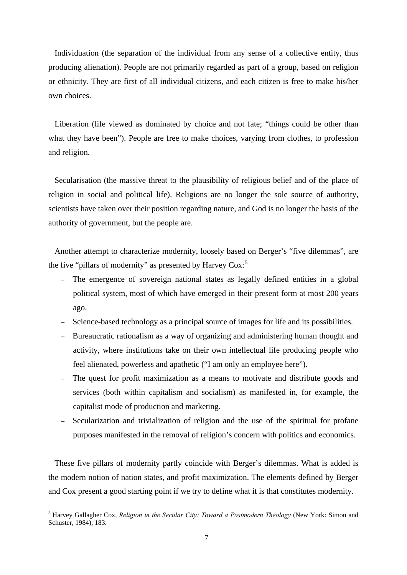Individuation (the separation of the individual from any sense of a collective entity, thus producing alienation). People are not primarily regarded as part of a group, based on religion or ethnicity. They are first of all individual citizens, and each citizen is free to make his/her own choices.

Liberation (life viewed as dominated by choice and not fate; "things could be other than what they have been"). People are free to make choices, varying from clothes, to profession and religion.

Secularisation (the massive threat to the plausibility of religious belief and of the place of religion in social and political life). Religions are no longer the sole source of authority, scientists have taken over their position regarding nature, and God is no longer the basis of the authority of government, but the people are.

Another attempt to characterize modernity, loosely based on Berger's "five dilemmas", are the five "pillars of modernity" as presented by Harvey  $\text{Cox:}^5$  $\text{Cox:}^5$ 

- The emergence of sovereign national states as legally defined entities in a global political system, most of which have emerged in their present form at most 200 years ago.
- Science-based technology as a principal source of images for life and its possibilities.
- Bureaucratic rationalism as a way of organizing and administering human thought and activity, where institutions take on their own intellectual life producing people who feel alienated, powerless and apathetic ("I am only an employee here").
- The quest for profit maximization as a means to motivate and distribute goods and services (both within capitalism and socialism) as manifested in, for example, the capitalist mode of production and marketing.
- Secularization and trivialization of religion and the use of the spiritual for profane purposes manifested in the removal of religion's concern with politics and economics.

These five pillars of modernity partly coincide with Berger's dilemmas. What is added is the modern notion of nation states, and profit maximization. The elements defined by Berger and Cox present a good starting point if we try to define what it is that constitutes modernity.

<span id="page-10-0"></span> <sup>5</sup> Harvey Gallagher Cox, *Religion in the Secular City: Toward a Postmodern Theology* (New York: Simon and Schuster, 1984), 183.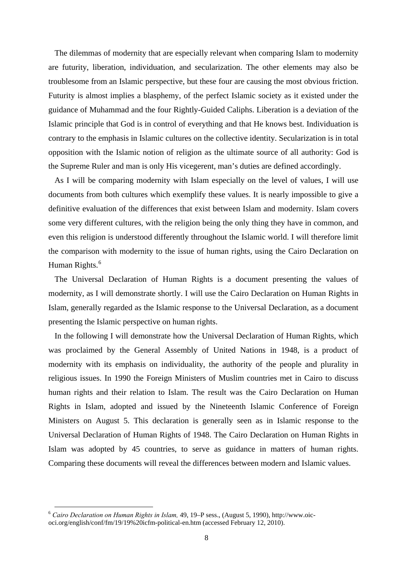The dilemmas of modernity that are especially relevant when comparing Islam to modernity are futurity, liberation, individuation, and secularization. The other elements may also be troublesome from an Islamic perspective, but these four are causing the most obvious friction. Futurity is almost implies a blasphemy, of the perfect Islamic society as it existed under the guidance of Muhammad and the four Rightly-Guided Caliphs. Liberation is a deviation of the Islamic principle that God is in control of everything and that He knows best. Individuation is contrary to the emphasis in Islamic cultures on the collective identity. Secularization is in total opposition with the Islamic notion of religion as the ultimate source of all authority: God is the Supreme Ruler and man is only His vicegerent, man's duties are defined accordingly.

As I will be comparing modernity with Islam especially on the level of values, I will use documents from both cultures which exemplify these values. It is nearly impossible to give a definitive evaluation of the differences that exist between Islam and modernity. Islam covers some very different cultures, with the religion being the only thing they have in common, and even this religion is understood differently throughout the Islamic world. I will therefore limit the comparison with modernity to the issue of human rights, using the Cairo Declaration on Human Rights.<sup>[6](#page-11-0)</sup>

The Universal Declaration of Human Rights is a document presenting the values of modernity, as I will demonstrate shortly. I will use the Cairo Declaration on Human Rights in Islam, generally regarded as the Islamic response to the Universal Declaration, as a document presenting the Islamic perspective on human rights.

In the following I will demonstrate how the Universal Declaration of Human Rights, which was proclaimed by the General Assembly of United Nations in 1948, is a product of modernity with its emphasis on individuality, the authority of the people and plurality in religious issues. In 1990 the Foreign Ministers of Muslim countries met in Cairo to discuss human rights and their relation to Islam. The result was the Cairo Declaration on Human Rights in Islam, adopted and issued by the Nineteenth Islamic Conference of Foreign Ministers on August 5. This declaration is generally seen as in Islamic response to the Universal Declaration of Human Rights of 1948. The Cairo Declaration on Human Rights in Islam was adopted by 45 countries, to serve as guidance in matters of human rights. Comparing these documents will reveal the differences between modern and Islamic values.

<span id="page-11-0"></span> <sup>6</sup> *Cairo Declaration on Human Rights in Islam,* 49, 19–P sess., (August 5, 1990), http://www.oicoci.org/english/conf/fm/19/19%20icfm-political-en.htm (accessed February 12, 2010).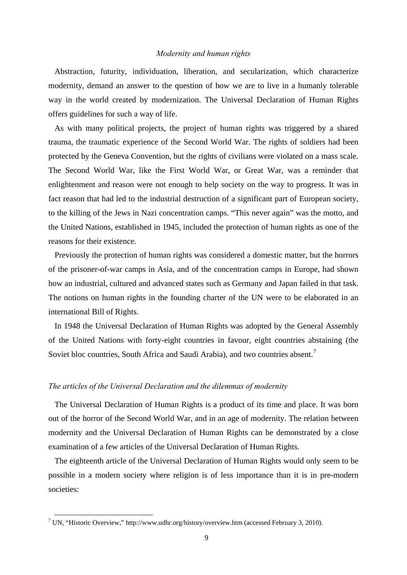#### *Modernity and human rights*

<span id="page-12-0"></span>Abstraction, futurity, individuation, liberation, and secularization, which characterize modernity, demand an answer to the question of how we are to live in a humanly tolerable way in the world created by modernization. The Universal Declaration of Human Rights offers guidelines for such a way of life.

As with many political projects, the project of human rights was triggered by a shared trauma, the traumatic experience of the Second World War. The rights of soldiers had been protected by the Geneva Convention, but the rights of civilians were violated on a mass scale. The Second World War, like the First World War, or Great War, was a reminder that enlightenment and reason were not enough to help society on the way to progress. It was in fact reason that had led to the industrial destruction of a significant part of European society, to the killing of the Jews in Nazi concentration camps. "This never again" was the motto, and the United Nations, established in 1945, included the protection of human rights as one of the reasons for their existence.

Previously the protection of human rights was considered a domestic matter, but the horrors of the prisoner-of-war camps in Asia, and of the concentration camps in Europe, had shown how an industrial, cultured and advanced states such as Germany and Japan failed in that task. The notions on human rights in the founding charter of the UN were to be elaborated in an international Bill of Rights.

In 1948 the Universal Declaration of Human Rights was adopted by the General Assembly of the United Nations with forty-eight countries in favour, eight countries abstaining (the Soviet bloc countries, South Africa and Saudi Arabia), and two countries absent.<sup>[7](#page-12-1)</sup>

## *The articles of the Universal Declaration and the dilemmas of modernity*

The Universal Declaration of Human Rights is a product of its time and place. It was born out of the horror of the Second World War, and in an age of modernity. The relation between modernity and the Universal Declaration of Human Rights can be demonstrated by a close examination of a few articles of the Universal Declaration of Human Rights.

The eighteenth article of the Universal Declaration of Human Rights would only seem to be possible in a modern society where religion is of less importance than it is in pre-modern societies:

<span id="page-12-1"></span> <sup>7</sup> UN, "Historic Overview," http://www.udhr.org/history/overview.htm (accessed February 3, 2010).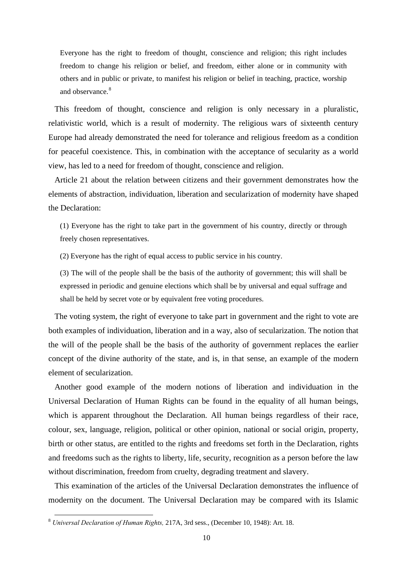Everyone has the right to freedom of thought, conscience and religion; this right includes freedom to change his religion or belief, and freedom, either alone or in community with others and in public or private, to manifest his religion or belief in teaching, practice, worship and observance.<sup>[8](#page-13-0)</sup>

This freedom of thought, conscience and religion is only necessary in a pluralistic, relativistic world, which is a result of modernity. The religious wars of sixteenth century Europe had already demonstrated the need for tolerance and religious freedom as a condition for peaceful coexistence. This, in combination with the acceptance of secularity as a world view, has led to a need for freedom of thought, conscience and religion.

Article 21 about the relation between citizens and their government demonstrates how the elements of abstraction, individuation, liberation and secularization of modernity have shaped the Declaration:

(1) Everyone has the right to take part in the government of his country, directly or through freely chosen representatives.

(2) Everyone has the right of equal access to public service in his country.

(3) The will of the people shall be the basis of the authority of government; this will shall be expressed in periodic and genuine elections which shall be by universal and equal suffrage and shall be held by secret vote or by equivalent free voting procedures.

The voting system, the right of everyone to take part in government and the right to vote are both examples of individuation, liberation and in a way, also of secularization. The notion that the will of the people shall be the basis of the authority of government replaces the earlier concept of the divine authority of the state, and is, in that sense, an example of the modern element of secularization.

Another good example of the modern notions of liberation and individuation in the Universal Declaration of Human Rights can be found in the equality of all human beings, which is apparent throughout the Declaration. All human beings regardless of their race, colour, sex, language, religion, political or other opinion, national or social origin, property, birth or other status, are entitled to the rights and freedoms set forth in the Declaration, rights and freedoms such as the rights to liberty, life, security, recognition as a person before the law without discrimination, freedom from cruelty, degrading treatment and slavery.

This examination of the articles of the Universal Declaration demonstrates the influence of modernity on the document. The Universal Declaration may be compared with its Islamic

<span id="page-13-0"></span> <sup>8</sup> *Universal Declaration of Human Rights,* 217A, 3rd sess., (December 10, 1948): Art. 18.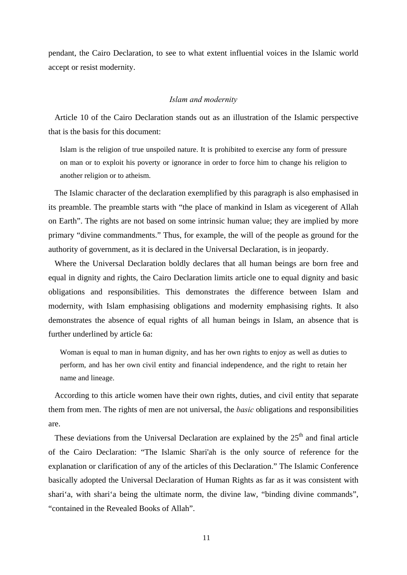<span id="page-14-0"></span>pendant, the Cairo Declaration, to see to what extent influential voices in the Islamic world accept or resist modernity.

#### *Islam and modernity*

Article 10 of the Cairo Declaration stands out as an illustration of the Islamic perspective that is the basis for this document:

Islam is the religion of true unspoiled nature. It is prohibited to exercise any form of pressure on man or to exploit his poverty or ignorance in order to force him to change his religion to another religion or to atheism.

The Islamic character of the declaration exemplified by this paragraph is also emphasised in its preamble. The preamble starts with "the place of mankind in Islam as vicegerent of Allah on Earth". The rights are not based on some intrinsic human value; they are implied by more primary "divine commandments." Thus, for example, the will of the people as ground for the authority of government, as it is declared in the Universal Declaration, is in jeopardy.

Where the Universal Declaration boldly declares that all human beings are born free and equal in dignity and rights, the Cairo Declaration limits article one to equal dignity and basic obligations and responsibilities. This demonstrates the difference between Islam and modernity, with Islam emphasising obligations and modernity emphasising rights. It also demonstrates the absence of equal rights of all human beings in Islam, an absence that is further underlined by article 6a:

Woman is equal to man in human dignity, and has her own rights to enjoy as well as duties to perform, and has her own civil entity and financial independence, and the right to retain her name and lineage.

According to this article women have their own rights, duties, and civil entity that separate them from men. The rights of men are not universal, the *basic* obligations and responsibilities are.

These deviations from the Universal Declaration are explained by the  $25<sup>th</sup>$  and final article of the Cairo Declaration: "The Islamic Shari'ah is the only source of reference for the explanation or clarification of any of the articles of this Declaration." The Islamic Conference basically adopted the Universal Declaration of Human Rights as far as it was consistent with shari'a, with shari'a being the ultimate norm, the divine law, "binding divine commands", "contained in the Revealed Books of Allah".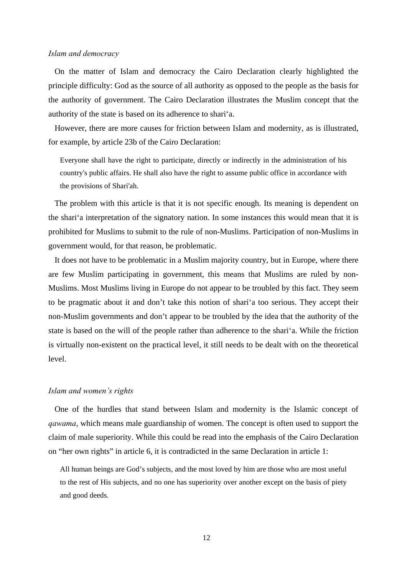#### *Islam and democracy*

On the matter of Islam and democracy the Cairo Declaration clearly highlighted the principle difficulty: God as the source of all authority as opposed to the people as the basis for the authority of government. The Cairo Declaration illustrates the Muslim concept that the authority of the state is based on its adherence to shari'a.

However, there are more causes for friction between Islam and modernity, as is illustrated, for example, by article 23b of the Cairo Declaration:

Everyone shall have the right to participate, directly or indirectly in the administration of his country's public affairs. He shall also have the right to assume public office in accordance with the provisions of Shari'ah.

The problem with this article is that it is not specific enough. Its meaning is dependent on the shari'a interpretation of the signatory nation. In some instances this would mean that it is prohibited for Muslims to submit to the rule of non-Muslims. Participation of non-Muslims in government would, for that reason, be problematic.

It does not have to be problematic in a Muslim majority country, but in Europe, where there are few Muslim participating in government, this means that Muslims are ruled by non-Muslims. Most Muslims living in Europe do not appear to be troubled by this fact. They seem to be pragmatic about it and don't take this notion of shari'a too serious. They accept their non-Muslim governments and don't appear to be troubled by the idea that the authority of the state is based on the will of the people rather than adherence to the shari'a. While the friction is virtually non-existent on the practical level, it still needs to be dealt with on the theoretical level.

#### *Islam and women's rights*

One of the hurdles that stand between Islam and modernity is the Islamic concept of *qawama*, which means male guardianship of women. The concept is often used to support the claim of male superiority. While this could be read into the emphasis of the Cairo Declaration on "her own rights" in article 6, it is contradicted in the same Declaration in article 1:

All human beings are God's subjects, and the most loved by him are those who are most useful to the rest of His subjects, and no one has superiority over another except on the basis of piety and good deeds.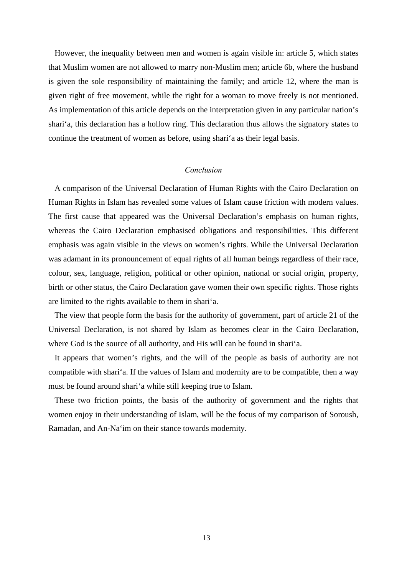<span id="page-16-0"></span>However, the inequality between men and women is again visible in: article 5, which states that Muslim women are not allowed to marry non-Muslim men; article 6b, where the husband is given the sole responsibility of maintaining the family; and article 12, where the man is given right of free movement, while the right for a woman to move freely is not mentioned. As implementation of this article depends on the interpretation given in any particular nation's shari'a, this declaration has a hollow ring. This declaration thus allows the signatory states to continue the treatment of women as before, using shari'a as their legal basis.

# *Conclusion*

A comparison of the Universal Declaration of Human Rights with the Cairo Declaration on Human Rights in Islam has revealed some values of Islam cause friction with modern values. The first cause that appeared was the Universal Declaration's emphasis on human rights, whereas the Cairo Declaration emphasised obligations and responsibilities. This different emphasis was again visible in the views on women's rights. While the Universal Declaration was adamant in its pronouncement of equal rights of all human beings regardless of their race, colour, sex, language, religion, political or other opinion, national or social origin, property, birth or other status, the Cairo Declaration gave women their own specific rights. Those rights are limited to the rights available to them in shari'a.

The view that people form the basis for the authority of government, part of article 21 of the Universal Declaration, is not shared by Islam as becomes clear in the Cairo Declaration, where God is the source of all authority, and His will can be found in shari'a.

It appears that women's rights, and the will of the people as basis of authority are not compatible with shari'a. If the values of Islam and modernity are to be compatible, then a way must be found around shari'a while still keeping true to Islam.

These two friction points, the basis of the authority of government and the rights that women enjoy in their understanding of Islam, will be the focus of my comparison of Soroush, Ramadan, and An-Na'im on their stance towards modernity.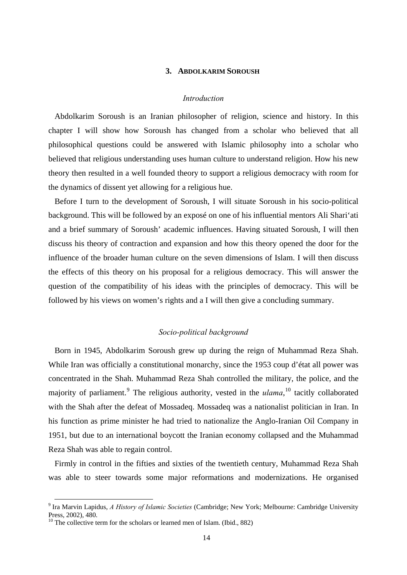## **3. ABDOLKARIM SOROUSH**

#### *Introduction*

<span id="page-17-0"></span>Abdolkarim Soroush is an Iranian philosopher of religion, science and history. In this chapter I will show how Soroush has changed from a scholar who believed that all philosophical questions could be answered with Islamic philosophy into a scholar who believed that religious understanding uses human culture to understand religion. How his new theory then resulted in a well founded theory to support a religious democracy with room for the dynamics of dissent yet allowing for a religious hue.

Before I turn to the development of Soroush, I will situate Soroush in his socio-political background. This will be followed by an exposé on one of his influential mentors Ali Shari'ati and a brief summary of Soroush' academic influences. Having situated Soroush, I will then discuss his theory of contraction and expansion and how this theory opened the door for the influence of the broader human culture on the seven dimensions of Islam. I will then discuss the effects of this theory on his proposal for a religious democracy. This will answer the question of the compatibility of his ideas with the principles of democracy. This will be followed by his views on women's rights and a I will then give a concluding summary.

# *Socio-political background*

Born in 1945, Abdolkarim Soroush grew up during the reign of Muhammad Reza Shah. While Iran was officially a constitutional monarchy, since the 1953 coup d'état all power was concentrated in the Shah. Muhammad Reza Shah controlled the military, the police, and the majority of parliament.<sup>[9](#page-17-1)</sup> The religious authority, vested in the *ulama*,<sup>[10](#page-17-2)</sup> tacitly collaborated with the Shah after the defeat of Mossadeq. Mossadeq was a nationalist politician in Iran. In his function as prime minister he had tried to nationalize the Anglo-Iranian Oil Company in 1951, but due to an international boycott the Iranian economy collapsed and the Muhammad Reza Shah was able to regain control.

Firmly in control in the fifties and sixties of the twentieth century, Muhammad Reza Shah was able to steer towards some major reformations and modernizations. He organised

<span id="page-17-1"></span> <sup>9</sup> Ira Marvin Lapidus, *A History of Islamic Societies* (Cambridge; New York; Melbourne: Cambridge University Press, 2002), 480.

<span id="page-17-2"></span><sup>&</sup>lt;sup>10</sup> The collective term for the scholars or learned men of Islam. (Ibid., 882)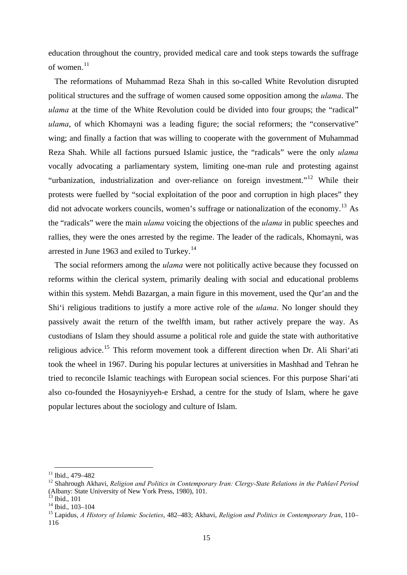education throughout the country, provided medical care and took steps towards the suffrage of women.<sup>[11](#page-18-0)</sup>

The reformations of Muhammad Reza Shah in this so-called White Revolution disrupted political structures and the suffrage of women caused some opposition among the *ulama*. The *ulama* at the time of the White Revolution could be divided into four groups; the "radical" *ulama*, of which Khomayni was a leading figure; the social reformers; the "conservative" wing; and finally a faction that was willing to cooperate with the government of Muhammad Reza Shah. While all factions pursued Islamic justice, the "radicals" were the only *ulama* vocally advocating a parliamentary system, limiting one-man rule and protesting against "urbanization, industrialization and over-reliance on foreign investment."<sup>[12](#page-18-1)</sup> While their protests were fuelled by "social exploitation of the poor and corruption in high places" they did not advocate workers councils, women's suffrage or nationalization of the economy.<sup>[13](#page-18-2)</sup> As the "radicals" were the main *ulama* voicing the objections of the *ulama* in public speeches and rallies, they were the ones arrested by the regime. The leader of the radicals, Khomayni, was arrested in June 1963 and exiled to Turkey.<sup>[14](#page-18-3)</sup>

The social reformers among the *ulama* were not politically active because they focussed on reforms within the clerical system, primarily dealing with social and educational problems within this system. Mehdi Bazargan, a main figure in this movement, used the Qur'an and the Shi'i religious traditions to justify a more active role of the *ulama*. No longer should they passively await the return of the twelfth imam, but rather actively prepare the way. As custodians of Islam they should assume a political role and guide the state with authoritative religious advice.<sup>[15](#page-18-4)</sup> This reform movement took a different direction when Dr. Ali Shari'ati took the wheel in 1967. During his popular lectures at universities in Mashhad and Tehran he tried to reconcile Islamic teachings with European social sciences. For this purpose Shari'ati also co-founded the Hosayniyyeh-e Ershad, a centre for the study of Islam, where he gave popular lectures about the sociology and culture of Islam.

<span id="page-18-0"></span> $11$  Ibid., 479-482

<span id="page-18-1"></span><sup>&</sup>lt;sup>12</sup> Shahrough Akhavi, *Religion and Politics in Contemporary Iran: Clergy-State Relations in the Pahlavī Period* (Albany: State University of New York Press, 1980), 101.

 $3$  Ibid.,  $101$ 

<span id="page-18-3"></span><span id="page-18-2"></span><sup>14</sup> Ibid., 103–104

<span id="page-18-4"></span><sup>15</sup> Lapidus, *A History of Islamic Societies*, 482–483; Akhavi, *Religion and Politics in Contemporary Iran*, 110– 116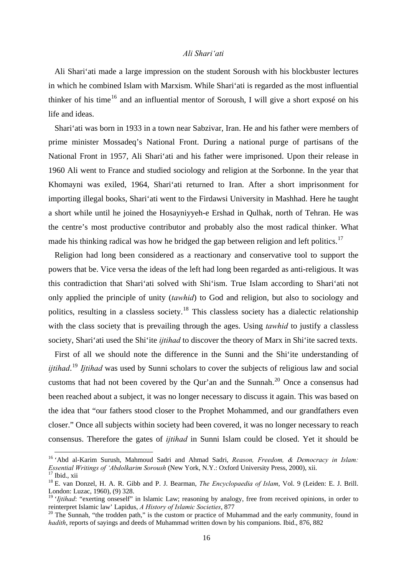## *Ali Shari'ati*

<span id="page-19-0"></span>Ali Shari'ati made a large impression on the student Soroush with his blockbuster lectures in which he combined Islam with Marxism. While Shari'ati is regarded as the most influential thinker of his time<sup>[16](#page-19-1)</sup> and an influential mentor of Soroush, I will give a short exposé on his life and ideas.

Shari'ati was born in 1933 in a town near Sabzivar, Iran. He and his father were members of prime minister Mossadeq's National Front. During a national purge of partisans of the National Front in 1957, Ali Shari'ati and his father were imprisoned. Upon their release in 1960 Ali went to France and studied sociology and religion at the Sorbonne. In the year that Khomayni was exiled, 1964, Shari'ati returned to Iran. After a short imprisonment for importing illegal books, Shari'ati went to the Firdawsi University in Mashhad. Here he taught a short while until he joined the Hosayniyyeh-e Ershad in Qulhak, north of Tehran. He was the centre's most productive contributor and probably also the most radical thinker. What made his thinking radical was how he bridged the gap between religion and left politics.<sup>[17](#page-19-2)</sup>

Religion had long been considered as a reactionary and conservative tool to support the powers that be. Vice versa the ideas of the left had long been regarded as anti-religious. It was this contradiction that Shari'ati solved with Shi'ism. True Islam according to Shari'ati not only applied the principle of unity (*tawhid*) to God and religion, but also to sociology and politics, resulting in a classless society.<sup>[18](#page-19-3)</sup> This classless society has a dialectic relationship with the class society that is prevailing through the ages. Using *tawhid* to justify a classless society, Shari'ati used the Shi'ite *ijtihad* to discover the theory of Marx in Shi'ite sacred texts.

First of all we should note the difference in the Sunni and the Shi'ite understanding of *ijtihad*. [19](#page-19-4) *Ijtihad* was used by Sunni scholars to cover the subjects of religious law and social customs that had not been covered by the Qur'an and the Sunnah.[20](#page-19-5) Once a consensus had been reached about a subject, it was no longer necessary to discuss it again. This was based on the idea that "our fathers stood closer to the Prophet Mohammed, and our grandfathers even closer." Once all subjects within society had been covered, it was no longer necessary to reach consensus. Therefore the gates of *ijtihad* in Sunni Islam could be closed. Yet it should be

1

<span id="page-19-1"></span><sup>16 &#</sup>x27;Abd al-Karim Surush, Mahmoud Sadri and Ahmad Sadri, *Reason, Freedom, & Democracy in Islam: Essential Writings of 'Abdolkarim Soroush* (New York, N.Y.: Oxford University Press, 2000), xii. 17 Ibid., xii

<span id="page-19-2"></span>

<span id="page-19-3"></span><sup>18</sup> E. van Donzel, H. A. R. Gibb and P. J. Bearman, *The Encyclopaedia of Islam*, Vol. 9 (Leiden: E. J. Brill. London: Luzac, 1960), (9) 328.

<span id="page-19-4"></span><sup>&</sup>lt;sup>19</sup> '*Ijtihad*: "exerting onseself" in Islamic Law; reasoning by analogy, free from received opinions, in order to reinterpret Islamic law' Lapidus, *A History of Islamic Societies*, 877<br><sup>20</sup> The Sunnah, "the trodden path," is the custom or practice of Muhammad and the early community, found in

<span id="page-19-5"></span>*hadith*, reports of sayings and deeds of Muhammad written down by his companions. Ibid., 876, 882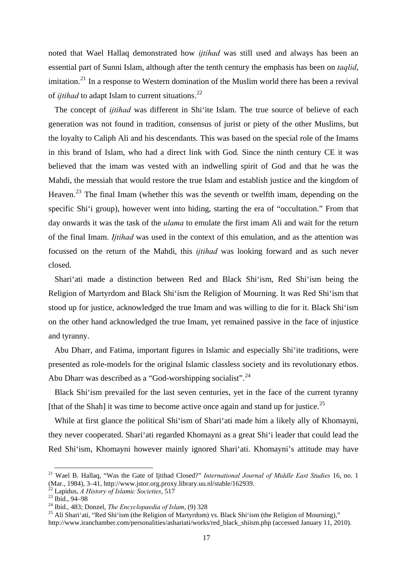noted that Wael Hallaq demonstrated how *ijtihad* was still used and always has been an essential part of Sunni Islam, although after the tenth century the emphasis has been on *taqlid*, imitation.<sup>[21](#page-20-0)</sup> In a response to Western domination of the Muslim world there has been a revival of *ijtihad* to adapt Islam to current situations.<sup>[22](#page-20-1)</sup>

The concept of *ijtihad* was different in Shi'ite Islam. The true source of believe of each generation was not found in tradition, consensus of jurist or piety of the other Muslims, but the loyalty to Caliph Ali and his descendants. This was based on the special role of the Imams in this brand of Islam, who had a direct link with God. Since the ninth century CE it was believed that the imam was vested with an indwelling spirit of God and that he was the Mahdi, the messiah that would restore the true Islam and establish justice and the kingdom of Heaven.<sup>[23](#page-20-2)</sup> The final Imam (whether this was the seventh or twelfth imam, depending on the specific Shi'i group), however went into hiding, starting the era of "occultation." From that day onwards it was the task of the *ulama* to emulate the first imam Ali and wait for the return of the final Imam. *Ijtihad* was used in the context of this emulation, and as the attention was focussed on the return of the Mahdi, this *ijtihad* was looking forward and as such never closed.

Shari'ati made a distinction between Red and Black Shi'ism, Red Shi'ism being the Religion of Martyrdom and Black Shi'ism the Religion of Mourning. It was Red Shi'ism that stood up for justice, acknowledged the true Imam and was willing to die for it. Black Shi'ism on the other hand acknowledged the true Imam, yet remained passive in the face of injustice and tyranny.

Abu Dharr, and Fatima, important figures in Islamic and especially Shi'ite traditions, were presented as role-models for the original Islamic classless society and its revolutionary ethos. Abu Dharr was described as a "God-worshipping socialist".<sup>[24](#page-20-3)</sup>

Black Shi'ism prevailed for the last seven centuries, yet in the face of the current tyranny [that of the Shah] it was time to become active once again and stand up for justice.<sup>[25](#page-20-4)</sup>

While at first glance the political Shi'ism of Shari'ati made him a likely ally of Khomayni, they never cooperated. Shari'ati regarded Khomayni as a great Shi'i leader that could lead the Red Shi'ism, Khomayni however mainly ignored Shari'ati. Khomayni's attitude may have

<span id="page-20-0"></span> <sup>21</sup> Wael B. Hallaq, "Was the Gate of Ijtihad Closed?" *International Journal of Middle East Studies* 16, no. 1 (Mar., 1984), 3–41, http://www.jstor.org.proxy.library.uu.nl/stable/162939.

<span id="page-20-2"></span><span id="page-20-1"></span>

<sup>&</sup>lt;sup>22</sup> Lapidus, *A History of Islamic Societies*, 517<br><sup>23</sup> Ibid., 94–98<br><sup>24</sup> Ibid., 483; Donzel, *The Encyclopaedia of Islam*, (9) 328

<span id="page-20-4"></span><span id="page-20-3"></span><sup>&</sup>lt;sup>25</sup> Ali Shari'ati, "Red Shi'ism (the Religion of Martyrdom) vs. Black Shi'ism (the Religion of Mourning)," http://www.iranchamber.com/personalities/ashariati/works/red\_black\_shiism.php (accessed January 11, 2010).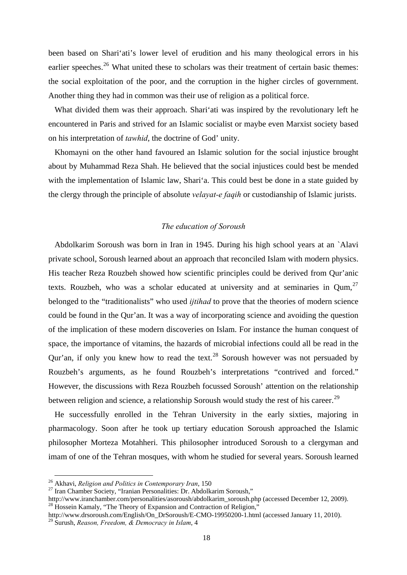<span id="page-21-0"></span>been based on Shari'ati's lower level of erudition and his many theological errors in his earlier speeches.<sup>[26](#page-21-1)</sup> What united these to scholars was their treatment of certain basic themes: the social exploitation of the poor, and the corruption in the higher circles of government. Another thing they had in common was their use of religion as a political force.

What divided them was their approach. Shari'ati was inspired by the revolutionary left he encountered in Paris and strived for an Islamic socialist or maybe even Marxist society based on his interpretation of *tawhid*, the doctrine of God' unity.

Khomayni on the other hand favoured an Islamic solution for the social injustice brought about by Muhammad Reza Shah. He believed that the social injustices could best be mended with the implementation of Islamic law, Shari'a. This could best be done in a state guided by the clergy through the principle of absolute *velayat-e faqih* or custodianship of Islamic jurists.

### *The education of Soroush*

Abdolkarim Soroush was born in Iran in 1945. During his high school years at an `Alavi private school, Soroush learned about an approach that reconciled Islam with modern physics. His teacher Reza Rouzbeh showed how scientific principles could be derived from Qur'anic texts. Rouzbeh, who was a scholar educated at university and at seminaries in Oum.<sup>[27](#page-21-2)</sup> belonged to the "traditionalists" who used *ijtihad* to prove that the theories of modern science could be found in the Qur'an. It was a way of incorporating science and avoiding the question of the implication of these modern discoveries on Islam. For instance the human conquest of space, the importance of vitamins, the hazards of microbial infections could all be read in the Qur'an, if only you knew how to read the text.<sup>[28](#page-21-3)</sup> Soroush however was not persuaded by Rouzbeh's arguments, as he found Rouzbeh's interpretations "contrived and forced." However, the discussions with Reza Rouzbeh focussed Soroush' attention on the relationship between religion and science, a relationship Soroush would study the rest of his career.<sup>[29](#page-21-4)</sup>

He successfully enrolled in the Tehran University in the early sixties, majoring in pharmacology. Soon after he took up tertiary education Soroush approached the Islamic philosopher Morteza Motahheri. This philosopher introduced Soroush to a clergyman and imam of one of the Tehran mosques, with whom he studied for several years. Soroush learned

<span id="page-21-1"></span><sup>&</sup>lt;sup>26</sup> Akhavi, *Religion and Politics in Contemporary Iran*, 150<br><sup>27</sup> Iran Chamber Society, "Iranian Personalities: Dr. Abdolkarim Soroush,"

<span id="page-21-2"></span>http://www.iranchamber.com/personalities/asoroush/abdolkarim\_soroush.php (accessed December 12, 2009).<br><sup>28</sup> Hossein Kamaly, "The Theory of Expansion and Contraction of Religion,"

<span id="page-21-3"></span>http://www.drsoroush.com/English/On\_DrSoroush/E-CMO-19950200-1.html (accessed January 11, 2010).

<span id="page-21-4"></span><sup>29</sup> Surush, *Reason, Freedom, & Democracy in Islam*, 4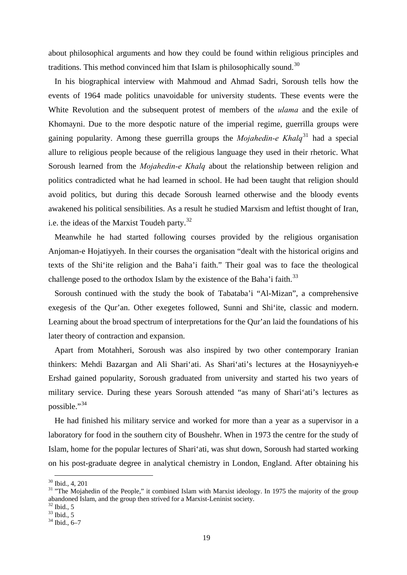about philosophical arguments and how they could be found within religious principles and traditions. This method convinced him that Islam is philosophically sound.<sup>[30](#page-22-0)</sup>

In his biographical interview with Mahmoud and Ahmad Sadri, Soroush tells how the events of 1964 made politics unavoidable for university students. These events were the White Revolution and the subsequent protest of members of the *ulama* and the exile of Khomayni. Due to the more despotic nature of the imperial regime, guerrilla groups were gaining popularity. Among these guerrilla groups the *Mojahedin-e Khalq*[31](#page-22-1) had a special allure to religious people because of the religious language they used in their rhetoric. What Soroush learned from the *Mojahedin-e Khalq* about the relationship between religion and politics contradicted what he had learned in school. He had been taught that religion should avoid politics, but during this decade Soroush learned otherwise and the bloody events awakened his political sensibilities. As a result he studied Marxism and leftist thought of Iran, i.e. the ideas of the Marxist Toudeh party.<sup>[32](#page-22-2)</sup>

Meanwhile he had started following courses provided by the religious organisation Anjoman-e Hojatiyyeh. In their courses the organisation "dealt with the historical origins and texts of the Shi'ite religion and the Baha'i faith." Their goal was to face the theological challenge posed to the orthodox Islam by the existence of the Baha'i faith.<sup>[33](#page-22-3)</sup>

Soroush continued with the study the book of Tabataba'i "Al-Mizan", a comprehensive exegesis of the Qur'an. Other exegetes followed, Sunni and Shi'ite, classic and modern. Learning about the broad spectrum of interpretations for the Qur'an laid the foundations of his later theory of contraction and expansion.

Apart from Motahheri, Soroush was also inspired by two other contemporary Iranian thinkers: Mehdi Bazargan and Ali Shari'ati. As Shari'ati's lectures at the Hosayniyyeh-e Ershad gained popularity, Soroush graduated from university and started his two years of military service. During these years Soroush attended "as many of Shari'ati's lectures as possible."<sup>[34](#page-22-4)</sup>

He had finished his military service and worked for more than a year as a supervisor in a laboratory for food in the southern city of Boushehr. When in 1973 the centre for the study of Islam, home for the popular lectures of Shari'ati, was shut down, Soroush had started working on his post-graduate degree in analytical chemistry in London, England. After obtaining his

<span id="page-22-0"></span> <sup>30</sup> Ibid., 4, 201

<span id="page-22-1"></span><sup>&</sup>lt;sup>31</sup> "The Mojahedin of the People," it combined Islam with Marxist ideology. In 1975 the majority of the group abandoned Islam, and the group then strived for a Marxist-Leninist society.

<span id="page-22-2"></span> $32$  Ibid., 5

<span id="page-22-3"></span> $33$  Ibid., 5

<span id="page-22-4"></span> $34$  Ibid., 6–7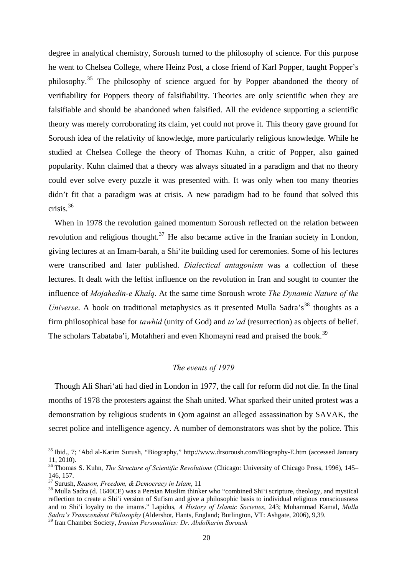<span id="page-23-0"></span>degree in analytical chemistry, Soroush turned to the philosophy of science. For this purpose he went to Chelsea College, where Heinz Post, a close friend of Karl Popper, taught Popper's philosophy.[35](#page-23-1) The philosophy of science argued for by Popper abandoned the theory of verifiability for Poppers theory of falsifiability. Theories are only scientific when they are falsifiable and should be abandoned when falsified. All the evidence supporting a scientific theory was merely corroborating its claim, yet could not prove it. This theory gave ground for Soroush idea of the relativity of knowledge, more particularly religious knowledge. While he studied at Chelsea College the theory of Thomas Kuhn, a critic of Popper, also gained popularity. Kuhn claimed that a theory was always situated in a paradigm and that no theory could ever solve every puzzle it was presented with. It was only when too many theories didn't fit that a paradigm was at crisis. A new paradigm had to be found that solved this crisis.[36](#page-23-2)

When in 1978 the revolution gained momentum Soroush reflected on the relation between revolution and religious thought.<sup>[37](#page-23-3)</sup> He also became active in the Iranian society in London, giving lectures at an Imam-barah, a Shi'ite building used for ceremonies. Some of his lectures were transcribed and later published. *Dialectical antagonism* was a collection of these lectures. It dealt with the leftist influence on the revolution in Iran and sought to counter the influence of *Mojahedin-e Khalq*. At the same time Soroush wrote *The Dynamic Nature of the Universe*. A book on traditional metaphysics as it presented Mulla Sadra's<sup>[38](#page-23-4)</sup> thoughts as a firm philosophical base for *tawhid* (unity of God) and *ta'ad* (resurrection) as objects of belief. The scholars Tabataba'i, Motahheri and even Khomayni read and praised the book.<sup>[39](#page-23-5)</sup>

#### *The events of 1979*

Though Ali Shari'ati had died in London in 1977, the call for reform did not die. In the final months of 1978 the protesters against the Shah united. What sparked their united protest was a demonstration by religious students in Qom against an alleged assassination by SAVAK, the secret police and intelligence agency. A number of demonstrators was shot by the police. This

<span id="page-23-1"></span> <sup>35</sup> Ibid., 7; 'Abd al-Karim Surush, "Biography," http://www.drsoroush.com/Biography-E.htm (accessed January 11, 2010).

<span id="page-23-2"></span><sup>36</sup> Thomas S. Kuhn, *The Structure of Scientific Revolutions* (Chicago: University of Chicago Press, 1996), 145– 146, 157.<br><sup>37</sup> Surush, Reason, Freedom, & Democracy in Islam, 11

<span id="page-23-3"></span>

<span id="page-23-4"></span><sup>&</sup>lt;sup>38</sup> Mulla Sadra (d. 1640CE) was a Persian Muslim thinker who "combined Shi'i scripture, theology, and mystical reflection to create a Shi'i version of Sufism and give a philosophic basis to individual religious consciousness and to Shi'i loyalty to the imams." Lapidus, *A History of Islamic Societies*, 243; Muhammad Kamal, *Mulla Sadra's Transcendent Philosophy* (Aldershot, Hants, England; Burlington, VT: Ashgate, 2006), 9,39.

<span id="page-23-5"></span><sup>39</sup> Iran Chamber Society, *Iranian Personalities: Dr. Abdolkarim Soroush*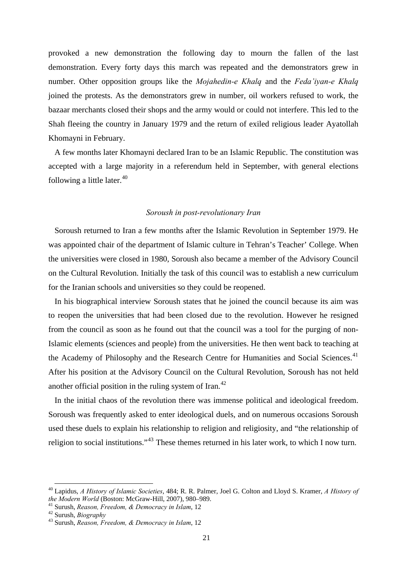<span id="page-24-0"></span>provoked a new demonstration the following day to mourn the fallen of the last demonstration. Every forty days this march was repeated and the demonstrators grew in number. Other opposition groups like the *Mojahedin-e Khalq* and the *Feda'iyan-e Khalq* joined the protests. As the demonstrators grew in number, oil workers refused to work, the bazaar merchants closed their shops and the army would or could not interfere. This led to the Shah fleeing the country in January 1979 and the return of exiled religious leader Ayatollah Khomayni in February.

A few months later Khomayni declared Iran to be an Islamic Republic. The constitution was accepted with a large majority in a referendum held in September, with general elections following a little later. $40$ 

#### *Soroush in post-revolutionary Iran*

Soroush returned to Iran a few months after the Islamic Revolution in September 1979. He was appointed chair of the department of Islamic culture in Tehran's Teacher' College. When the universities were closed in 1980, Soroush also became a member of the Advisory Council on the Cultural Revolution. Initially the task of this council was to establish a new curriculum for the Iranian schools and universities so they could be reopened.

In his biographical interview Soroush states that he joined the council because its aim was to reopen the universities that had been closed due to the revolution. However he resigned from the council as soon as he found out that the council was a tool for the purging of non-Islamic elements (sciences and people) from the universities. He then went back to teaching at the Academy of Philosophy and the Research Centre for Humanities and Social Sciences.<sup>[41](#page-24-2)</sup> After his position at the Advisory Council on the Cultural Revolution, Soroush has not held another official position in the ruling system of Iran. $^{42}$  $^{42}$  $^{42}$ 

In the initial chaos of the revolution there was immense political and ideological freedom. Soroush was frequently asked to enter ideological duels, and on numerous occasions Soroush used these duels to explain his relationship to religion and religiosity, and "the relationship of religion to social institutions."[43](#page-24-4) These themes returned in his later work, to which I now turn.

<span id="page-24-1"></span><sup>&</sup>lt;sup>40</sup> Lapidus, *A History of Islamic Societies*, 484; R. R. Palmer, Joel G. Colton and Lloyd S. Kramer, *A History of the Modern World* (Boston: McGraw-Hill. 2007). 980–989.

<span id="page-24-2"></span>*the Modern World* (Boston: McGraw-Hill, 2007), 980–989. 41 Surush, *Reason, Freedom, & Democracy in Islam*, 12 42 Surush, *Biography* 43 Surush, *Reason, Freedom, & Democracy in Islam*, 12

<span id="page-24-3"></span>

<span id="page-24-4"></span>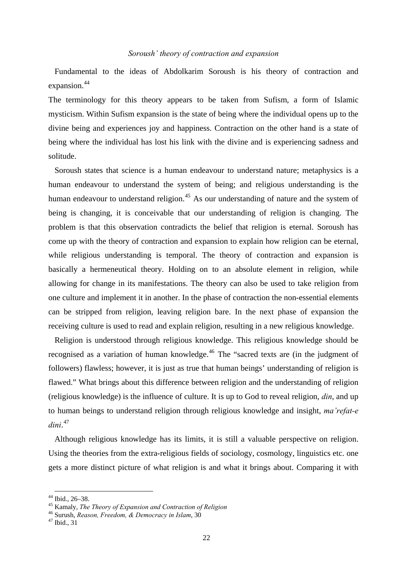#### *Soroush' theory of contraction and expansion*

<span id="page-25-0"></span>Fundamental to the ideas of Abdolkarim Soroush is his theory of contraction and expansion.<sup>[44](#page-25-1)</sup>

The terminology for this theory appears to be taken from Sufism, a form of Islamic mysticism. Within Sufism expansion is the state of being where the individual opens up to the divine being and experiences joy and happiness. Contraction on the other hand is a state of being where the individual has lost his link with the divine and is experiencing sadness and solitude.

Soroush states that science is a human endeavour to understand nature; metaphysics is a human endeavour to understand the system of being; and religious understanding is the human endeavour to understand religion.<sup>[45](#page-25-2)</sup> As our understanding of nature and the system of being is changing, it is conceivable that our understanding of religion is changing. The problem is that this observation contradicts the belief that religion is eternal. Soroush has come up with the theory of contraction and expansion to explain how religion can be eternal, while religious understanding is temporal. The theory of contraction and expansion is basically a hermeneutical theory. Holding on to an absolute element in religion, while allowing for change in its manifestations. The theory can also be used to take religion from one culture and implement it in another. In the phase of contraction the non-essential elements can be stripped from religion, leaving religion bare. In the next phase of expansion the receiving culture is used to read and explain religion, resulting in a new religious knowledge.

Religion is understood through religious knowledge. This religious knowledge should be recognised as a variation of human knowledge.<sup>[46](#page-25-3)</sup> The "sacred texts are (in the judgment of followers) flawless; however, it is just as true that human beings' understanding of religion is flawed." What brings about this difference between religion and the understanding of religion (religious knowledge) is the influence of culture. It is up to God to reveal religion, *din*, and up to human beings to understand religion through religious knowledge and insight, *ma'refat-e dini*. [47](#page-25-4)

Although religious knowledge has its limits, it is still a valuable perspective on religion. Using the theories from the extra-religious fields of sociology, cosmology, linguistics etc. one gets a more distinct picture of what religion is and what it brings about. Comparing it with

<span id="page-25-1"></span><sup>&</sup>lt;sup>44</sup> Ibid., 26–38.<br><sup>45</sup> Kamaly, *The Theory of Expansion and Contraction of Religion* 

<span id="page-25-4"></span><span id="page-25-3"></span><span id="page-25-2"></span><sup>&</sup>lt;sup>46</sup> Surush, *Reason, Freedom, & Democracy in Islam*, 30<sup>47</sup> Ibid., 31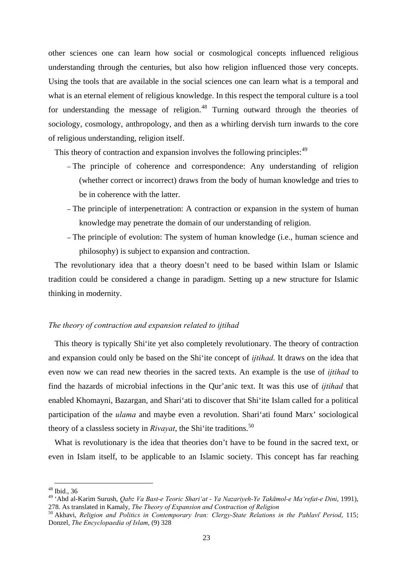other sciences one can learn how social or cosmological concepts influenced religious understanding through the centuries, but also how religion influenced those very concepts. Using the tools that are available in the social sciences one can learn what is a temporal and what is an eternal element of religious knowledge. In this respect the temporal culture is a tool for understanding the message of religion.<sup>[48](#page-26-0)</sup> Turning outward through the theories of sociology, cosmology, anthropology, and then as a whirling dervish turn inwards to the core of religious understanding, religion itself.

This theory of contraction and expansion involves the following principles: <sup>[49](#page-26-1)</sup>

- The principle of coherence and correspondence: Any understanding of religion (whether correct or incorrect) draws from the body of human knowledge and tries to be in coherence with the latter.
- The principle of interpenetration: A contraction or expansion in the system of human knowledge may penetrate the domain of our understanding of religion.
- The principle of evolution: The system of human knowledge (i.e., human science and philosophy) is subject to expansion and contraction.

The revolutionary idea that a theory doesn't need to be based within Islam or Islamic tradition could be considered a change in paradigm. Setting up a new structure for Islamic thinking in modernity.

## *The theory of contraction and expansion related to ijtihad*

This theory is typically Shi'ite yet also completely revolutionary. The theory of contraction and expansion could only be based on the Shi'ite concept of *ijtihad*. It draws on the idea that even now we can read new theories in the sacred texts. An example is the use of *ijtihad* to find the hazards of microbial infections in the Qur'anic text. It was this use of *ijtihad* that enabled Khomayni, Bazargan, and Shari'ati to discover that Shi'ite Islam called for a political participation of the *ulama* and maybe even a revolution. Shari'ati found Marx' sociological theory of a classless society in *Rivayat*, the Shi'ite traditions.[50](#page-26-2)

What is revolutionary is the idea that theories don't have to be found in the sacred text, or even in Islam itself, to be applicable to an Islamic society. This concept has far reaching

 <sup>48</sup> Ibid., 36

<span id="page-26-1"></span><span id="page-26-0"></span><sup>49 &#</sup>x27;Abd al-Karim Surush, *Qabz Va Bast-e Teoric Shari'at - Ya Nazariyeh-Ye Takāmol-e Ma'refat-e Dini*, 1991), 278. As translated in Kamaly, *The Theory of Expansion and Contraction of Religion*

<span id="page-26-2"></span><sup>50</sup> Akhavi, *Religion and Politics in Contemporary Iran: Clergy-State Relations in the Pahlavi*̄ *Period*, 115; Donzel, *The Encyclopaedia of Islam*, (9) 328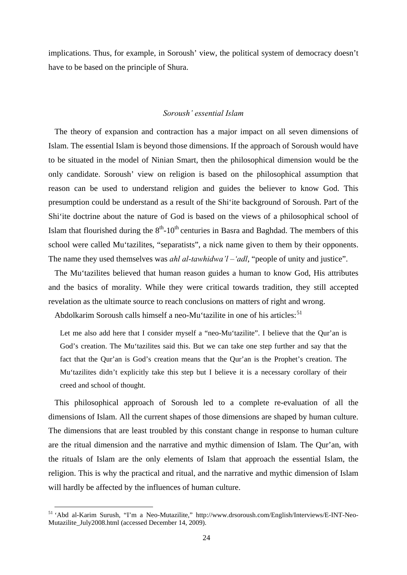<span id="page-27-0"></span>implications. Thus, for example, in Soroush' view, the political system of democracy doesn't have to be based on the principle of Shura.

#### *Soroush' essential Islam*

The theory of expansion and contraction has a major impact on all seven dimensions of Islam. The essential Islam is beyond those dimensions. If the approach of Soroush would have to be situated in the model of Ninian Smart, then the philosophical dimension would be the only candidate. Soroush' view on religion is based on the philosophical assumption that reason can be used to understand religion and guides the believer to know God. This presumption could be understand as a result of the Shi'ite background of Soroush. Part of the Shi'ite doctrine about the nature of God is based on the views of a philosophical school of Islam that flourished during the  $8<sup>th</sup> - 10<sup>th</sup>$  centuries in Basra and Baghdad. The members of this school were called Mu'tazilites, "separatists", a nick name given to them by their opponents. The name they used themselves was *ahl al-tawhidwa'l –'adl*, "people of unity and justice".

The Mu'tazilites believed that human reason guides a human to know God, His attributes and the basics of morality. While they were critical towards tradition, they still accepted revelation as the ultimate source to reach conclusions on matters of right and wrong.

Abdolkarim Soroush calls himself a neo-Mu'tazilite in one of his articles:<sup>[51](#page-27-1)</sup>

Let me also add here that I consider myself a "neo-Mu'tazilite". I believe that the Our'an is God's creation. The Mu'tazilites said this. But we can take one step further and say that the fact that the Qur'an is God's creation means that the Qur'an is the Prophet's creation. The Mu'tazilites didn't explicitly take this step but I believe it is a necessary corollary of their creed and school of thought.

This philosophical approach of Soroush led to a complete re-evaluation of all the dimensions of Islam. All the current shapes of those dimensions are shaped by human culture. The dimensions that are least troubled by this constant change in response to human culture are the ritual dimension and the narrative and mythic dimension of Islam. The Qur'an, with the rituals of Islam are the only elements of Islam that approach the essential Islam, the religion. This is why the practical and ritual, and the narrative and mythic dimension of Islam will hardly be affected by the influences of human culture.

<span id="page-27-1"></span> <sup>51 &#</sup>x27;Abd al-Karim Surush, "I'm a Neo-Mutazilite," http://www.drsoroush.com/English/Interviews/E-INT-Neo-Mutazilite\_July2008.html (accessed December 14, 2009).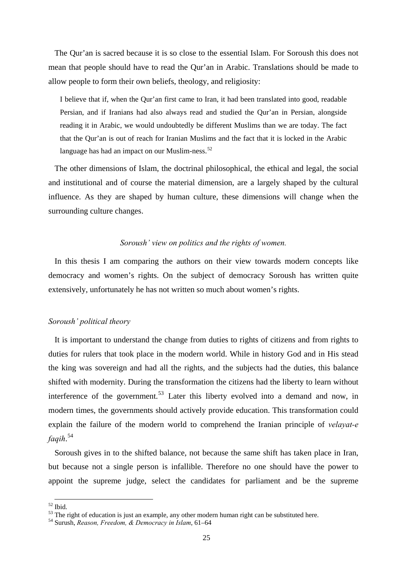<span id="page-28-0"></span>The Qur'an is sacred because it is so close to the essential Islam. For Soroush this does not mean that people should have to read the Qur'an in Arabic. Translations should be made to allow people to form their own beliefs, theology, and religiosity:

I believe that if, when the Qur'an first came to Iran, it had been translated into good, readable Persian, and if Iranians had also always read and studied the Qur'an in Persian, alongside reading it in Arabic, we would undoubtedly be different Muslims than we are today. The fact that the Qur'an is out of reach for Iranian Muslims and the fact that it is locked in the Arabic language has had an impact on our Muslim-ness.<sup>[52](#page-28-1)</sup>

The other dimensions of Islam, the doctrinal philosophical, the ethical and legal, the social and institutional and of course the material dimension, are a largely shaped by the cultural influence. As they are shaped by human culture, these dimensions will change when the surrounding culture changes.

#### *Soroush' view on politics and the rights of women.*

In this thesis I am comparing the authors on their view towards modern concepts like democracy and women's rights. On the subject of democracy Soroush has written quite extensively, unfortunately he has not written so much about women's rights.

## *Soroush' political theory*

It is important to understand the change from duties to rights of citizens and from rights to duties for rulers that took place in the modern world. While in history God and in His stead the king was sovereign and had all the rights, and the subjects had the duties, this balance shifted with modernity. During the transformation the citizens had the liberty to learn without interference of the government.<sup>[53](#page-28-2)</sup> Later this liberty evolved into a demand and now, in modern times, the governments should actively provide education. This transformation could explain the failure of the modern world to comprehend the Iranian principle of *velayat-e fa qih*. [54](#page-29-0)

[Soroush gives in to the shifted balance, not because the same shift has taken place in Iran,](#page-29-0)  [but because not a single person is infallible. Therefore no one should have the power to](#page-29-0)  [appoint the supreme judge, select the candidates for parliament and be the supreme](#page-29-0) 

<sup>1</sup>  $52$  Ibid.

<span id="page-28-2"></span><span id="page-28-1"></span><sup>&</sup>lt;sup>53</sup> The right of education is just an example, any other modern human right can be substituted here.

<sup>54</sup> Surush, *Reason, Freedom, & Democracy in Islam*, 61–64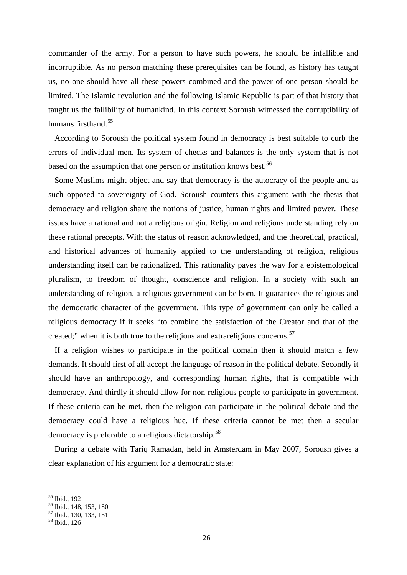[commander of the army. For a person to have such powers, he should be infallible and](#page-29-0)  [incorruptible. As no person matching these prerequisites can be found, as history has taught](#page-29-0)  [us, no one should have all these powers combined and the power of one person should be](#page-29-0)  [limited. The Islamic revolution and the following Islamic Republic is part of that history that](#page-29-0)  [taught us the fallibili](#page-29-0)ty of humankind. In this context Soroush witnessed the corruptibility of humans firsthand.<sup>[55](#page-29-1)</sup>

[errors of individual men. Its system of checks and balances is the](#page-29-1) only system that is not based on the assumption that one person or institution knows best.<sup>[56](#page-29-2)</sup> [According to Soroush the political system found in democracy is best suitable to curb the](#page-29-1) 

[religious democracy if it seeks "to combine the satisfaction of the Creat](#page-29-2)or and that of the created;" when it is both true to the religious and extrareligious concerns.<sup>[57](#page-29-3)</sup> [Some Muslims might object and say that democracy is the autocracy of the people and as](#page-29-2)  [such opposed to sovereignty of God. Soroush counters this argument with the thesis that](#page-29-2)  [democracy and religion share the notions of justice, human rights and limited power. These](#page-29-2)  [issues have a rational and not a religious origin. Religion and religious understanding rely on](#page-29-2)  [these rational precepts. With the status of reason acknowledged, and the theoretical, practical,](#page-29-2)  [and historical advances of humanity applied to the understanding of religion, religious](#page-29-2)  [understanding itself can be rationalized. This rationality paves the way for a epistemological](#page-29-2)  [pluralism, to freedom of thought, conscience and religion. In a society with such an](#page-29-2)  [understanding of religion, a religious government can be born. It guarantees the religious and](#page-29-2)  [the democratic character of the government. This type of government can only be called a](#page-29-2) 

[democracy could have a religious hue. If these](#page-29-3) criteria cannot be met then a secular democracy is preferable to a religious dictatorship.<sup>58</sup> [If a religion wishes to participate in the political domain then it should match a few](#page-29-3)  [demands. It should first of all accept the language of reason in the political debate. Secondly it](#page-29-3)  [should have an anthropology, and corresponding human rights, that is compatible with](#page-29-3)  [democracy. And thirdly it should allow for non-religious people to participate in government.](#page-29-3)  [If these criteria can be met, then the religion can participate in the political debate and the](#page-29-3) 

During a debate with Tariq Ramadan, held in Amsterdam in May 2007, Soroush gives a cle ar explanation of his argument for a democratic state:

1

<span id="page-29-0"></span><sup>55</sup> Ibid., 192

<span id="page-29-1"></span><sup>56</sup> Ibid., 148, 153, 180

<span id="page-29-2"></span><sup>57</sup> Ibid., 130, 133, 151

<span id="page-29-3"></span><sup>58</sup> Ibid., 126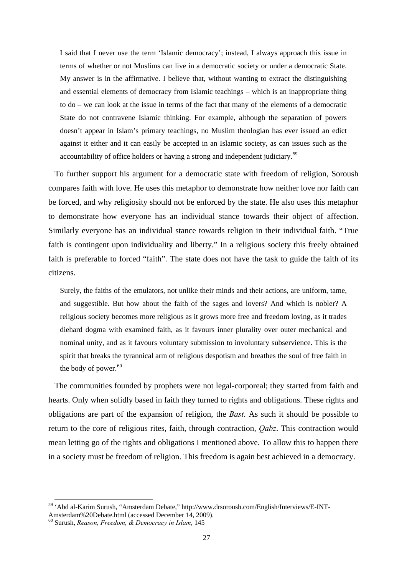I said that I never use the term 'Islamic democracy'; instead, I always approach this issue in terms of whether or not Muslims can live in a democratic society or under a democratic State. My answer is in the affirmative. I believe that, without wanting to extract the distinguishing and essential elements of democracy from Islamic teachings – which is an inappropriate thing to do – we can look at the issue in terms of the fact that many of the elements of a democratic State do not contravene Islamic thinking. For example, although the separation of powers doesn't appear in Islam's primary teachings, no Muslim theologian has ever issued an edict against it either and it can easily be accepted in an Islamic society, as can issues such as the accountability of office holders or having a strong and independent judiciary.<sup>59</sup>

faith is contingent upon individuality and liberty." In a religious society this freely obtained faith is preferable to forced "faith". The state does not have the task to guide the faith of its citi zens. To further support his argument for a democratic state with freedom of religion, Soroush compares faith with love. He uses this metaphor to demonstrate how neither love nor faith can be forced, and why religiosity should not be enforced by the state. He also uses this metaphor to demonstrate how everyone has an individual stance towards their object of affection. Similarly everyone has an individual stance towards religion in their individual faith. "True

nominal unity, and as it favours voluntary submission to involuntary subservience. This is the Surely, the faiths of the emulators, not unlike their minds and their actions, are uniform, tame, and suggestible. But how about the faith of the sages and lovers? And which is nobler? A religious society becomes more religious as it grows more free and freedom loving, as it trades diehard dogma with examined faith, as it favours inner plurality over outer mechanical and spirit that breaks the tyrannical arm of religious despotism and breathes the soul of free faith in the body of power.<sup>60</sup>

mean letting go of the rights and obligations I mentioned above. To allow this to happen there in a society must be freedom of religion. This freedom is again best achieved in a democracy. The communities founded by prophets were not legal-corporeal; they started from faith and hearts. Only when solidly based in faith they turned to rights and obligations. These rights and obligations are part of the expansion of religion, the *Bast*. As such it should be possible to return to the core of religious rites, faith, through contraction, *Qabz*. This contraction would

 <sup>59 &#</sup>x27;Abd al-Karim Surush, "Amsterdam Debate," http://www.drsoroush.com/English/Interviews/E-INT-

<sup>).</sup>  Amsterdam%20Debate.html (accessed December 14, 2009

*ason, Freedom, & Democracy in Islam*, 145 60 Surush, *Re*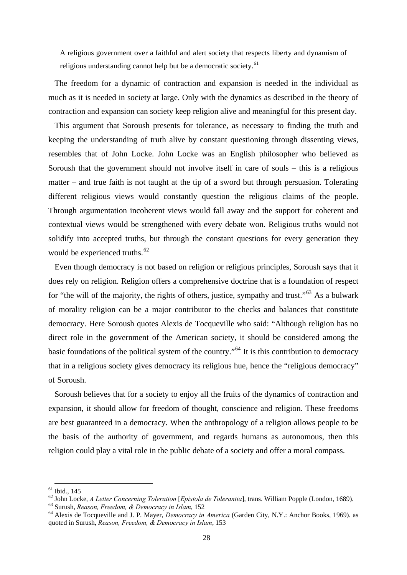A religious government over a faithful and alert society that respects liberty and dynamism of religious understanding cannot help but be a democratic society.<sup>61</sup>

The freedom for a dynamic of contraction and expansion is needed in the individual as m uch as it is needed in society at large. Only with the dynamics as described in the theory of contraction and expansion can society keep religion alive and meaningful for this present day.

contextual views would be strengthened with every debate won. Religious truths would not so lidify into accepted truths, but through the constant questions for every generation they This argument that Soroush presents for tolerance, as necessary to finding the truth and keeping the understanding of truth alive by constant questioning through dissenting views, resembles that of John Locke. John Locke was an English philosopher who believed as Soroush that the government should not involve itself in care of souls – this is a religious matter – and true faith is not taught at the tip of a sword but through persuasion. Tolerating different religious views would constantly question the religious claims of the people. Through argumentation incoherent views would fall away and the support for coherent and would be experienced truths. $62$ 

[basic founda](#page-31-1)tions of the political system of the country."<sup>64</sup> It is this contribution to democracy th at in a religious society gives democracy its religious hue, hence the "religious democracy" [Even though democracy is not based on religion or religious principles, Soroush says that it](#page-31-0)  [does rely on religion. Religion offers a comprehensive doctrine that is a foundation of respect](#page-31-0)  [for "the will of the majority, the rights of others, justice, sympathy and trust."](#page-31-0)<sup>63</sup> As a bulwark [of morality religion can be a major contributor to the checks and balances that constitute](#page-31-1)  [democracy. Here Soroush quotes Alexis de Tocqueville who said: "Although religion has no](#page-31-1)  [direct role in the government of the American society, it should be considered among the](#page-31-1)  of Soroush.

are best guaranteed in a democracy. When the anthropology of a religion allows people to be the basis of the authority of government, and regards humans as autonomous, then this religion could play a vital role in the public debate of a society and offer a moral compass. Soroush believes that for a society to enjoy all the fruits of the dynamics of contraction and expansion, it should allow for freedom of thought, conscience and religion. These freedoms

1

 $61$  Ibid., 145

<sup>&</sup>lt;sup>62</sup> John Locke, *A Letter Concerning Toleration [Epistola de Tolerantia]*, trans. William Popple (London, 1689).<br><sup>63</sup> Surush, *Reason, Freedom, & Democracy in Islam*, 152<br><sup>64</sup> Alexis de Tocqueville and J. P. Mayer, *Demo* 

<span id="page-31-0"></span>

<span id="page-31-1"></span>quoted in Surush, *Reason, Freedom, & Democracy in Islam*, 153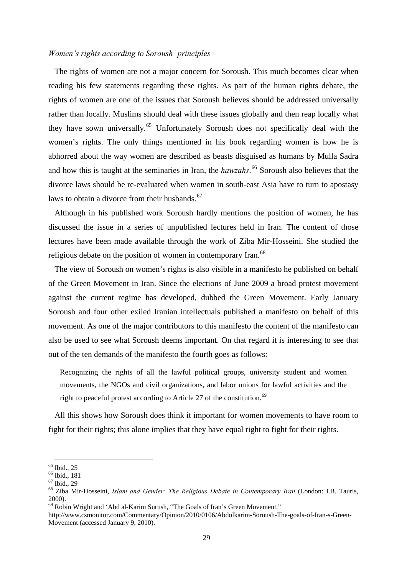## *Women's rights according to Soroush' principles*

The rights of women are not a major concern for Soroush. This much becomes clear when reading his few statements regarding these rights. As part of the human rights debate, the rights of women are one of the issues that Soroush believes should be addressed universally rather than locally. Muslims should deal with these issues globally and then reap locally what they have sown universally.[65](#page-32-0) Unfortunately Soroush does not specifically deal with the women's rights. The only things mentioned in his book regarding women is how he is abhorred about the way women are described as beasts disguised as humans by Mulla Sadra and how this is taught at the seminaries in Iran, the *hawzahs*. [66](#page-32-1) Soroush also believes that the divorce laws should be re-evaluated when women in south-east Asia have to turn to apostasy laws to obtain a divorce from their husbands.<sup>[67](#page-32-2)</sup>

Although in his published work Soroush hardly mentions the position of women, he has discussed the issue in a series of unpublished lectures held in Iran. The content of those lectures have been made available through the work of Ziba Mir-Hosseini. She studied the religious debate on the position of women in contemporary Iran.<sup>[68](#page-32-3)</sup>

The view of Soroush on women's rights is also visible in a manifesto he published on behalf of the Green Movement in Iran. Since the elections of June 2009 a broad protest movement against the current regime has developed, dubbed the Green Movement. Early January Soroush and four other exiled Iranian intellectuals published a manifesto on behalf of this movement. As one of the major contributors to this manifesto the content of the manifesto can also be used to see what Soroush deems important. On that regard it is interesting to see that out of the ten demands of the manifesto the fourth goes as follows:

Recognizing the rights of all the lawful political groups, university student and women movements, the NGOs and civil organizations, and labor unions for lawful activities and the right to peaceful protest according to Article 27 of the constitution.<sup>[69](#page-32-4)</sup>

All this shows how Soroush does think it important for women movements to have room to fight for their rights; this alone implies that they have equal right to fight for their rights.

<span id="page-32-0"></span><sup>&</sup>lt;sup>65</sup> Ibid., 25

<span id="page-32-1"></span> $66$  Ibid., 181

<span id="page-32-2"></span> $67$  Ibid., 29

<span id="page-32-3"></span><sup>68</sup> Ziba Mir-Hosseini, *Islam and Gender: The Religious Debate in Contemporary Iran* (London: I.B. Tauris, 2000).

<span id="page-32-4"></span><sup>69</sup> Robin Wright and 'Abd al-Karim Surush, "The Goals of Iran's Green Movement,"

http://www.csmonitor.com/Commentary/Opinion/2010/0106/Abdolkarim-Soroush-The-goals-of-Iran-s-Green-Movement (accessed January 9, 2010).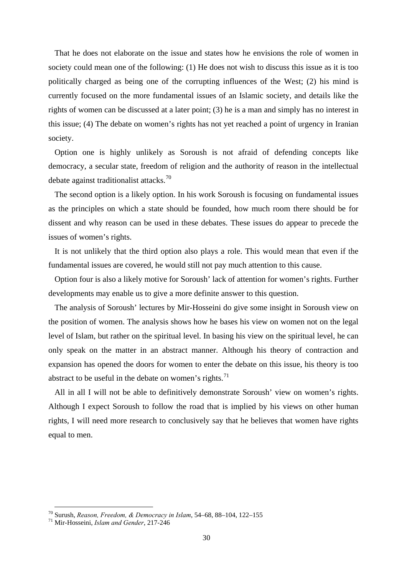That he does not elaborate on the issue and states how he envisions the role of women in society could mean one of the following: (1) He does not wish to discuss this issue as it is too politically charged as being one of the corrupting influences of the West; (2) his mind is currently focused on the more fundamental issues of an Islamic society, and details like the rights of women can be discussed at a later point; (3) he is a man and simply has no interest in this issue; (4) The debate on women's rights has not yet reached a point of urgency in Iranian society.

Option one is highly unlikely as Soroush is not afraid of defending concepts like democracy, a secular state, freedom of religion and the authority of reason in the intellectual debate against traditionalist attacks.<sup>[70](#page-33-0)</sup>

The second option is a likely option. In his work Soroush is focusing on fundamental issues as the principles on which a state should be founded, how much room there should be for dissent and why reason can be used in these debates. These issues do appear to precede the issues of women's rights.

It is not unlikely that the third option also plays a role. This would mean that even if the fundamental issues are covered, he would still not pay much attention to this cause.

Option four is also a likely motive for Soroush' lack of attention for women's rights. Further developments may enable us to give a more definite answer to this question.

The analysis of Soroush' lectures by Mir-Hosseini do give some insight in Soroush view on the position of women. The analysis shows how he bases his view on women not on the legal level of Islam, but rather on the spiritual level. In basing his view on the spiritual level, he can only speak on the matter in an abstract manner. Although his theory of contraction and expansion has opened the doors for women to enter the debate on this issue, his theory is too abstract to be useful in the debate on women's rights.<sup>[71](#page-33-1)</sup>

All in all I will not be able to definitively demonstrate Soroush' view on women's rights. Although I expect Soroush to follow the road that is implied by his views on other human rights, I will need more research to conclusively say that he believes that women have rights equal to men.

<span id="page-33-0"></span> <sup>70</sup> Surush, *Reason, Freedom, & Democracy in Islam*, 54–68, 88–104, 122–155 71 Mir-Hosseini, *Islam and Gender*, 217-246

<span id="page-33-1"></span>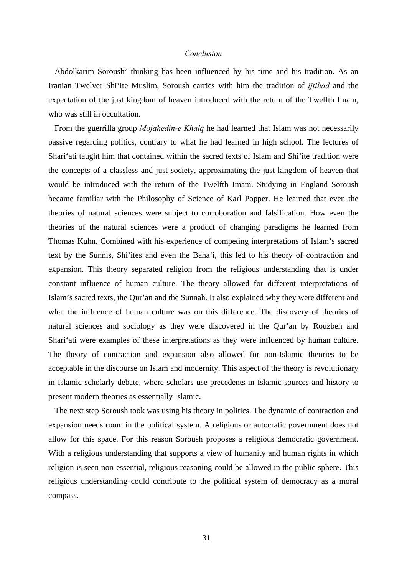## *Conclusion*

<span id="page-34-0"></span>Abdolkarim Soroush' thinking has been influenced by his time and his tradition. As an Iranian Twelver Shi'ite Muslim, Soroush carries with him the tradition of *ijtihad* and the expectation of the just kingdom of heaven introduced with the return of the Twelfth Imam, who was still in occultation.

From the guerrilla group *Mojahedin-e Khalq* he had learned that Islam was not necessarily passive regarding politics, contrary to what he had learned in high school. The lectures of Shari'ati taught him that contained within the sacred texts of Islam and Shi'ite tradition were the concepts of a classless and just society, approximating the just kingdom of heaven that would be introduced with the return of the Twelfth Imam. Studying in England Soroush became familiar with the Philosophy of Science of Karl Popper. He learned that even the theories of natural sciences were subject to corroboration and falsification. How even the theories of the natural sciences were a product of changing paradigms he learned from Thomas Kuhn. Combined with his experience of competing interpretations of Islam's sacred text by the Sunnis, Shi'ites and even the Baha'i, this led to his theory of contraction and expansion. This theory separated religion from the religious understanding that is under constant influence of human culture. The theory allowed for different interpretations of Islam's sacred texts, the Qur'an and the Sunnah. It also explained why they were different and what the influence of human culture was on this difference. The discovery of theories of natural sciences and sociology as they were discovered in the Qur'an by Rouzbeh and Shari'ati were examples of these interpretations as they were influenced by human culture. The theory of contraction and expansion also allowed for non-Islamic theories to be acceptable in the discourse on Islam and modernity. This aspect of the theory is revolutionary in Islamic scholarly debate, where scholars use precedents in Islamic sources and history to present modern theories as essentially Islamic.

The next step Soroush took was using his theory in politics. The dynamic of contraction and expansion needs room in the political system. A religious or autocratic government does not allow for this space. For this reason Soroush proposes a religious democratic government. With a religious understanding that supports a view of humanity and human rights in which religion is seen non-essential, religious reasoning could be allowed in the public sphere. This religious understanding could contribute to the political system of democracy as a moral compass.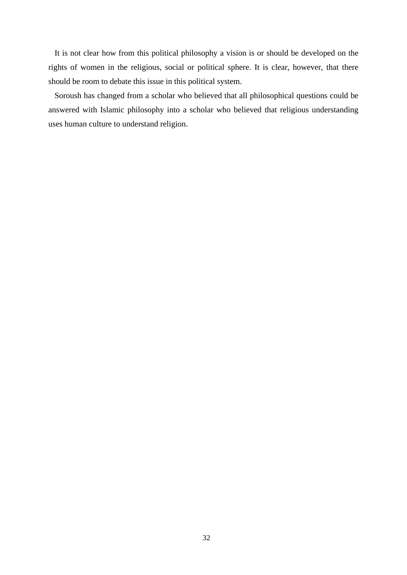It is not clear how from this political philosophy a vision is or should be developed on the rights of women in the religious, social or political sphere. It is clear, however, that there should be room to debate this issue in this political system.

Soroush has changed from a scholar who believed that all philosophical questions could be answered with Islamic philosophy into a scholar who believed that religious understanding uses human culture to understand religion.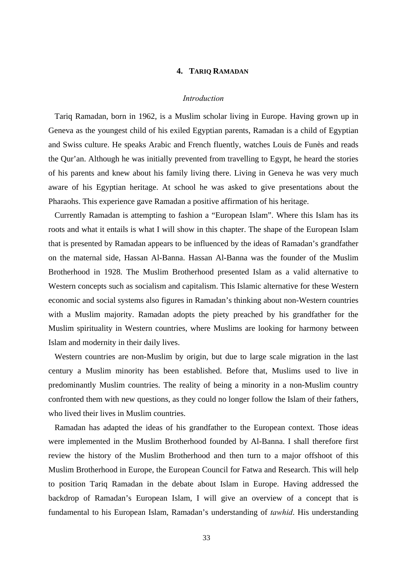# **4. TARIQ RAMADAN**

#### *Introduction*

Tariq Ramadan, born in 1962, is a Muslim scholar living in Europe. Having grown up in Geneva as the youngest child of his exiled Egyptian parents, Ramadan is a child of Egyptian and Swiss culture. He speaks Arabic and French fluently, watches Louis de Funès and reads the Qur'an. Although he was initially prevented from travelling to Egypt, he heard the stories of his parents and knew about his family living there. Living in Geneva he was very much aware of his Egyptian heritage. At school he was asked to give presentations about the Pharaohs. This experience gave Ramadan a positive affirmation of his heritage.

Currently Ramadan is attempting to fashion a "European Islam". Where this Islam has its roots and what it entails is what I will show in this chapter. The shape of the European Islam that is presented by Ramadan appears to be influenced by the ideas of Ramadan's grandfather on the maternal side, Hassan Al-Banna. Hassan Al-Banna was the founder of the Muslim Brotherhood in 1928. The Muslim Brotherhood presented Islam as a valid alternative to Western concepts such as socialism and capitalism. This Islamic alternative for these Western economic and social systems also figures in Ramadan's thinking about non-Western countries with a Muslim majority. Ramadan adopts the piety preached by his grandfather for the Muslim spirituality in Western countries, where Muslims are looking for harmony between Islam and modernity in their daily lives.

Western countries are non-Muslim by origin, but due to large scale migration in the last century a Muslim minority has been established. Before that, Muslims used to live in predominantly Muslim countries. The reality of being a minority in a non-Muslim country confronted them with new questions, as they could no longer follow the Islam of their fathers, who lived their lives in Muslim countries.

Ramadan has adapted the ideas of his grandfather to the European context. Those ideas were implemented in the Muslim Brotherhood founded by Al-Banna. I shall therefore first review the history of the Muslim Brotherhood and then turn to a major offshoot of this Muslim Brotherhood in Europe, the European Council for Fatwa and Research. This will help to position Tariq Ramadan in the debate about Islam in Europe. Having addressed the backdrop of Ramadan's European Islam, I will give an overview of a concept that is fundamental to his European Islam, Ramadan's understanding of *tawhid*. His understanding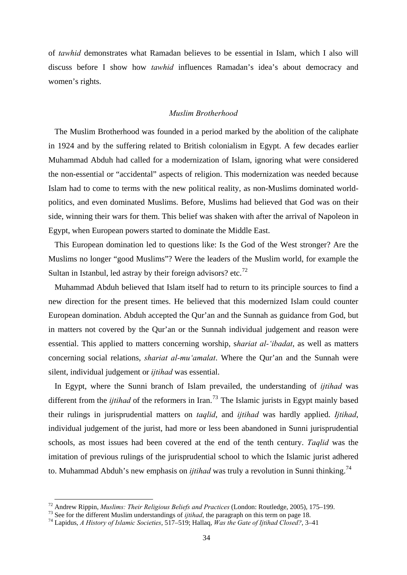of *tawhid* demonstrates what Ramadan believes to be essential in Islam, which I also will discuss before I show how *tawhid* influences Ramadan's idea's about democracy and women's rights.

### *Muslim Brotherhood*

The Muslim Brotherhood was founded in a period marked by the abolition of the caliphate in 1924 and by the suffering related to British colonialism in Egypt. A few decades earlier Muhammad Abduh had called for a modernization of Islam, ignoring what were considered the non-essential or "accidental" aspects of religion. This modernization was needed because Islam had to come to terms with the new political reality, as non-Muslims dominated worldpolitics, and even dominated Muslims. Before, Muslims had believed that God was on their side, winning their wars for them. This belief was shaken with after the arrival of Napoleon in Egypt, when European powers started to dominate the Middle East.

This European domination led to questions like: Is the God of the West stronger? Are the Muslims no longer "good Muslims"? Were the leaders of the Muslim world, for example the Sultan in Istanbul, led astray by their foreign advisors? etc.<sup>[72](#page-37-0)</sup>

Muhammad Abduh believed that Islam itself had to return to its principle sources to find a new direction for the present times. He believed that this modernized Islam could counter European domination. Abduh accepted the Qur'an and the Sunnah as guidance from God, but in matters not covered by the Qur'an or the Sunnah individual judgement and reason were essential. This applied to matters concerning worship, s*hariat al-'ibadat*, as well as matters concerning social relations, *shariat al-mu'amalat*. Where the Qur'an and the Sunnah were silent, individual judgement or *ijtihad* was essential.

In Egypt, where the Sunni branch of Islam prevailed, the understanding of *ijtihad* was different from the *ijtihad* of the reformers in Iran.<sup>[73](#page-37-1)</sup> The Islamic jurists in Egypt mainly based their rulings in jurisprudential matters on *taqlid*, and *ijtihad* was hardly applied. *Ijtihad*, individual judgement of the jurist, had more or less been abandoned in Sunni jurisprudential schools, as most issues had been covered at the end of the tenth century. *Taqlid* was the imitation of previous rulings of the jurisprudential school to which the Islamic jurist adhered to. Muhammad Abduh's new emphasis on *ijtihad* was truly a revolution in Sunni thinking.<sup>[74](#page-37-2)</sup>

<span id="page-37-0"></span><sup>&</sup>lt;sup>72</sup> Andrew Rippin, *Muslims: Their Religious Beliefs and Practices* (London: Routledge, 2005), 175–199.<br><sup>73</sup> See for the different Muslim understandings of *ijtihad*, the paragraph on this term on page 18.<br><sup>74</sup> Lapidus,

<span id="page-37-2"></span><span id="page-37-1"></span>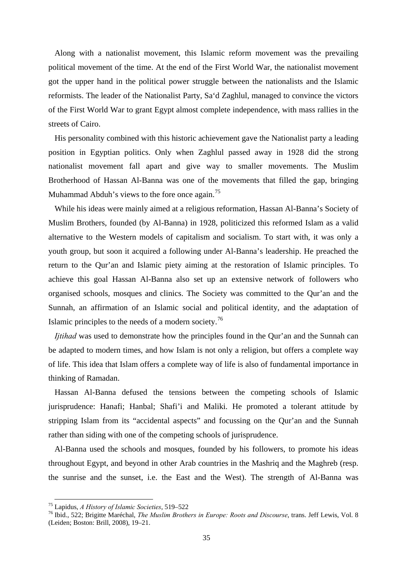Along with a nationalist movement, this Islamic reform movement was the prevailing political movement of the time. At the end of the First World War, the nationalist movement got the upper hand in the political power struggle between the nationalists and the Islamic reformists. The leader of the Nationalist Party, Sa'd Zaghlul, managed to convince the victors of the First World War to grant Egypt almost complete independence, with mass rallies in the streets of Cairo.

His personality combined with this historic achievement gave the Nationalist party a leading position in Egyptian politics. Only when Zaghlul passed away in 1928 did the strong nationalist movement fall apart and give way to smaller movements. The Muslim Brotherhood of Hassan Al-Banna was one of the movements that filled the gap, bringing Muhammad Abduh's views to the fore once again.<sup>[75](#page-38-0)</sup>

While his ideas were mainly aimed at a religious reformation, Hassan Al-Banna's Society of Muslim Brothers, founded (by Al-Banna) in 1928, politicized this reformed Islam as a valid alternative to the Western models of capitalism and socialism. To start with, it was only a youth group, but soon it acquired a following under Al-Banna's leadership. He preached the return to the Qur'an and Islamic piety aiming at the restoration of Islamic principles. To achieve this goal Hassan Al-Banna also set up an extensive network of followers who organised schools, mosques and clinics. The Society was committed to the Qur'an and the Sunnah, an affirmation of an Islamic social and political identity, and the adaptation of Islamic principles to the needs of a modern society.[76](#page-38-1)

*Ijtihad* was used to demonstrate how the principles found in the Qur'an and the Sunnah can be adapted to modern times, and how Islam is not only a religion, but offers a complete way of life. This idea that Islam offers a complete way of life is also of fundamental importance in thinking of Ramadan.

Hassan Al-Banna defused the tensions between the competing schools of Islamic jurisprudence: Hanafi; Hanbal; Shafi'i and Maliki. He promoted a tolerant attitude by stripping Islam from its "accidental aspects" and focussing on the Qur'an and the Sunnah rather than siding with one of the competing schools of jurisprudence.

Al-Banna used the schools and mosques, founded by his followers, to promote his ideas throughout Egypt, and beyond in other Arab countries in the Mashriq and the Maghreb (resp. the sunrise and the sunset, i.e. the East and the West). The strength of Al-Banna was

<span id="page-38-1"></span>

<span id="page-38-0"></span><sup>&</sup>lt;sup>75</sup> Lapidus, *A History of Islamic Societies*, 519–522<br><sup>76</sup> Ibid., 522; Brigitte Maréchal, *The Muslim Brothers in Europe: Roots and Discourse*, trans. Jeff Lewis, Vol. 8 (Leiden; Boston: Brill, 2008), 19–21.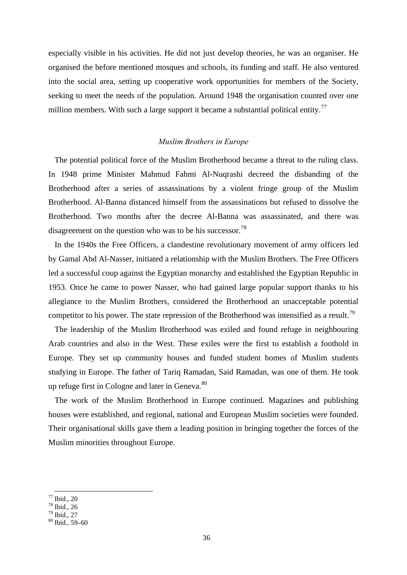especially visible in his activities. He did not just develop theories, he was an organiser. He organised the before mentioned mosques and schools, its funding and staff. He also ventured into the social area, setting up cooperative work opportunities for members of the Society, seeking to meet the needs of the population. Around 1948 the organisation counted over one million members. With such a large support it became a substantial political entity.<sup>[77](#page-39-0)</sup>

# *Muslim Brothers in Europe*

The potential political force of the Muslim Brotherhood became a threat to the ruling class. In 1948 prime Minister Mahmud Fahmi Al-Nuqrashi decreed the disbanding of the Brotherhood after a series of assassinations by a violent fringe group of the Muslim Brotherhood. Al-Banna distanced himself from the assassinations but refused to dissolve the Brotherhood. Two months after the decree Al-Banna was assassinated, and there was disagreement on the question who was to be his successor.<sup>[78](#page-39-1)</sup>

In the 1940s the Free Officers, a clandestine revolutionary movement of army officers led by Gamal Abd Al-Nasser, initiated a relationship with the Muslim Brothers. The Free Officers led a successful coup against the Egyptian monarchy and established the Egyptian Republic in 1953. Once he came to power Nasser, who had gained large popular support thanks to his allegiance to the Muslim Brothers, considered the Brotherhood an unacceptable potential competitor to his power. The state repression of the Brotherhood was intensified as a result.<sup>[79](#page-39-2)</sup>

The leadership of the Muslim Brotherhood was exiled and found refuge in neighbouring Arab countries and also in the West. These exiles were the first to establish a foothold in Europe. They set up community houses and funded student homes of Muslim students studying in Europe. The father of Tariq Ramadan, Said Ramadan, was one of them. He took up refuge first in Cologne and later in Geneva.<sup>[80](#page-39-3)</sup>

The work of the Muslim Brotherhood in Europe continued. Magazines and publishing houses were established, and regional, national and European Muslim societies were founded. Their organisational skills gave them a leading position in bringing together the forces of the Muslim minorities throughout Europe.

<span id="page-39-0"></span> $77$  Ibid., 20

<span id="page-39-1"></span><sup>78</sup> Ibid., 26

<span id="page-39-2"></span><sup>79</sup> Ibid., 27

<span id="page-39-3"></span> $80$  Ibid., 59–60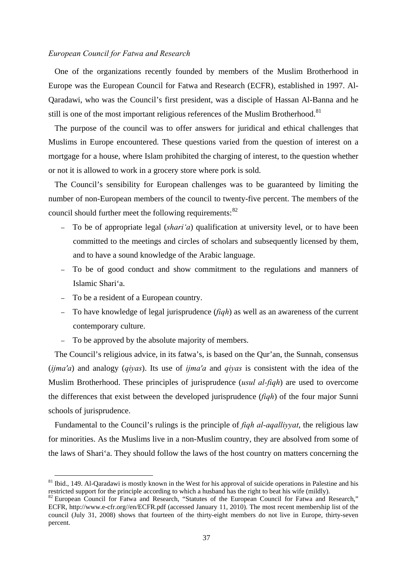## *European Council for Fatwa and Research*

One of the organizations recently founded by members of the Muslim Brotherhood in Europe was the European Council for Fatwa and Research (ECFR), established in 1997. Al-Qaradawi, who was the Council's first president, was a disciple of Hassan Al-Banna and he still is one of the most important religious references of the Muslim Brotherhood.<sup>[81](#page-40-0)</sup>

The purpose of the council was to offer answers for juridical and ethical challenges that Muslims in Europe encountered. These questions varied from the question of interest on a mortgage for a house, where Islam prohibited the charging of interest, to the question whether or not it is allowed to work in a grocery store where pork is sold.

The Council's sensibility for European challenges was to be guaranteed by limiting the number of non-European members of the council to twenty-five percent. The members of the council should further meet the following requirements: $82$ 

- To be of appropriate legal (*shari'a*) qualification at university level, or to have been committed to the meetings and circles of scholars and subsequently licensed by them, and to have a sound knowledge of the Arabic language.
- To be of good conduct and show commitment to the regulations and manners of Islamic Shari'a.
- To be a resident of a European country.
- To have knowledge of legal jurisprudence (*fiqh*) as well as an awareness of the current contemporary culture.
- To be approved by the absolute majority of members.

The Council's religious advice, in its fatwa's, is based on the Qur'an, the Sunnah, consensus (*ijma'a*) and analogy (*qiyas*). Its use of *ijma'a* and *qiyas* is consistent with the idea of the Muslim Brotherhood. These principles of jurisprudence (*usul al-fiqh*) are used to overcome the differences that exist between the developed jurisprudence (*fiqh*) of the four major Sunni schools of jurisprudence.

Fundamental to the Council's rulings is the principle of *fiqh al-aqalliyyat*, the religious law for minorities. As the Muslims live in a non-Muslim country, they are absolved from some of the laws of Shari'a. They should follow the laws of the host country on matters concerning the

<span id="page-40-0"></span> $81$  Ibid., 149. Al-Qaradawi is mostly known in the West for his approval of suicide operations in Palestine and his restricted support for the principle according to which a husband has the right to beat his wife (mildly

<span id="page-40-1"></span> $82$  European Council for Fatwa and Research, "Statutes of the European Council for Fatwa and Research," ECFR, http://www.e-cfr.org//en/ECFR.pdf (accessed January 11, 2010). The most recent membership list of the council (July 31, 2008) shows that fourteen of the thirty-eight members do not live in Europe, thirty-seven percent.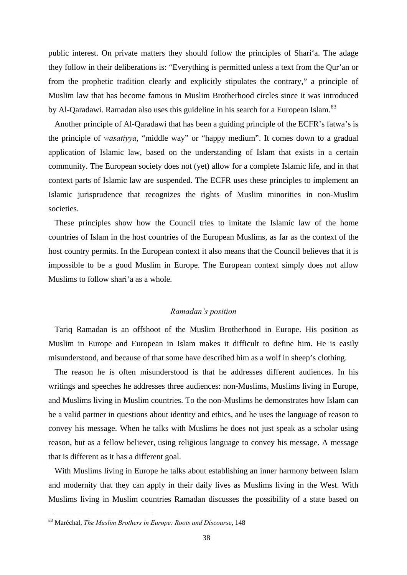public interest. On private matters they should follow the principles of Shari'a. The adage they follow in their deliberations is: "Everything is permitted unless a text from the Qur'an or from the prophetic tradition clearly and explicitly stipulates the contrary," a principle of Muslim law that has become famous in Muslim Brotherhood circles since it was introduced by Al-Qaradawi. Ramadan also uses this guideline in his search for a European Islam.<sup>[83](#page-41-0)</sup>

Another principle of Al-Qaradawi that has been a guiding principle of the ECFR's fatwa's is the principle of *wasatiyya*, "middle way" or "happy medium". It comes down to a gradual application of Islamic law, based on the understanding of Islam that exists in a certain community. The European society does not (yet) allow for a complete Islamic life, and in that context parts of Islamic law are suspended. The ECFR uses these principles to implement an Islamic jurisprudence that recognizes the rights of Muslim minorities in non-Muslim societies.

These principles show how the Council tries to imitate the Islamic law of the home countries of Islam in the host countries of the European Muslims, as far as the context of the host country permits. In the European context it also means that the Council believes that it is impossible to be a good Muslim in Europe. The European context simply does not allow Muslims to follow shari'a as a whole.

## *Ramadan's position*

Tariq Ramadan is an offshoot of the Muslim Brotherhood in Europe. His position as Muslim in Europe and European in Islam makes it difficult to define him. He is easily misunderstood, and because of that some have described him as a wolf in sheep's clothing.

The reason he is often misunderstood is that he addresses different audiences. In his writings and speeches he addresses three audiences: non-Muslims, Muslims living in Europe, and Muslims living in Muslim countries. To the non-Muslims he demonstrates how Islam can be a valid partner in questions about identity and ethics, and he uses the language of reason to convey his message. When he talks with Muslims he does not just speak as a scholar using reason, but as a fellow believer, using religious language to convey his message. A message that is different as it has a different goal.

With Muslims living in Europe he talks about establishing an inner harmony between Islam and modernity that they can apply in their daily lives as Muslims living in the West. With Muslims living in Muslim countries Ramadan discusses the possibility of a state based on

<span id="page-41-0"></span> <sup>83</sup> Maréchal, *The Muslim Brothers in Europe: Roots and Discourse*, 148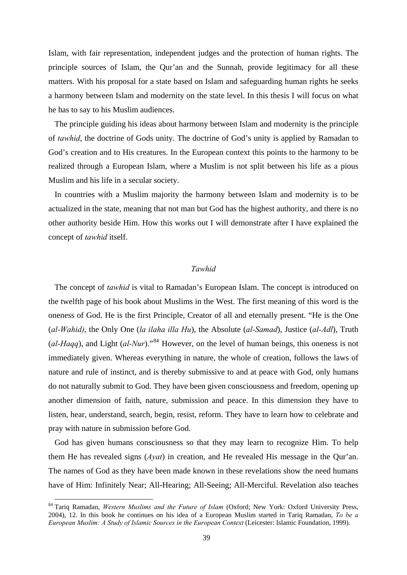Islam, with fair representation, independent judges and the protection of human rights. The principle sources of Islam, the Qur'an and the Sunnah, provide legitimacy for all these matters. With his proposal for a state based on Islam and safeguarding human rights he seeks a harmony between Islam and modernity on the state level. In this thesis I will focus on what he has to say to his Muslim audiences.

The principle guiding his ideas about harmony between Islam and modernity is the principle of *tawhid*, the doctrine of Gods unity. The doctrine of God's unity is applied by Ramadan to God's creation and to His creatures. In the European context this points to the harmony to be realized through a European Islam, where a Muslim is not split between his life as a pious Muslim and his life in a secular society.

In countries with a Muslim majority the harmony between Islam and modernity is to be actualized in the state, meaning that not man but God has the highest authority, and there is no other authority beside Him. How this works out I will demonstrate after I have explained the concept of *tawhid* itself.

# *Tawhid*

The concept of *tawhid* is vital to Ramadan's European Islam. The concept is introduced on the twelfth page of his book about Muslims in the West. The first meaning of this word is the oneness of God. He is the first Principle, Creator of all and eternally present. "He is the One (*al-Wahid)*, the Only One (*la ilaha illa Hu*), the Absolute (*al-Samad*), Justice (*al-Adl*), Truth  $(al-Haqq)$ , and Light  $(al-Nur)$ .<sup>[84](#page-42-0)</sup> However, on the level of human beings, this oneness is not immediately given. Whereas everything in nature, the whole of creation, follows the laws of nature and rule of instinct, and is thereby submissive to and at peace with God, only humans do not naturally submit to God. They have been given consciousness and freedom, opening up another dimension of faith, nature, submission and peace. In this dimension they have to listen, hear, understand, search, begin, resist, reform. They have to learn how to celebrate and pray with nature in submission before God.

God has given humans consciousness so that they may learn to recognize Him. To help them He has revealed signs (*Ayat*) in creation, and He revealed His message in the Qur'an. The names of God as they have been made known in these revelations show the need humans have of Him: Infinitely Near; All-Hearing; All-Seeing; All-Merciful. Revelation also teaches

<span id="page-42-0"></span> <sup>84</sup> Tariq Ramadan, *Western Muslims and the Future of Islam* (Oxford; New York: Oxford University Press, 2004), 12. In this book he continues on his idea of a European Muslim started in Tariq Ramadan, *To be a European Muslim: A Study of Islamic Sources in the European Context* (Leicester: Islamic Foundation, 1999).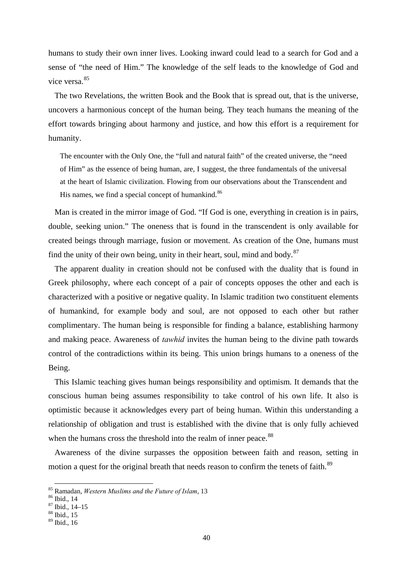humans to study their own inner lives. Looking inward could lead to a search for God and a sense of "the need of Him." The knowledge of the self leads to the knowledge of God and vice versa  $85$ 

The two Revelations, the written Book and the Book that is spread out, that is the universe, uncovers a harmonious concept of the human being. They teach humans the meaning of the effort towards bringing about harmony and justice, and how this effort is a requirement for humanity.

The encounter with the Only One, the "full and natural faith" of the created universe, the "need of Him" as the essence of being human, are, I suggest, the three fundamentals of the universal at the heart of Islamic civilization. Flowing from our observations about the Transcendent and His names, we find a special concept of humankind.<sup>[86](#page-43-1)</sup>

Man is created in the mirror image of God. "If God is one, everything in creation is in pairs, double, seeking union." The oneness that is found in the transcendent is only available for created beings through marriage, fusion or movement. As creation of the One, humans must find the unity of their own being, unity in their heart, soul, mind and body. $87$ 

The apparent duality in creation should not be confused with the duality that is found in Greek philosophy, where each concept of a pair of concepts opposes the other and each is characterized with a positive or negative quality. In Islamic tradition two constituent elements of humankind, for example body and soul, are not opposed to each other but rather complimentary. The human being is responsible for finding a balance, establishing harmony and making peace. Awareness of *tawhid* invites the human being to the divine path towards control of the contradictions within its being. This union brings humans to a oneness of the Being.

This Islamic teaching gives human beings responsibility and optimism. It demands that the conscious human being assumes responsibility to take control of his own life. It also is optimistic because it acknowledges every part of being human. Within this understanding a relationship of obligation and trust is established with the divine that is only fully achieved when the humans cross the threshold into the realm of inner peace.<sup>[88](#page-43-3)</sup>

Awareness of the divine surpasses the opposition between faith and reason, setting in motion a quest for the original breath that needs reason to confirm the tenets of faith.<sup>[89](#page-43-4)</sup>

<span id="page-43-0"></span> <sup>85</sup> Ramadan, *Western Muslims and the Future of Islam*, 13 86 Ibid., 14

<span id="page-43-1"></span>

<span id="page-43-2"></span><sup>87</sup> Ibid., 14–15

<span id="page-43-3"></span><sup>88</sup> Ibid., 15

<span id="page-43-4"></span> $89$  Ibid., 16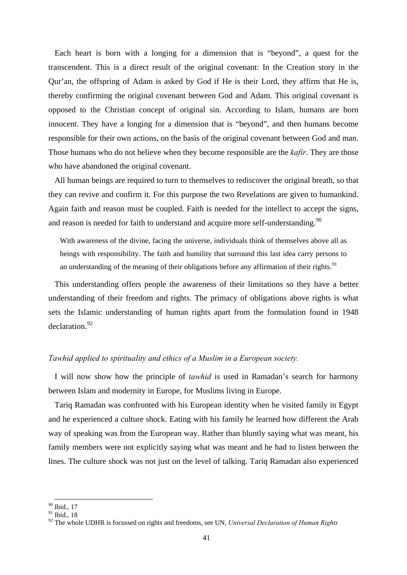Each heart is born with a longing for a dimension that is "beyond", a quest for the transcendent. This is a direct result of the original covenant: In the Creation story in the Qur'an, the offspring of Adam is asked by God if He is their Lord, they affirm that He is, thereby confirming the original covenant between God and Adam. This original covenant is opposed to the Christian concept of original sin. According to Islam, humans are born innocent. They have a longing for a dimension that is "beyond", and then humans become responsible for their own actions, on the basis of the original covenant between God and man. Those humans who do not believe when they become responsible are the *kafir*. They are those who have abandoned the original covenant.

All human beings are required to turn to themselves to rediscover the original breath, so that they can revive and confirm it. For this purpose the two Revelations are given to humankind. Again faith and reason must be coupled. Faith is needed for the intellect to accept the signs, and reason is needed for faith to understand and acquire more self-understanding.<sup>[90](#page-44-0)</sup>

With awareness of the divine, facing the universe, individuals think of themselves above all as beings with responsibility. The faith and humility that surround this last idea carry persons to an understanding of the meaning of their obligations before any affirmation of their rights.<sup>[91](#page-44-1)</sup>

This understanding offers people the awareness of their limitations so they have a better understanding of their freedom and rights. The primacy of obligations above rights is what sets the Islamic understanding of human rights apart from the formulation found in 1948 declaration.[92](#page-44-2)

# *Tawhid applied to spirituality and ethics of a Muslim in a European society.*

I will now show how the principle of *tawhid* is used in Ramadan's search for harmony between Islam and modernity in Europe, for Muslims living in Europe.

Tariq Ramadan was confronted with his European identity when he visited family in Egypt and he experienced a culture shock. Eating with his family he learned how different the Arab way of speaking was from the European way. Rather than bluntly saying what was meant, his family members were not explicitly saying what was meant and he had to listen between the lines. The culture shock was not just on the level of talking. Tariq Ramadan also experienced

 <sup>90</sup> Ibid., 17

<span id="page-44-1"></span><span id="page-44-0"></span><sup>&</sup>lt;sup>91</sup> Ibid., 18

<span id="page-44-2"></span><sup>&</sup>lt;sup>92</sup> The whole UDHR is focussed on rights and freedoms, see UN, *Universal Declaration of Human Rights*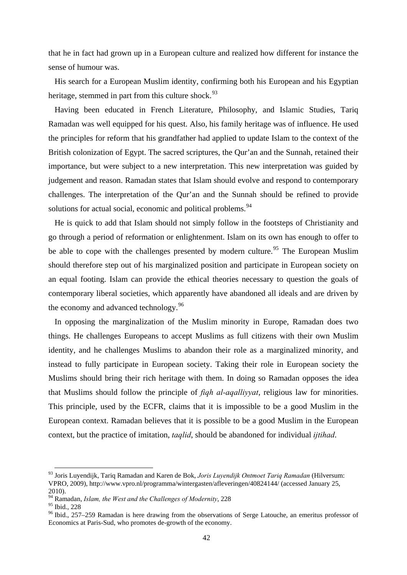that he in fact had grown up in a European culture and realized how different for instance the sense of humour was.

His search for a European Muslim identity, confirming both his European and his Egyptian heritage, stemmed in part from this culture shock.  $93$ 

Having been educated in French Literature, Philosophy, and Islamic Studies, Tariq Ramadan was well equipped for his quest. Also, his family heritage was of influence. He used the principles for reform that his grandfather had applied to update Islam to the context of the British colonization of Egypt. The sacred scriptures, the Qur'an and the Sunnah, retained their importance, but were subject to a new interpretation. This new interpretation was guided by judgement and reason. Ramadan states that Islam should evolve and respond to contemporary challenges. The interpretation of the Qur'an and the Sunnah should be refined to provide solutions for actual social, economic and political problems.<sup>[94](#page-45-1)</sup>

He is quick to add that Islam should not simply follow in the footsteps of Christianity and go through a period of reformation or enlightenment. Islam on its own has enough to offer to be able to cope with the challenges presented by modern culture.<sup>[95](#page-45-2)</sup> The European Muslim should therefore step out of his marginalized position and participate in European society on an equal footing. Islam can provide the ethical theories necessary to question the goals of contemporary liberal societies, which apparently have abandoned all ideals and are driven by the economy and advanced technology.<sup>[96](#page-45-3)</sup>

In opposing the marginalization of the Muslim minority in Europe, Ramadan does two things. He challenges Europeans to accept Muslims as full citizens with their own Muslim identity, and he challenges Muslims to abandon their role as a marginalized minority, and instead to fully participate in European society. Taking their role in European society the Muslims should bring their rich heritage with them. In doing so Ramadan opposes the idea that Muslims should follow the principle of *fiqh al-aqalliyyat*, religious law for minorities. This principle, used by the ECFR, claims that it is impossible to be a good Muslim in the European context. Ramadan believes that it is possible to be a good Muslim in the European context, but the practice of imitation, *taqlid*, should be abandoned for individual *ijtihad*.

<span id="page-45-0"></span> <sup>93</sup> Joris Luyendijk, Tariq Ramadan and Karen de Bok, *Joris Luyendijk Ontmoet Tariq Ramadan* (Hilversum: VPRO, 2009), http://www.vpro.nl/programma/wintergasten/afleveringen/40824144/ (accessed January 25, 2010).

<sup>94</sup> Ramadan, *Islam, the West and the Challenges of Modernity*, 228

<span id="page-45-2"></span><span id="page-45-1"></span> $95$  Ibid., 228

<span id="page-45-3"></span><sup>96</sup> Ibid., 257–259 Ramadan is here drawing from the observations of Serge Latouche, an emeritus professor of Economics at Paris-Sud, who promotes de-growth of the economy.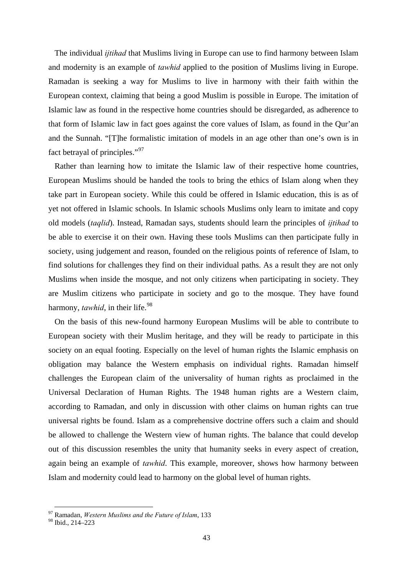The individual *ijtihad* that Muslims living in Europe can use to find harmony between Islam and modernity is an example of *tawhid* applied to the position of Muslims living in Europe. Ramadan is seeking a way for Muslims to live in harmony with their faith within the European context, claiming that being a good Muslim is possible in Europe. The imitation of Islamic law as found in the respective home countries should be disregarded, as adherence to that form of Islamic law in fact goes against the core values of Islam, as found in the Qur'an and the Sunnah. "[T]he formalistic imitation of models in an age other than one's own is in fact betrayal of principles."[97](#page-46-0)

Rather than learning how to imitate the Islamic law of their respective home countries, European Muslims should be handed the tools to bring the ethics of Islam along when they take part in European society. While this could be offered in Islamic education, this is as of yet not offered in Islamic schools. In Islamic schools Muslims only learn to imitate and copy old models (*taqlid*). Instead, Ramadan says, students should learn the principles of *ijtihad* to be able to exercise it on their own. Having these tools Muslims can then participate fully in society, using judgement and reason, founded on the religious points of reference of Islam, to find solutions for challenges they find on their individual paths. As a result they are not only Muslims when inside the mosque, and not only citizens when participating in society. They are Muslim citizens who participate in society and go to the mosque. They have found harmony, *tawhid*, in their life.<sup>[98](#page-46-1)</sup>

On the basis of this new-found harmony European Muslims will be able to contribute to European society with their Muslim heritage, and they will be ready to participate in this society on an equal footing. Especially on the level of human rights the Islamic emphasis on obligation may balance the Western emphasis on individual rights. Ramadan himself challenges the European claim of the universality of human rights as proclaimed in the Universal Declaration of Human Rights. The 1948 human rights are a Western claim, according to Ramadan, and only in discussion with other claims on human rights can true universal rights be found. Islam as a comprehensive doctrine offers such a claim and should be allowed to challenge the Western view of human rights. The balance that could develop out of this discussion resembles the unity that humanity seeks in every aspect of creation, again being an example of *tawhid*. This example, moreover, shows how harmony between Islam and modernity could lead to harmony on the global level of human rights.

<span id="page-46-0"></span> <sup>97</sup> Ramadan, *Western Muslims and the Future of Islam*, 133

<span id="page-46-1"></span><sup>98</sup> Ibid., 214–223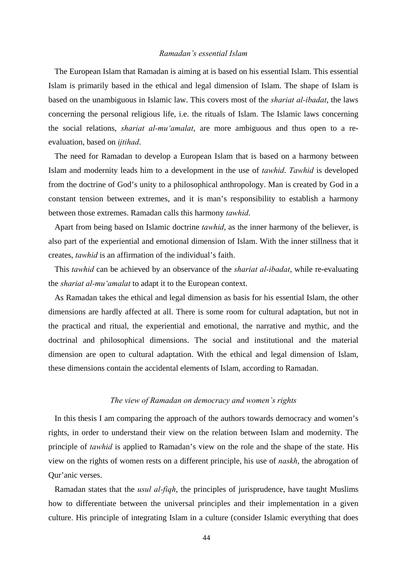# *Ramadan's essential Islam*

The European Islam that Ramadan is aiming at is based on his essential Islam. This essential Islam is primarily based in the ethical and legal dimension of Islam. The shape of Islam is based on the unambiguous in Islamic law. This covers most of the *shariat al-ibadat*, the laws concerning the personal religious life, i.e. the rituals of Islam. The Islamic laws concerning the social relations, *shariat al-mu'amalat*, are more ambiguous and thus open to a reevaluation, based on *ijtihad*.

The need for Ramadan to develop a European Islam that is based on a harmony between Islam and modernity leads him to a development in the use of *tawhid*. *Tawhid* is developed from the doctrine of God's unity to a philosophical anthropology. Man is created by God in a constant tension between extremes, and it is man's responsibility to establish a harmony between those extremes. Ramadan calls this harmony *tawhid*.

Apart from being based on Islamic doctrine *tawhid*, as the inner harmony of the believer, is also part of the experiential and emotional dimension of Islam. With the inner stillness that it creates, *tawhid* is an affirmation of the individual's faith.

This *tawhid* can be achieved by an observance of the *shariat al-ibadat*, while re-evaluating the *shariat al-mu'amalat* to adapt it to the European context.

As Ramadan takes the ethical and legal dimension as basis for his essential Islam, the other dimensions are hardly affected at all. There is some room for cultural adaptation, but not in the practical and ritual, the experiential and emotional, the narrative and mythic, and the doctrinal and philosophical dimensions. The social and institutional and the material dimension are open to cultural adaptation. With the ethical and legal dimension of Islam, these dimensions contain the accidental elements of Islam, according to Ramadan.

### *The view of Ramadan on democracy and women's rights*

In this thesis I am comparing the approach of the authors towards democracy and women's rights, in order to understand their view on the relation between Islam and modernity. The principle of *tawhid* is applied to Ramadan's view on the role and the shape of the state. His view on the rights of women rests on a different principle, his use of *naskh*, the abrogation of Qur'anic verses.

Ramadan states that the *usul al-fiqh*, the principles of jurisprudence, have taught Muslims how to differentiate between the universal principles and their implementation in a given culture. His principle of integrating Islam in a culture (consider Islamic everything that does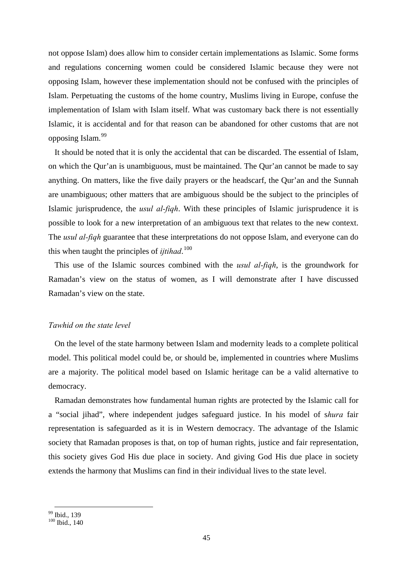not oppose Islam) does allow him to consider certain implementations as Islamic. Some forms and regulations concerning women could be considered Islamic because they were not opposing Islam, however these implementation should not be confused with the principles of Islam. Perpetuating the customs of the home country, Muslims living in Europe, confuse the implementation of Islam with Islam itself. What was customary back there is not essentially Islamic, it is accidental and for that reason can be abandoned for other customs that are not opposing Islam.<sup>[99](#page-48-0)</sup>

It should be noted that it is only the accidental that can be discarded. The essential of Islam, on which the Qur'an is unambiguous, must be maintained. The Qur'an cannot be made to say anything. On matters, like the five daily prayers or the headscarf, the Qur'an and the Sunnah are unambiguous; other matters that are ambiguous should be the subject to the principles of Islamic jurisprudence, the *usul al-fiqh*. With these principles of Islamic jurisprudence it is possible to look for a new interpretation of an ambiguous text that relates to the new context. The *usul al-fiqh* guarantee that these interpretations do not oppose Islam, and everyone can do this when taught the principles of *ijtihad*. [100](#page-48-1)

This use of the Islamic sources combined with the *usul al-fiqh*, is the groundwork for Ramadan's view on the status of women, as I will demonstrate after I have discussed Ramadan's view on the state.

# *Tawhid on the state level*

On the level of the state harmony between Islam and modernity leads to a complete political model. This political model could be, or should be, implemented in countries where Muslims are a majority. The political model based on Islamic heritage can be a valid alternative to democracy.

Ramadan demonstrates how fundamental human rights are protected by the Islamic call for a "social jihad", where independent judges safeguard justice. In his model of s*hura* fair representation is safeguarded as it is in Western democracy. The advantage of the Islamic society that Ramadan proposes is that, on top of human rights, justice and fair representation, this society gives God His due place in society. And giving God His due place in society extends the harmony that Muslims can find in their individual lives to the state level.

<sup>&</sup>lt;sup>99</sup> Ibid., 139

<span id="page-48-1"></span><span id="page-48-0"></span> $100$  Ibid., 140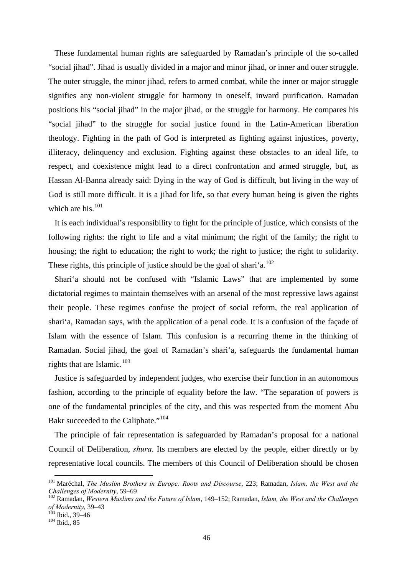These fundamental human rights are safeguarded by Ramadan's principle of the so-called "social jihad". Jihad is usually divided in a major and minor jihad, or inner and outer struggle. The outer struggle, the minor jihad, refers to armed combat, while the inner or major struggle signifies any non-violent struggle for harmony in oneself, inward purification. Ramadan positions his "social jihad" in the major jihad, or the struggle for harmony. He compares his "social jihad" to the struggle for social justice found in the Latin-American liberation theology. Fighting in the path of God is interpreted as fighting against injustices, poverty, illiteracy, delinquency and exclusion. Fighting against these obstacles to an ideal life, to respect, and coexistence might lead to a direct confrontation and armed struggle, but, as Hassan Al-Banna already said: Dying in the way of God is difficult, but living in the way of God is still more difficult. It is a jihad for life, so that every human being is given the rights which are his. $101$ 

It is each individual's responsibility to fight for the principle of justice, which consists of the following rights: the right to life and a vital minimum; the right of the family; the right to housing; the right to education; the right to work; the right to justice; the right to solidarity. These rights, this principle of justice should be the goal of shari'a.<sup>[102](#page-49-1)</sup>

Shari'a should not be confused with "Islamic Laws" that are implemented by some dictatorial regimes to maintain themselves with an arsenal of the most repressive laws against their people. These regimes confuse the project of social reform, the real application of shari'a, Ramadan says, with the application of a penal code. It is a confusion of the façade of Islam with the essence of Islam. This confusion is a recurring theme in the thinking of Ramadan. Social jihad, the goal of Ramadan's shari'a, safeguards the fundamental human rights that are Islamic.<sup>[103](#page-49-2)</sup>

Justice is safeguarded by independent judges, who exercise their function in an autonomous fashion, according to the principle of equality before the law. "The separation of powers is one of the fundamental principles of the city, and this was respected from the moment Abu Bakr succeeded to the Caliphate."<sup>[104](#page-49-3)</sup>

The principle of fair representation is safeguarded by Ramadan's proposal for a national Council of Deliberation, *shura*. Its members are elected by the people, either directly or by representative local councils. The members of this Council of Deliberation should be chosen

<span id="page-49-0"></span> <sup>101</sup> Maréchal, *The Muslim Brothers in Europe: Roots and Discourse*, 223; Ramadan, *Islam, the West and the Challenges of Modernity, 59–69*<br><sup>102</sup> Ramadan, *Western Muslims and the Future of Islam, 149–152; Ramadan, <i>Islam, the West and the Challenges* 

<span id="page-49-1"></span>*of Modernity*, 39–43<br><sup>103</sup> Ibid., 39–46<br><sup>104</sup> Ibid., 85

<span id="page-49-2"></span>

<span id="page-49-3"></span>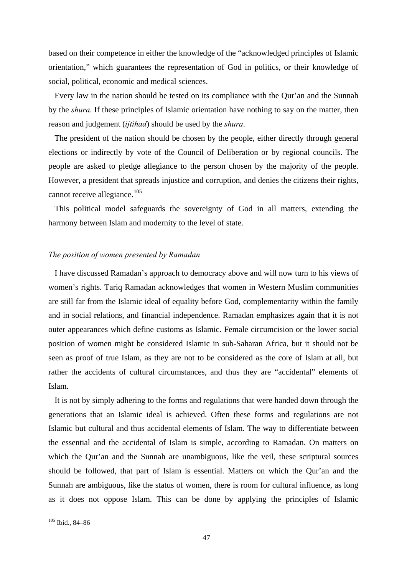based on their competence in either the knowledge of the "acknowledged principles of Islamic orientation," which guarantees the representation of God in politics, or their knowledge of social, political, economic and medical sciences.

Every law in the nation should be tested on its compliance with the Qur'an and the Sunnah by the *shura*. If these principles of Islamic orientation have nothing to say on the matter, then reason and judgement (*ijtihad*) should be used by the *shura*.

The president of the nation should be chosen by the people, either directly through general elections or indirectly by vote of the Council of Deliberation or by regional councils. The people are asked to pledge allegiance to the person chosen by the majority of the people. However, a president that spreads injustice and corruption, and denies the citizens their rights, cannot receive allegiance.<sup>[105](#page-50-0)</sup>

This political model safeguards the sovereignty of God in all matters, extending the harmony between Islam and modernity to the level of state.

## *The position of women presented by Ramadan*

I have discussed Ramadan's approach to democracy above and will now turn to his views of women's rights. Tariq Ramadan acknowledges that women in Western Muslim communities are still far from the Islamic ideal of equality before God, complementarity within the family and in social relations, and financial independence. Ramadan emphasizes again that it is not outer appearances which define customs as Islamic. Female circumcision or the lower social position of women might be considered Islamic in sub-Saharan Africa, but it should not be seen as proof of true Islam, as they are not to be considered as the core of Islam at all, but rather the accidents of cultural circumstances, and thus they are "accidental" elements of Islam.

It is not by simply adhering to the forms and regulations that were handed down through the generations that an Islamic ideal is achieved. Often these forms and regulations are not Islamic but cultural and thus accidental elements of Islam. The way to differentiate between the essential and the accidental of Islam is simple, according to Ramadan. On matters on which the Qur'an and the Sunnah are unambiguous, like the veil, these scriptural sources should be followed, that part of Islam is essential. Matters on which the Qur'an and the Sunnah are ambiguous, like the status of women, there is room for cultural influence, as long as it does not oppose Islam. This can be done by applying the principles of Islamic

<span id="page-50-0"></span> <sup>105</sup> Ibid., 84–86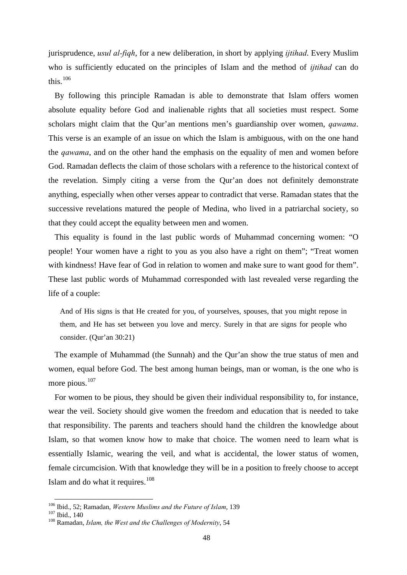jurisprudence, *usul al-fiqh*, for a new deliberation, in short by applying *ijtihad*. Every Muslim who is sufficiently educated on the principles of Islam and the method of *ijtihad* can do this. $106$ 

By following this principle Ramadan is able to demonstrate that Islam offers women absolute equality before God and inalienable rights that all societies must respect. Some scholars might claim that the Qur'an mentions men's guardianship over women, *qawama*. This verse is an example of an issue on which the Islam is ambiguous, with on the one hand the *qawama*, and on the other hand the emphasis on the equality of men and women before God. Ramadan deflects the claim of those scholars with a reference to the historical context of the revelation. Simply citing a verse from the Qur'an does not definitely demonstrate anything, especially when other verses appear to contradict that verse. Ramadan states that the successive revelations matured the people of Medina, who lived in a patriarchal society, so that they could accept the equality between men and women.

This equality is found in the last public words of Muhammad concerning women: "O people! Your women have a right to you as you also have a right on them"; "Treat women with kindness! Have fear of God in relation to women and make sure to want good for them". These last public words of Muhammad corresponded with last revealed verse regarding the life of a couple:

And of His signs is that He created for you, of yourselves, spouses, that you might repose in them, and He has set between you love and mercy. Surely in that are signs for people who consider. (Qur'an 30:21)

The example of Muhammad (the Sunnah) and the Qur'an show the true status of men and women, equal before God. The best among human beings, man or woman, is the one who is more pious.<sup>[107](#page-51-1)</sup>

For women to be pious, they should be given their individual responsibility to, for instance, wear the veil. Society should give women the freedom and education that is needed to take that responsibility. The parents and teachers should hand the children the knowledge about Islam, so that women know how to make that choice. The women need to learn what is essentially Islamic, wearing the veil, and what is accidental, the lower status of women, female circumcision. With that knowledge they will be in a position to freely choose to accept Islam and do what it requires. $108$ 

<span id="page-51-0"></span><sup>&</sup>lt;sup>106</sup> Ibid., 52; Ramadan, *Western Muslims and the Future of Islam*, 139<br><sup>107</sup> Ibid., 140<br><sup>108</sup> Ramadan. *Islam, the West and the Challenges of Modernity*, 54

<span id="page-51-1"></span>

<span id="page-51-2"></span>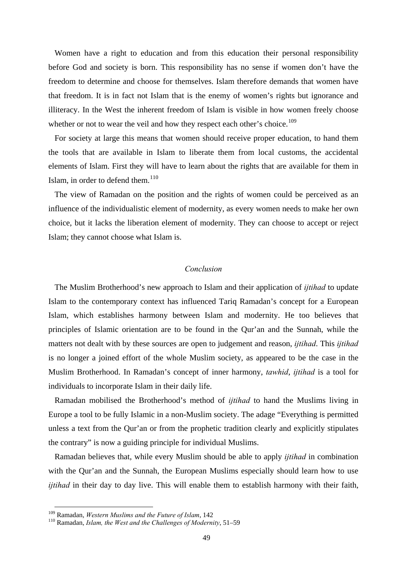Women have a right to education and from this education their personal responsibility before God and society is born. This responsibility has no sense if women don't have the freedom to determine and choose for themselves. Islam therefore demands that women have that freedom. It is in fact not Islam that is the enemy of women's rights but ignorance and illiteracy. In the West the inherent freedom of Islam is visible in how women freely choose whether or not to wear the veil and how they respect each other's choice.<sup>[109](#page-52-0)</sup>

For society at large this means that women should receive proper education, to hand them the tools that are available in Islam to liberate them from local customs, the accidental elements of Islam. First they will have to learn about the rights that are available for them in Islam, in order to defend them. $110$ 

The view of Ramadan on the position and the rights of women could be perceived as an influence of the individualistic element of modernity, as every women needs to make her own choice, but it lacks the liberation element of modernity. They can choose to accept or reject Islam; they cannot choose what Islam is.

# *Conclusion*

The Muslim Brotherhood's new approach to Islam and their application of *ijtihad* to update Islam to the contemporary context has influenced Tariq Ramadan's concept for a European Islam, which establishes harmony between Islam and modernity. He too believes that principles of Islamic orientation are to be found in the Qur'an and the Sunnah, while the matters not dealt with by these sources are open to judgement and reason, *ijtihad*. This *ijtihad* is no longer a joined effort of the whole Muslim society, as appeared to be the case in the Muslim Brotherhood. In Ramadan's concept of inner harmony, *tawhid*, *ijtihad* is a tool for individuals to incorporate Islam in their daily life.

Ramadan mobilised the Brotherhood's method of *ijtihad* to hand the Muslims living in Europe a tool to be fully Islamic in a non-Muslim society. The adage "Everything is permitted unless a text from the Qur'an or from the prophetic tradition clearly and explicitly stipulates the contrary" is now a guiding principle for individual Muslims.

Ramadan believes that, while every Muslim should be able to apply *ijtihad* in combination with the Qur'an and the Sunnah, the European Muslims especially should learn how to use *ijtihad* in their day to day live. This will enable them to establish harmony with their faith,

<span id="page-52-1"></span><span id="page-52-0"></span><sup>&</sup>lt;sup>109</sup> Ramadan, *Western Muslims and the Future of Islam*, 142<br><sup>110</sup> Ramadan, *Islam, the West and the Challenges of Modernity*, 51–59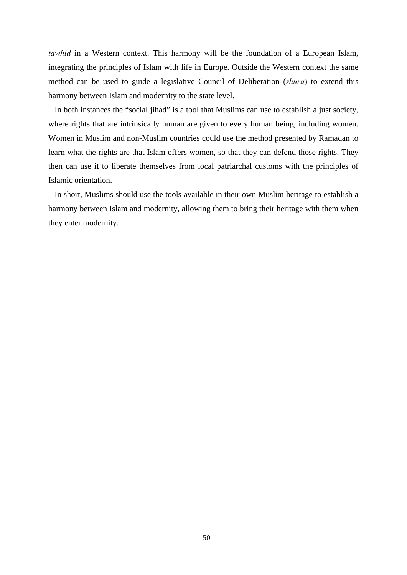*tawhid* in a Western context. This harmony will be the foundation of a European Islam, integrating the principles of Islam with life in Europe. Outside the Western context the same method can be used to guide a legislative Council of Deliberation (*shura*) to extend this harmony between Islam and modernity to the state level.

In both instances the "social jihad" is a tool that Muslims can use to establish a just society, where rights that are intrinsically human are given to every human being, including women. Women in Muslim and non-Muslim countries could use the method presented by Ramadan to learn what the rights are that Islam offers women, so that they can defend those rights. They then can use it to liberate themselves from local patriarchal customs with the principles of Islamic orientation.

In short, Muslims should use the tools available in their own Muslim heritage to establish a harmony between Islam and modernity, allowing them to bring their heritage with them when they enter modernity.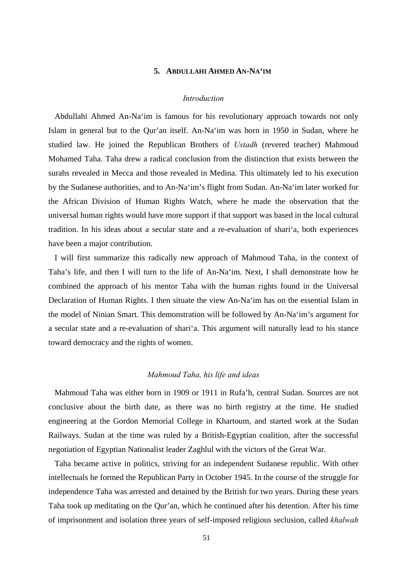# **5. ABDULLAHI AHMED AN-NA'IM**

### *Introduction*

Abdullahi Ahmed An-Na'im is famous for his revolutionary approach towards not only Islam in general but to the Qur'an itself. An-Na'im was born in 1950 in Sudan, where he studied law. He joined the Republican Brothers of *Ustadh* (revered teacher) Mahmoud Mohamed Taha. Taha drew a radical conclusion from the distinction that exists between the surahs revealed in Mecca and those revealed in Medina. This ultimately led to his execution by the Sudanese authorities, and to An-Na'im's flight from Sudan. An-Na'im later worked for the African Division of Human Rights Watch, where he made the observation that the universal human rights would have more support if that support was based in the local cultural tradition. In his ideas about a secular state and a re-evaluation of shari'a, both experiences have been a major contribution.

I will first summarize this radically new approach of Mahmoud Taha, in the context of Taha's life, and then I will turn to the life of An-Na'im. Next, I shall demonstrate how he combined the approach of his mentor Taha with the human rights found in the Universal Declaration of Human Rights. I then situate the view An-Na'im has on the essential Islam in the model of Ninian Smart. This demonstration will be followed by An-Na'im's argument for a secular state and a re-evaluation of shari'a. This argument will naturally lead to his stance toward democracy and the rights of women.

## *Mahmoud Taha, his life and ideas*

Mahmoud Taha was either born in 1909 or 1911 in Rufa'h, central Sudan. Sources are not conclusive about the birth date, as there was no birth registry at the time. He studied engineering at the Gordon Memorial College in Khartoum, and started work at the Sudan Railways. Sudan at the time was ruled by a British-Egyptian coalition, after the successful negotiation of Egyptian Nationalist leader Zaghlul with the victors of the Great War.

Taha became active in politics, striving for an independent Sudanese republic. With other intellectuals he formed the Republican Party in October 1945. In the course of the struggle for independence Taha was arrested and detained by the British for two years. During these years Taha took up meditating on the Qur'an, which he continued after his detention. After his time of imprisonment and isolation three years of self-imposed religious seclusion, called *khalwah*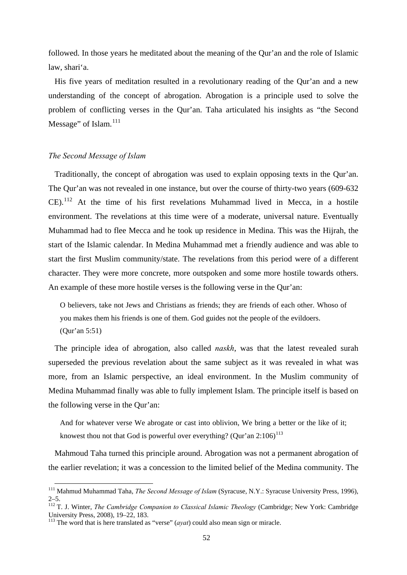followed. In those years he meditated about the meaning of the Qur'an and the role of Islamic law, shari'a.

His five years of meditation resulted in a revolutionary reading of the Qur'an and a new understanding of the concept of abrogation. Abrogation is a principle used to solve the problem of conflicting verses in the Qur'an. Taha articulated his insights as "the Second Message" of Islam.<sup>[111](#page-55-0)</sup>

## *The Second Message of Islam*

Traditionally, the concept of abrogation was used to explain opposing texts in the Qur'an. The Qur'an was not revealed in one instance, but over the course of thirty-two years (609-632  $CE$ ).<sup>[112](#page-55-1)</sup> At the time of his first revelations Muhammad lived in Mecca, in a hostile environment. The revelations at this time were of a moderate, universal nature. Eventually Muhammad had to flee Mecca and he took up residence in Medina. This was the Hijrah, the start of the Islamic calendar. In Medina Muhammad met a friendly audience and was able to start the first Muslim community/state. The revelations from this period were of a different character. They were more concrete, more outspoken and some more hostile towards others. An example of these more hostile verses is the following verse in the Qur'an:

O believers, take not Jews and Christians as friends; they are friends of each other. Whoso of you makes them his friends is one of them. God guides not the people of the evildoers. (Qur'an 5:51)

The principle idea of abrogation, also called *naskh*, was that the latest revealed surah superseded the previous revelation about the same subject as it was revealed in what was more, from an Islamic perspective, an ideal environment. In the Muslim community of Medina Muhammad finally was able to fully implement Islam. The principle itself is based on the following verse in the Qur'an:

And for whatever verse We abrogate or cast into oblivion, We bring a better or the like of it; knowest thou not that God is powerful over everything? (Qur'an  $2:106$ )<sup>[113](#page-55-2)</sup>

Mahmoud Taha turned this principle around. Abrogation was not a permanent abrogation of the earlier revelation; it was a concession to the limited belief of the Medina community. The

<span id="page-55-0"></span> <sup>111</sup> Mahmud Muhammad Taha, *The Second Message of Islam* (Syracuse, N.Y.: Syracuse University Press, 1996),  $2 - 5$ .

<span id="page-55-1"></span><sup>&</sup>lt;sup>112</sup> T. J. Winter, *The Cambridge Companion to Classical Islamic Theology* (Cambridge; New York: Cambridge University Press, 2008), 19–22, 183.

<span id="page-55-2"></span><sup>113</sup> The word that is here translated as "verse" (*ayat*) could also mean sign or miracle.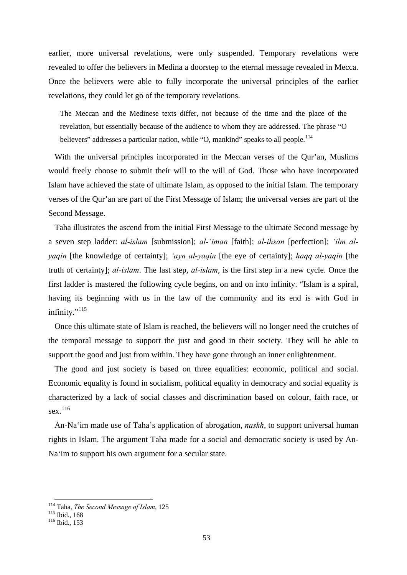earlier, more universal revelations, were only suspended. Temporary revelations were revealed to offer the believers in Medina a doorstep to the eternal message revealed in Mecca. Once the believers were able to fully incorporate the universal principles of the earlier revelations, they could let go of the temporary revelations.

The Meccan and the Medinese texts differ, not because of the time and the place of the revelation, but essentially because of the audience to whom they are addressed. The phrase "O believers" addresses a particular nation, while "O, mankind" speaks to all people.<sup>[114](#page-56-0)</sup>

With the universal principles incorporated in the Meccan verses of the Qur'an, Muslims would freely choose to submit their will to the will of God. Those who have incorporated Islam have achieved the state of ultimate Islam, as opposed to the initial Islam. The temporary verses of the Qur'an are part of the First Message of Islam; the universal verses are part of the Second Message.

Taha illustrates the ascend from the initial First Message to the ultimate Second message by a seven step ladder: *al-islam* [submission]; *al-'iman* [faith]; *al-ihsan* [perfection]; *'ilm alyaqin* [the knowledge of certainty]; *'ayn al-yaqin* [the eye of certainty]; *haqq al-yaqin* [the truth of certainty]; *al-islam*. The last step, *al-islam*, is the first step in a new cycle. Once the first ladder is mastered the following cycle begins, on and on into infinity. "Islam is a spiral, having its beginning with us in the law of the community and its end is with God in infinity. $115$ 

Once this ultimate state of Islam is reached, the believers will no longer need the crutches of the temporal message to support the just and good in their society. They will be able to support the good and just from within. They have gone through an inner enlightenment.

The good and just society is based on three equalities: economic, political and social. Economic equality is found in socialism, political equality in democracy and social equality is characterized by a lack of social classes and discrimination based on colour, faith race, or sex.<sup>[116](#page-56-2)</sup>

An-Na'im made use of Taha's application of abrogation, *naskh*, to support universal human rights in Islam. The argument Taha made for a social and democratic society is used by An-Na'im to support his own argument for a secular state.

<span id="page-56-0"></span><sup>&</sup>lt;sup>114</sup> Taha, *The Second Message of Islam*, 125<br><sup>115</sup> Ibid., 168<br><sup>116</sup> Ibid., 153

<span id="page-56-2"></span><span id="page-56-1"></span>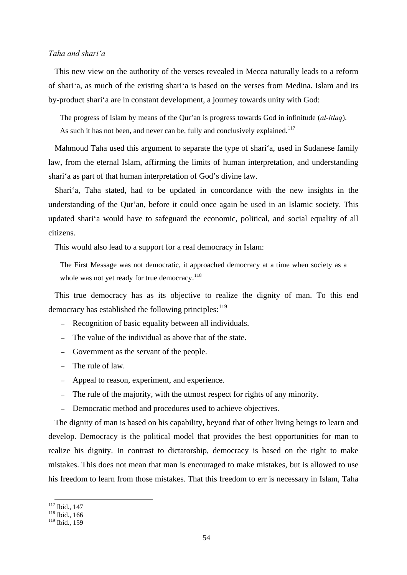# *Taha and shari'a*

This new view on the authority of the verses revealed in Mecca naturally leads to a reform of shari'a, as much of the existing shari'a is based on the verses from Medina. Islam and its by-product shari'a are in constant development, a journey towards unity with God:

The progress of Islam by means of the Qur'an is progress towards God in infinitude (*al-itlaq*). As such it has not been, and never can be, fully and conclusively explained.<sup>[117](#page-57-0)</sup>

Mahmoud Taha used this argument to separate the type of shari'a, used in Sudanese family law, from the eternal Islam, affirming the limits of human interpretation, and understanding shari'a as part of that human interpretation of God's divine law.

Shari'a, Taha stated, had to be updated in concordance with the new insights in the understanding of the Qur'an, before it could once again be used in an Islamic society. This updated shari'a would have to safeguard the economic, political, and social equality of all citizens.

This would also lead to a support for a real democracy in Islam:

The First Message was not democratic, it approached democracy at a time when society as a whole was not yet ready for true democracy.<sup>[118](#page-57-1)</sup>

This true democracy has as its objective to realize the dignity of man. To this end democracy has established the following principles:  $119$ 

- Recognition of basic equality between all individuals.
- The value of the individual as above that of the state.
- Government as the servant of the people.
- The rule of law.
- Appeal to reason, experiment, and experience.
- The rule of the majority, with the utmost respect for rights of any minority.
- Democratic method and procedures used to achieve objectives.

The dignity of man is based on his capability, beyond that of other living beings to learn and develop. Democracy is the political model that provides the best opportunities for man to realize his dignity. In contrast to dictatorship, democracy is based on the right to make mistakes. This does not mean that man is encouraged to make mistakes, but is allowed to use his freedom to learn from those mistakes. That this freedom to err is necessary in Islam, Taha

<span id="page-57-0"></span> $\frac{117}{118}$  Ibid., 147<br><sup>118</sup> Ibid., 166

<span id="page-57-1"></span>

<span id="page-57-2"></span><sup>119</sup> Ibid., 159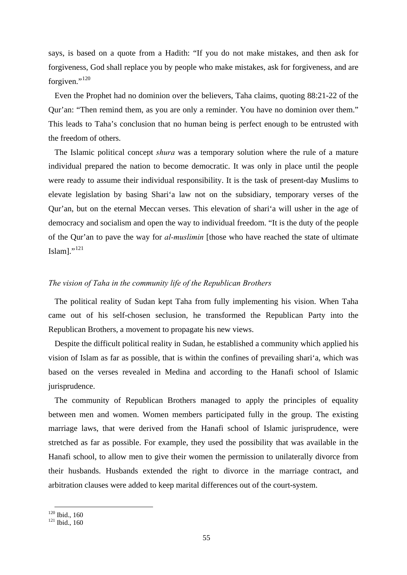says, is based on a quote from a Hadith: "If you do not make mistakes, and then ask for forgiveness, God shall replace you by people who make mistakes, ask for forgiveness, and are forgiven."<sup>[120](#page-58-0)</sup>

Even the Prophet had no dominion over the believers, Taha claims, quoting 88:21-22 of the Qur'an: "Then remind them, as you are only a reminder. You have no dominion over them." This leads to Taha's conclusion that no human being is perfect enough to be entrusted with the freedom of others.

The Islamic political concept *shura* was a temporary solution where the rule of a mature individual prepared the nation to become democratic. It was only in place until the people were ready to assume their individual responsibility. It is the task of present-day Muslims to elevate legislation by basing Shari'a law not on the subsidiary, temporary verses of the Qur'an, but on the eternal Meccan verses. This elevation of shari'a will usher in the age of democracy and socialism and open the way to individual freedom. "It is the duty of the people of the Qur'an to pave the way for *al-muslimin* [those who have reached the state of ultimate Islam]."<sup>[121](#page-58-1)</sup>

# *The vision of Taha in the community life of the Republican Brothers*

The political reality of Sudan kept Taha from fully implementing his vision. When Taha came out of his self-chosen seclusion, he transformed the Republican Party into the Republican Brothers, a movement to propagate his new views.

Despite the difficult political reality in Sudan, he established a community which applied his vision of Islam as far as possible, that is within the confines of prevailing shari'a, which was based on the verses revealed in Medina and according to the Hanafi school of Islamic jurisprudence.

The community of Republican Brothers managed to apply the principles of equality between men and women. Women members participated fully in the group. The existing marriage laws, that were derived from the Hanafi school of Islamic jurisprudence, were stretched as far as possible. For example, they used the possibility that was available in the Hanafi school, to allow men to give their women the permission to unilaterally divorce from their husbands. Husbands extended the right to divorce in the marriage contract, and arbitration clauses were added to keep marital differences out of the court-system.

<span id="page-58-1"></span><span id="page-58-0"></span> $\frac{120}{121}$  Ibid., 160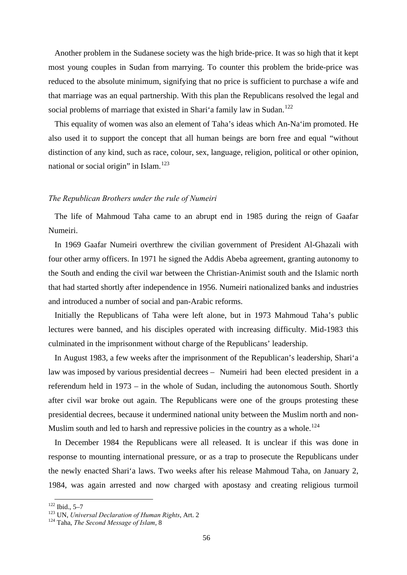Another problem in the Sudanese society was the high bride-price. It was so high that it kept most young couples in Sudan from marrying. To counter this problem the bride-price was reduced to the absolute minimum, signifying that no price is sufficient to purchase a wife and that marriage was an equal partnership. With this plan the Republicans resolved the legal and social problems of marriage that existed in Shari'a family law in Sudan.<sup>[122](#page-59-0)</sup>

This equality of women was also an element of Taha's ideas which An-Na'im promoted. He also used it to support the concept that all human beings are born free and equal "without distinction of any kind, such as race, colour, sex, language, religion, political or other opinion, national or social origin" in Islam. $123$ 

## *The Republican Brothers under the rule of Numeiri*

The life of Mahmoud Taha came to an abrupt end in 1985 during the reign of Gaafar Numeiri.

In 1969 Gaafar Numeiri overthrew the civilian government of President Al-Ghazali with four other army officers. In 1971 he signed the Addis Abeba agreement, granting autonomy to the South and ending the civil war between the Christian-Animist south and the Islamic north that had started shortly after independence in 1956. Numeiri nationalized banks and industries and introduced a number of social and pan-Arabic reforms.

Initially the Republicans of Taha were left alone, but in 1973 Mahmoud Taha's public lectures were banned, and his disciples operated with increasing difficulty. Mid-1983 this culminated in the imprisonment without charge of the Republicans' leadership.

In August 1983, a few weeks after the imprisonment of the Republican's leadership, Shari'a law was imposed by various presidential decrees – Numeiri had been elected president in a referendum held in 1973 – in the whole of Sudan, including the autonomous South. Shortly after civil war broke out again. The Republicans were one of the groups protesting these presidential decrees, because it undermined national unity between the Muslim north and non-Muslim south and led to harsh and repressive policies in the country as a whole.<sup>[124](#page-59-2)</sup>

In December 1984 the Republicans were all released. It is unclear if this was done in response to mounting international pressure, or as a trap to prosecute the Republicans under the newly enacted Shari'a laws. Two weeks after his release Mahmoud Taha, on January 2, 1984, was again arrested and now charged with apostasy and creating religious turmoil

<span id="page-59-1"></span><span id="page-59-0"></span> <sup>122</sup> Ibid., 5–7 123 UN, *Universal Declaration of Human Rights*, Art. 2 124 Taha, *The Second Message of Islam*, 8

<span id="page-59-2"></span>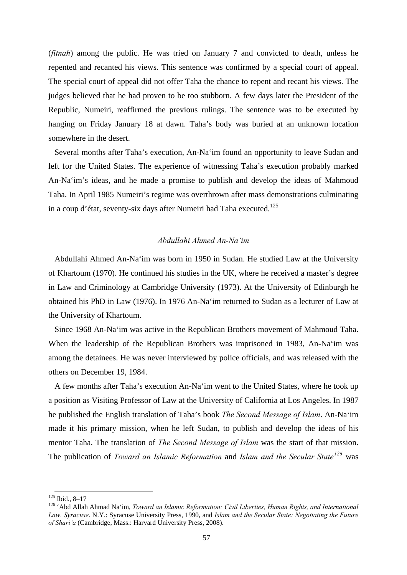(*fitnah*) among the public. He was tried on January 7 and convicted to death, unless he repented and recanted his views. This sentence was confirmed by a special court of appeal. The special court of appeal did not offer Taha the chance to repent and recant his views. The judges believed that he had proven to be too stubborn. A few days later the President of the Republic, Numeiri, reaffirmed the previous rulings. The sentence was to be executed by hanging on Friday January 18 at dawn. Taha's body was buried at an unknown location somewhere in the desert.

Several months after Taha's execution, An-Na'im found an opportunity to leave Sudan and left for the United States. The experience of witnessing Taha's execution probably marked An-Na'im's ideas, and he made a promise to publish and develop the ideas of Mahmoud Taha. In April 1985 Numeiri's regime was overthrown after mass demonstrations culminating in a coup d'état, seventy-six days after Numeiri had Taha executed.<sup>[125](#page-60-0)</sup>

# *Abdullahi Ahmed An-Na'im*

Abdullahi Ahmed An-Na'im was born in 1950 in Sudan. He studied Law at the University of Khartoum (1970). He continued his studies in the UK, where he received a master's degree in Law and Criminology at Cambridge University (1973). At the University of Edinburgh he obtained his PhD in Law (1976). In 1976 An-Na'im returned to Sudan as a lecturer of Law at the University of Khartoum.

Since 1968 An-Na'im was active in the Republican Brothers movement of Mahmoud Taha. When the leadership of the Republican Brothers was imprisoned in 1983, An-Na'im was among the detainees. He was never interviewed by police officials, and was released with the others on December 19, 1984.

A few months after Taha's execution An-Na'im went to the United States, where he took up a position as Visiting Professor of Law at the University of California at Los Angeles. In 1987 he published the English translation of Taha's book *The Second Message of Islam*. An-Na'im made it his primary mission, when he left Sudan, to publish and develop the ideas of his mentor Taha. The translation of *The Second Message of Islam* was the start of that mission. The publication of *Toward an Islamic Reformation* and *Islam and the Secular State[126](#page-60-1)* was

<span id="page-60-1"></span>

<span id="page-60-0"></span><sup>&</sup>lt;sup>125</sup> Ibid., 8–17<br><sup>126</sup> 'Abd Allah Ahmad Na'im, *Toward an Islamic Reformation: Civil Liberties, Human Rights, and International Law. Syracuse*. N.Y.: Syracuse University Press, 1990, and *Islam and the Secular State: Negotiating the Future of Shari'a* (Cambridge, Mass.: Harvard University Press, 2008).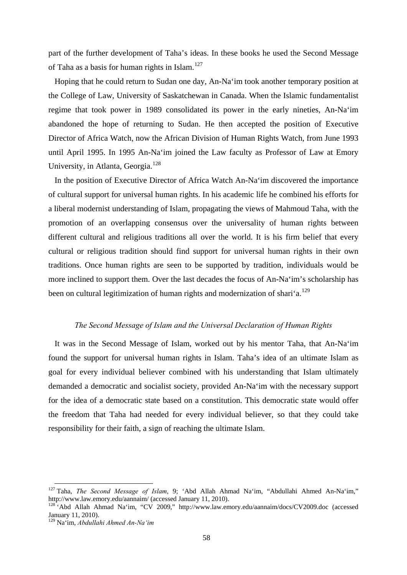part of the further development of Taha's ideas. In these books he used the Second Message of Taha as a basis for human rights in Islam.<sup>[127](#page-61-0)</sup>

Hoping that he could return to Sudan one day, An-Na'im took another temporary position at the College of Law, University of Saskatchewan in Canada. When the Islamic fundamentalist regime that took power in 1989 consolidated its power in the early nineties, An-Na'im abandoned the hope of returning to Sudan. He then accepted the position of Executive Director of Africa Watch, now the African Division of Human Rights Watch, from June 1993 until April 1995. In 1995 An-Na'im joined the Law faculty as Professor of Law at Emory University, in Atlanta, Georgia.<sup>[128](#page-61-1)</sup>

In the position of Executive Director of Africa Watch An-Na'im discovered the importance of cultural support for universal human rights. In his academic life he combined his efforts for a liberal modernist understanding of Islam, propagating the views of Mahmoud Taha, with the promotion of an overlapping consensus over the universality of human rights between different cultural and religious traditions all over the world. It is his firm belief that every cultural or religious tradition should find support for universal human rights in their own traditions. Once human rights are seen to be supported by tradition, individuals would be more inclined to support them. Over the last decades the focus of An-Na'im's scholarship has been on cultural legitimization of human rights and modernization of shari'a.<sup>[129](#page-61-2)</sup>

## *The Second Message of Islam and the Universal Declaration of Human Rights*

It was in the Second Message of Islam, worked out by his mentor Taha, that An-Na'im found the support for universal human rights in Islam. Taha's idea of an ultimate Islam as goal for every individual believer combined with his understanding that Islam ultimately demanded a democratic and socialist society, provided An-Na'im with the necessary support for the idea of a democratic state based on a constitution. This democratic state would offer the freedom that Taha had needed for every individual believer, so that they could take responsibility for their faith, a sign of reaching the ultimate Islam.

<span id="page-61-0"></span><sup>&</sup>lt;sup>127</sup> Taha, *The Second Message of Islam*, 9; 'Abd Allah Ahmad Na'im, ''Abdullahi Ahmed An-Na'im,''<br>http://www.law.emory.edu/aannaim/ (accessed January 11, 2010).

<span id="page-61-1"></span><sup>&</sup>lt;sup>128</sup> Abd Allah Ahmad Na'im, "CV 2009," http://www.law.emory.edu/aannaim/docs/CV2009.doc (accessed January 11, 2010).

<span id="page-61-2"></span><sup>129</sup> Na'im, *Abdullahi Ahmed An-Na'im*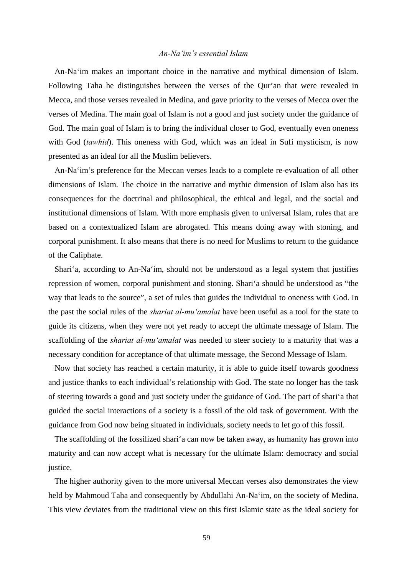# *An-Na'im's essential Islam*

An-Na'im makes an important choice in the narrative and mythical dimension of Islam. Following Taha he distinguishes between the verses of the Qur'an that were revealed in Mecca, and those verses revealed in Medina, and gave priority to the verses of Mecca over the verses of Medina. The main goal of Islam is not a good and just society under the guidance of God. The main goal of Islam is to bring the individual closer to God, eventually even oneness with God (*tawhid*). This oneness with God, which was an ideal in Sufi mysticism, is now presented as an ideal for all the Muslim believers.

An-Na'im's preference for the Meccan verses leads to a complete re-evaluation of all other dimensions of Islam. The choice in the narrative and mythic dimension of Islam also has its consequences for the doctrinal and philosophical, the ethical and legal, and the social and institutional dimensions of Islam. With more emphasis given to universal Islam, rules that are based on a contextualized Islam are abrogated. This means doing away with stoning, and corporal punishment. It also means that there is no need for Muslims to return to the guidance of the Caliphate.

Shari'a, according to An-Na'im, should not be understood as a legal system that justifies repression of women, corporal punishment and stoning. Shari'a should be understood as "the way that leads to the source", a set of rules that guides the individual to oneness with God. In the past the social rules of the *shariat al-mu'amalat* have been useful as a tool for the state to guide its citizens, when they were not yet ready to accept the ultimate message of Islam. The scaffolding of the *shariat al-mu'amalat* was needed to steer society to a maturity that was a necessary condition for acceptance of that ultimate message, the Second Message of Islam.

Now that society has reached a certain maturity, it is able to guide itself towards goodness and justice thanks to each individual's relationship with God. The state no longer has the task of steering towards a good and just society under the guidance of God. The part of shari'a that guided the social interactions of a society is a fossil of the old task of government. With the guidance from God now being situated in individuals, society needs to let go of this fossil.

The scaffolding of the fossilized shari'a can now be taken away, as humanity has grown into maturity and can now accept what is necessary for the ultimate Islam: democracy and social justice.

The higher authority given to the more universal Meccan verses also demonstrates the view held by Mahmoud Taha and consequently by Abdullahi An-Na'im, on the society of Medina. This view deviates from the traditional view on this first Islamic state as the ideal society for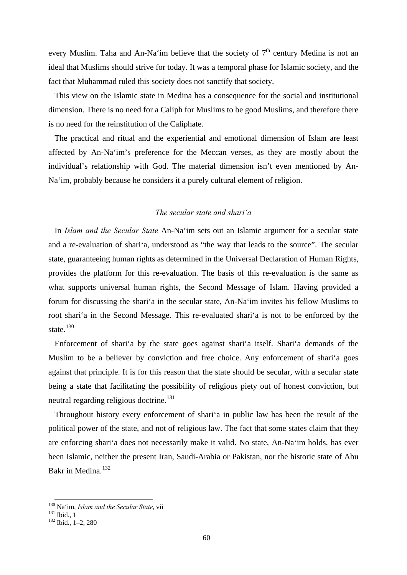every Muslim. Taha and An-Na'im believe that the society of  $7<sup>th</sup>$  century Medina is not an ideal that Muslims should strive for today. It was a temporal phase for Islamic society, and the fact that Muhammad ruled this society does not sanctify that society.

This view on the Islamic state in Medina has a consequence for the social and institutional dimension. There is no need for a Caliph for Muslims to be good Muslims, and therefore there is no need for the reinstitution of the Caliphate.

The practical and ritual and the experiential and emotional dimension of Islam are least affected by An-Na'im's preference for the Meccan verses, as they are mostly about the individual's relationship with God. The material dimension isn't even mentioned by An-Na'im, probably because he considers it a purely cultural element of religion.

## *The secular state and shari'a*

In *Islam and the Secular State* An-Na'im sets out an Islamic argument for a secular state and a re-evaluation of shari'a, understood as "the way that leads to the source". The secular state, guaranteeing human rights as determined in the Universal Declaration of Human Rights, provides the platform for this re-evaluation. The basis of this re-evaluation is the same as what supports universal human rights, the Second Message of Islam. Having provided a forum for discussing the shari'a in the secular state, An-Na'im invites his fellow Muslims to root shari'a in the Second Message. This re-evaluated shari'a is not to be enforced by the state.<sup>[130](#page-63-0)</sup>

Enforcement of shari'a by the state goes against shari'a itself. Shari'a demands of the Muslim to be a believer by conviction and free choice. Any enforcement of shari'a goes against that principle. It is for this reason that the state should be secular, with a secular state being a state that facilitating the possibility of religious piety out of honest conviction, but neutral regarding religious doctrine.<sup>[131](#page-63-1)</sup>

Throughout history every enforcement of shari'a in public law has been the result of the political power of the state, and not of religious law. The fact that some states claim that they are enforcing shari'a does not necessarily make it valid. No state, An-Na'im holds, has ever been Islamic, neither the present Iran, Saudi-Arabia or Pakistan, nor the historic state of Abu Bakr in Medina.<sup>[132](#page-63-2)</sup>

<span id="page-63-0"></span><sup>&</sup>lt;sup>130</sup> Na'im, *Islam and the Secular State*, vii<br><sup>131</sup> Ibid., 1<br><sup>132</sup> Ibid., 1–2, 280

<span id="page-63-2"></span><span id="page-63-1"></span>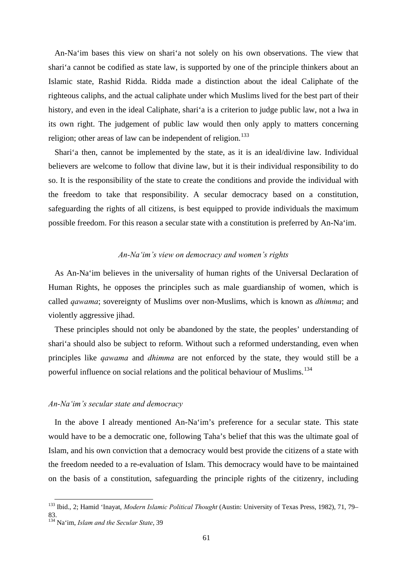An-Na'im bases this view on shari'a not solely on his own observations. The view that shari'a cannot be codified as state law, is supported by one of the principle thinkers about an Islamic state, Rashid Ridda. Ridda made a distinction about the ideal Caliphate of the righteous caliphs, and the actual caliphate under which Muslims lived for the best part of their history, and even in the ideal Caliphate, shari'a is a criterion to judge public law, not a lwa in its own right. The judgement of public law would then only apply to matters concerning religion; other areas of law can be independent of religion.<sup>[133](#page-64-0)</sup>

Shari'a then, cannot be implemented by the state, as it is an ideal/divine law. Individual believers are welcome to follow that divine law, but it is their individual responsibility to do so. It is the responsibility of the state to create the conditions and provide the individual with the freedom to take that responsibility. A secular democracy based on a constitution, safeguarding the rights of all citizens, is best equipped to provide individuals the maximum possible freedom. For this reason a secular state with a constitution is preferred by An-Na'im.

### *An-Na'im's view on democracy and women's rights*

As An-Na'im believes in the universality of human rights of the Universal Declaration of Human Rights, he opposes the principles such as male guardianship of women, which is called *qawama*; sovereignty of Muslims over non-Muslims, which is known as *dhimma*; and violently aggressive jihad.

These principles should not only be abandoned by the state, the peoples' understanding of shari'a should also be subject to reform. Without such a reformed understanding, even when principles like *qawama* and *dhimma* are not enforced by the state, they would still be a powerful influence on social relations and the political behaviour of Muslims.[134](#page-64-1)

#### *An-Na'im's secular state and democracy*

In the above I already mentioned An-Na'im's preference for a secular state. This state would have to be a democratic one, following Taha's belief that this was the ultimate goal of Islam, and his own conviction that a democracy would best provide the citizens of a state with the freedom needed to a re-evaluation of Islam. This democracy would have to be maintained on the basis of a constitution, safeguarding the principle rights of the citizenry, including

<span id="page-64-0"></span> <sup>133</sup> Ibid., 2; Hamid 'Inayat, *Modern Islamic Political Thought* (Austin: University of Texas Press, 1982), 71, 79– 83.

<span id="page-64-1"></span><sup>134</sup> Na'im, *Islam and the Secular State*, 39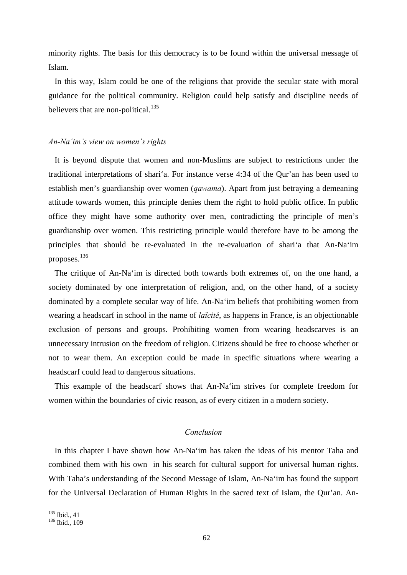minority rights. The basis for this democracy is to be found within the universal message of Islam.

In this way, Islam could be one of the religions that provide the secular state with moral guidance for the political community. Religion could help satisfy and discipline needs of believers that are non-political.<sup>[135](#page-65-0)</sup>

#### *An-Na'im's view on women's rights*

It is beyond dispute that women and non-Muslims are subject to restrictions under the traditional interpretations of shari'a. For instance verse 4:34 of the Qur'an has been used to establish men's guardianship over women (*qawama*). Apart from just betraying a demeaning attitude towards women, this principle denies them the right to hold public office. In public office they might have some authority over men, contradicting the principle of men's guardianship over women. This restricting principle would therefore have to be among the principles that should be re-evaluated in the re-evaluation of shari'a that An-Na'im proposes.[136](#page-65-1)

The critique of An-Na'im is directed both towards both extremes of, on the one hand, a society dominated by one interpretation of religion, and, on the other hand, of a society dominated by a complete secular way of life. An-Na'im beliefs that prohibiting women from wearing a headscarf in school in the name of *laïcité*, as happens in France, is an objectionable exclusion of persons and groups. Prohibiting women from wearing headscarves is an unnecessary intrusion on the freedom of religion. Citizens should be free to choose whether or not to wear them. An exception could be made in specific situations where wearing a headscarf could lead to dangerous situations.

This example of the headscarf shows that An-Na'im strives for complete freedom for women within the boundaries of civic reason, as of every citizen in a modern society.

# *Conclusion*

In this chapter I have shown how An-Na'im has taken the ideas of his mentor Taha and combined them with his own in his search for cultural support for universal human rights. With Taha's understanding of the Second Message of Islam, An-Na'im has found the support for the Universal Declaration of Human Rights in the sacred text of Islam, the Qur'an. An-

<span id="page-65-1"></span><span id="page-65-0"></span>

 $\frac{135}{136}$  Ibid., 41<br> $\frac{136}{109}$  Ibid., 109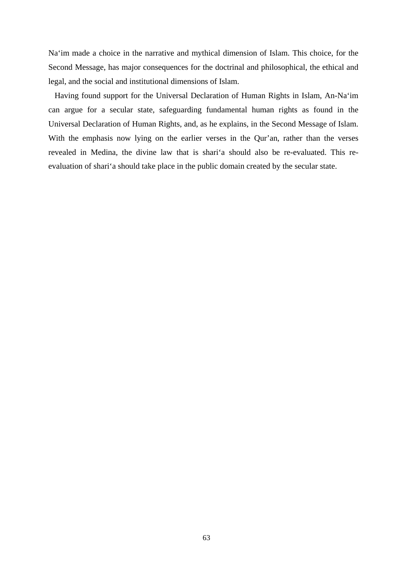Na'im made a choice in the narrative and mythical dimension of Islam. This choice, for the Second Message, has major consequences for the doctrinal and philosophical, the ethical and legal, and the social and institutional dimensions of Islam.

Having found support for the Universal Declaration of Human Rights in Islam, An-Na'im can argue for a secular state, safeguarding fundamental human rights as found in the Universal Declaration of Human Rights, and, as he explains, in the Second Message of Islam. With the emphasis now lying on the earlier verses in the Qur'an, rather than the verses revealed in Medina, the divine law that is shari'a should also be re-evaluated. This reevaluation of shari'a should take place in the public domain created by the secular state.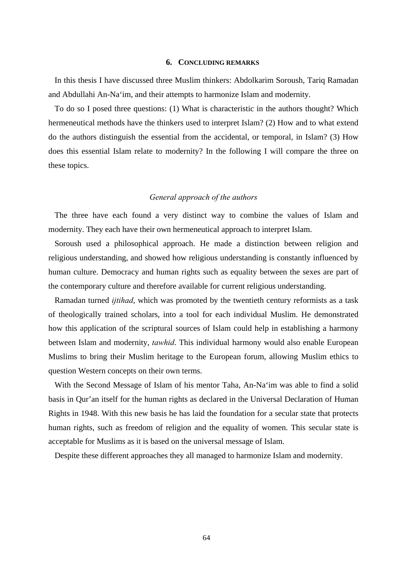#### **6. CONCLUDING REMARKS**

In this thesis I have discussed three Muslim thinkers: Abdolkarim Soroush, Tariq Ramadan and Abdullahi An-Na'im, and their attempts to harmonize Islam and modernity.

To do so I posed three questions: (1) What is characteristic in the authors thought? Which hermeneutical methods have the thinkers used to interpret Islam? (2) How and to what extend do the authors distinguish the essential from the accidental, or temporal, in Islam? (3) How does this essential Islam relate to modernity? In the following I will compare the three on these topics.

#### *General approach of the authors*

The three have each found a very distinct way to combine the values of Islam and modernity. They each have their own hermeneutical approach to interpret Islam.

Soroush used a philosophical approach. He made a distinction between religion and religious understanding, and showed how religious understanding is constantly influenced by human culture. Democracy and human rights such as equality between the sexes are part of the contemporary culture and therefore available for current religious understanding.

Ramadan turned *ijtihad*, which was promoted by the twentieth century reformists as a task of theologically trained scholars, into a tool for each individual Muslim. He demonstrated how this application of the scriptural sources of Islam could help in establishing a harmony between Islam and modernity, *tawhid*. This individual harmony would also enable European Muslims to bring their Muslim heritage to the European forum, allowing Muslim ethics to question Western concepts on their own terms.

With the Second Message of Islam of his mentor Taha, An-Na'im was able to find a solid basis in Qur'an itself for the human rights as declared in the Universal Declaration of Human Rights in 1948. With this new basis he has laid the foundation for a secular state that protects human rights, such as freedom of religion and the equality of women. This secular state is acceptable for Muslims as it is based on the universal message of Islam.

Despite these different approaches they all managed to harmonize Islam and modernity.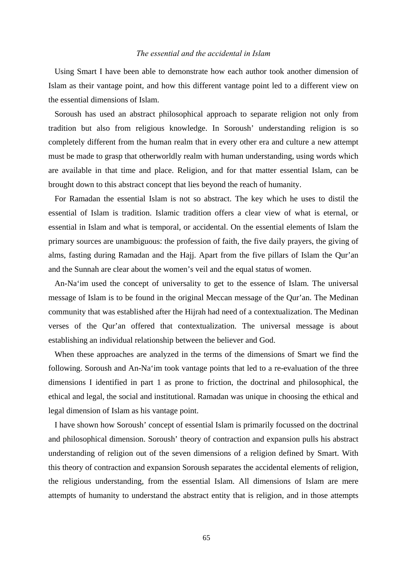# *The essential and the accidental in Islam*

Using Smart I have been able to demonstrate how each author took another dimension of Islam as their vantage point, and how this different vantage point led to a different view on the essential dimensions of Islam.

Soroush has used an abstract philosophical approach to separate religion not only from tradition but also from religious knowledge. In Soroush' understanding religion is so completely different from the human realm that in every other era and culture a new attempt must be made to grasp that otherworldly realm with human understanding, using words which are available in that time and place. Religion, and for that matter essential Islam, can be brought down to this abstract concept that lies beyond the reach of humanity.

For Ramadan the essential Islam is not so abstract. The key which he uses to distil the essential of Islam is tradition. Islamic tradition offers a clear view of what is eternal, or essential in Islam and what is temporal, or accidental. On the essential elements of Islam the primary sources are unambiguous: the profession of faith, the five daily prayers, the giving of alms, fasting during Ramadan and the Hajj. Apart from the five pillars of Islam the Qur'an and the Sunnah are clear about the women's veil and the equal status of women.

An-Na'im used the concept of universality to get to the essence of Islam. The universal message of Islam is to be found in the original Meccan message of the Qur'an. The Medinan community that was established after the Hijrah had need of a contextualization. The Medinan verses of the Qur'an offered that contextualization. The universal message is about establishing an individual relationship between the believer and God.

When these approaches are analyzed in the terms of the dimensions of Smart we find the following. Soroush and An-Na'im took vantage points that led to a re-evaluation of the three dimensions I identified in part 1 as prone to friction, the doctrinal and philosophical, the ethical and legal, the social and institutional. Ramadan was unique in choosing the ethical and legal dimension of Islam as his vantage point.

I have shown how Soroush' concept of essential Islam is primarily focussed on the doctrinal and philosophical dimension. Soroush' theory of contraction and expansion pulls his abstract understanding of religion out of the seven dimensions of a religion defined by Smart. With this theory of contraction and expansion Soroush separates the accidental elements of religion, the religious understanding, from the essential Islam. All dimensions of Islam are mere attempts of humanity to understand the abstract entity that is religion, and in those attempts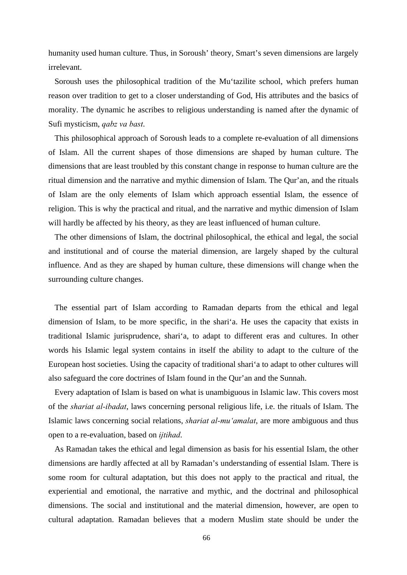humanity used human culture. Thus, in Soroush' theory, Smart's seven dimensions are largely irrelevant.

Soroush uses the philosophical tradition of the Mu'tazilite school, which prefers human reason over tradition to get to a closer understanding of God, His attributes and the basics of morality. The dynamic he ascribes to religious understanding is named after the dynamic of Sufi mysticism, *qabz va bast*.

This philosophical approach of Soroush leads to a complete re-evaluation of all dimensions of Islam. All the current shapes of those dimensions are shaped by human culture. The dimensions that are least troubled by this constant change in response to human culture are the ritual dimension and the narrative and mythic dimension of Islam. The Qur'an, and the rituals of Islam are the only elements of Islam which approach essential Islam, the essence of religion. This is why the practical and ritual, and the narrative and mythic dimension of Islam will hardly be affected by his theory, as they are least influenced of human culture.

The other dimensions of Islam, the doctrinal philosophical, the ethical and legal, the social and institutional and of course the material dimension, are largely shaped by the cultural influence. And as they are shaped by human culture, these dimensions will change when the surrounding culture changes.

The essential part of Islam according to Ramadan departs from the ethical and legal dimension of Islam, to be more specific, in the shari'a. He uses the capacity that exists in traditional Islamic jurisprudence, shari'a, to adapt to different eras and cultures. In other words his Islamic legal system contains in itself the ability to adapt to the culture of the European host societies. Using the capacity of traditional shari'a to adapt to other cultures will also safeguard the core doctrines of Islam found in the Qur'an and the Sunnah.

Every adaptation of Islam is based on what is unambiguous in Islamic law. This covers most of the *shariat al-ibadat*, laws concerning personal religious life, i.e. the rituals of Islam. The Islamic laws concerning social relations, *shariat al-mu'amalat*, are more ambiguous and thus open to a re-evaluation, based on *ijtihad*.

As Ramadan takes the ethical and legal dimension as basis for his essential Islam, the other dimensions are hardly affected at all by Ramadan's understanding of essential Islam. There is some room for cultural adaptation, but this does not apply to the practical and ritual, the experiential and emotional, the narrative and mythic, and the doctrinal and philosophical dimensions. The social and institutional and the material dimension, however, are open to cultural adaptation. Ramadan believes that a modern Muslim state should be under the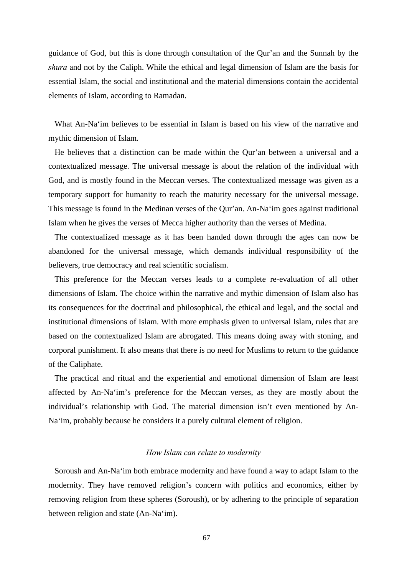guidance of God, but this is done through consultation of the Qur'an and the Sunnah by the *shura* and not by the Caliph. While the ethical and legal dimension of Islam are the basis for essential Islam, the social and institutional and the material dimensions contain the accidental elements of Islam, according to Ramadan.

What An-Na'im believes to be essential in Islam is based on his view of the narrative and mythic dimension of Islam.

He believes that a distinction can be made within the Qur'an between a universal and a contextualized message. The universal message is about the relation of the individual with God, and is mostly found in the Meccan verses. The contextualized message was given as a temporary support for humanity to reach the maturity necessary for the universal message. This message is found in the Medinan verses of the Qur'an. An-Na'im goes against traditional Islam when he gives the verses of Mecca higher authority than the verses of Medina.

The contextualized message as it has been handed down through the ages can now be abandoned for the universal message, which demands individual responsibility of the believers, true democracy and real scientific socialism.

This preference for the Meccan verses leads to a complete re-evaluation of all other dimensions of Islam. The choice within the narrative and mythic dimension of Islam also has its consequences for the doctrinal and philosophical, the ethical and legal, and the social and institutional dimensions of Islam. With more emphasis given to universal Islam, rules that are based on the contextualized Islam are abrogated. This means doing away with stoning, and corporal punishment. It also means that there is no need for Muslims to return to the guidance of the Caliphate.

The practical and ritual and the experiential and emotional dimension of Islam are least affected by An-Na'im's preference for the Meccan verses, as they are mostly about the individual's relationship with God. The material dimension isn't even mentioned by An-Na'im, probably because he considers it a purely cultural element of religion.

# *How Islam can relate to modernity*

Soroush and An-Na'im both embrace modernity and have found a way to adapt Islam to the modernity. They have removed religion's concern with politics and economics, either by removing religion from these spheres (Soroush), or by adhering to the principle of separation between religion and state (An-Na'im).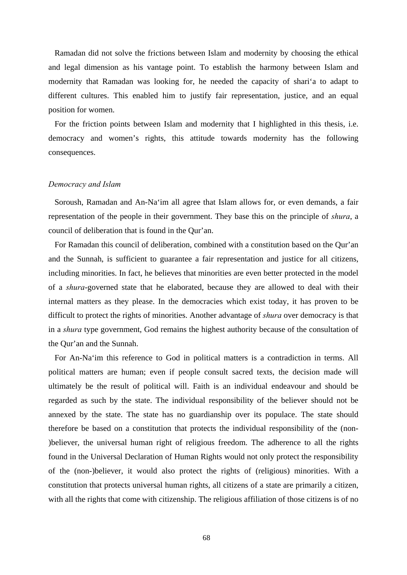Ramadan did not solve the frictions between Islam and modernity by choosing the ethical and legal dimension as his vantage point. To establish the harmony between Islam and modernity that Ramadan was looking for, he needed the capacity of shari'a to adapt to different cultures. This enabled him to justify fair representation, justice, and an equal position for women.

For the friction points between Islam and modernity that I highlighted in this thesis, i.e. democracy and women's rights, this attitude towards modernity has the following consequences.

# *Democracy and Islam*

Soroush, Ramadan and An-Na'im all agree that Islam allows for, or even demands, a fair representation of the people in their government. They base this on the principle of *shura*, a council of deliberation that is found in the Qur'an.

For Ramadan this council of deliberation, combined with a constitution based on the Qur'an and the Sunnah, is sufficient to guarantee a fair representation and justice for all citizens, including minorities. In fact, he believes that minorities are even better protected in the model of a *shura*-governed state that he elaborated, because they are allowed to deal with their internal matters as they please. In the democracies which exist today, it has proven to be difficult to protect the rights of minorities. Another advantage of *shura* over democracy is that in a *shura* type government, God remains the highest authority because of the consultation of the Qur'an and the Sunnah.

For An-Na'im this reference to God in political matters is a contradiction in terms. All political matters are human; even if people consult sacred texts, the decision made will ultimately be the result of political will. Faith is an individual endeavour and should be regarded as such by the state. The individual responsibility of the believer should not be annexed by the state. The state has no guardianship over its populace. The state should therefore be based on a constitution that protects the individual responsibility of the (non- )believer, the universal human right of religious freedom. The adherence to all the rights found in the Universal Declaration of Human Rights would not only protect the responsibility of the (non-)believer, it would also protect the rights of (religious) minorities. With a constitution that protects universal human rights, all citizens of a state are primarily a citizen, with all the rights that come with citizenship. The religious affiliation of those citizens is of no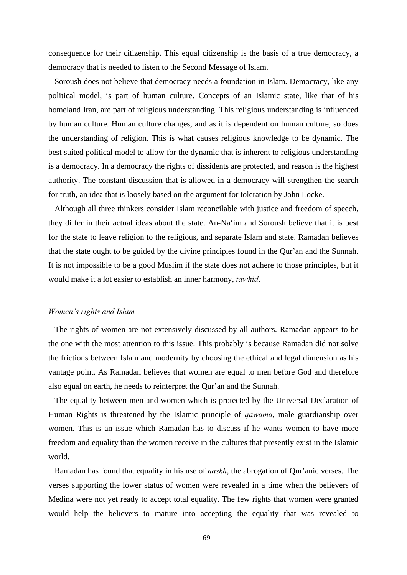consequence for their citizenship. This equal citizenship is the basis of a true democracy, a democracy that is needed to listen to the Second Message of Islam.

Soroush does not believe that democracy needs a foundation in Islam. Democracy, like any political model, is part of human culture. Concepts of an Islamic state, like that of his homeland Iran, are part of religious understanding. This religious understanding is influenced by human culture. Human culture changes, and as it is dependent on human culture, so does the understanding of religion. This is what causes religious knowledge to be dynamic. The best suited political model to allow for the dynamic that is inherent to religious understanding is a democracy. In a democracy the rights of dissidents are protected, and reason is the highest authority. The constant discussion that is allowed in a democracy will strengthen the search for truth, an idea that is loosely based on the argument for toleration by John Locke.

Although all three thinkers consider Islam reconcilable with justice and freedom of speech, they differ in their actual ideas about the state. An-Na'im and Soroush believe that it is best for the state to leave religion to the religious, and separate Islam and state. Ramadan believes that the state ought to be guided by the divine principles found in the Qur'an and the Sunnah. It is not impossible to be a good Muslim if the state does not adhere to those principles, but it would make it a lot easier to establish an inner harmony, *tawhid*.

## *Women's rights and Islam*

The rights of women are not extensively discussed by all authors. Ramadan appears to be the one with the most attention to this issue. This probably is because Ramadan did not solve the frictions between Islam and modernity by choosing the ethical and legal dimension as his vantage point. As Ramadan believes that women are equal to men before God and therefore also equal on earth, he needs to reinterpret the Qur'an and the Sunnah.

The equality between men and women which is protected by the Universal Declaration of Human Rights is threatened by the Islamic principle of *qawama*, male guardianship over women. This is an issue which Ramadan has to discuss if he wants women to have more freedom and equality than the women receive in the cultures that presently exist in the Islamic world.

Ramadan has found that equality in his use of *naskh*, the abrogation of Qur'anic verses. The verses supporting the lower status of women were revealed in a time when the believers of Medina were not yet ready to accept total equality. The few rights that women were granted would help the believers to mature into accepting the equality that was revealed to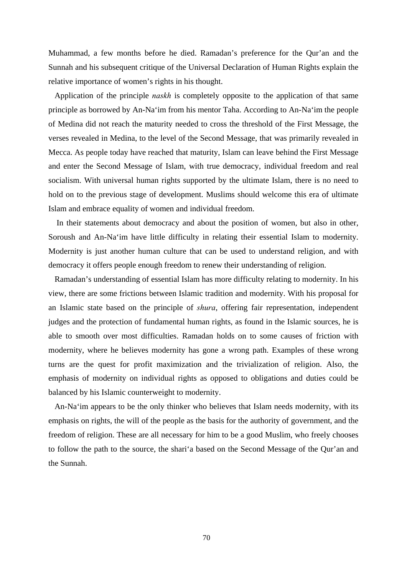Muhammad, a few months before he died. Ramadan's preference for the Qur'an and the Sunnah and his subsequent critique of the Universal Declaration of Human Rights explain the relative importance of women's rights in his thought.

Application of the principle *naskh* is completely opposite to the application of that same principle as borrowed by An-Na'im from his mentor Taha. According to An-Na'im the people of Medina did not reach the maturity needed to cross the threshold of the First Message, the verses revealed in Medina, to the level of the Second Message, that was primarily revealed in Mecca. As people today have reached that maturity, Islam can leave behind the First Message and enter the Second Message of Islam, with true democracy, individual freedom and real socialism. With universal human rights supported by the ultimate Islam, there is no need to hold on to the previous stage of development. Muslims should welcome this era of ultimate Islam and embrace equality of women and individual freedom.

 In their statements about democracy and about the position of women, but also in other, Soroush and An-Na'im have little difficulty in relating their essential Islam to modernity. Modernity is just another human culture that can be used to understand religion, and with democracy it offers people enough freedom to renew their understanding of religion.

Ramadan's understanding of essential Islam has more difficulty relating to modernity. In his view, there are some frictions between Islamic tradition and modernity. With his proposal for an Islamic state based on the principle of *shura*, offering fair representation, independent judges and the protection of fundamental human rights, as found in the Islamic sources, he is able to smooth over most difficulties. Ramadan holds on to some causes of friction with modernity, where he believes modernity has gone a wrong path. Examples of these wrong turns are the quest for profit maximization and the trivialization of religion. Also, the emphasis of modernity on individual rights as opposed to obligations and duties could be balanced by his Islamic counterweight to modernity.

An-Na'im appears to be the only thinker who believes that Islam needs modernity, with its emphasis on rights, the will of the people as the basis for the authority of government, and the freedom of religion. These are all necessary for him to be a good Muslim, who freely chooses to follow the path to the source, the shari'a based on the Second Message of the Qur'an and the Sunnah.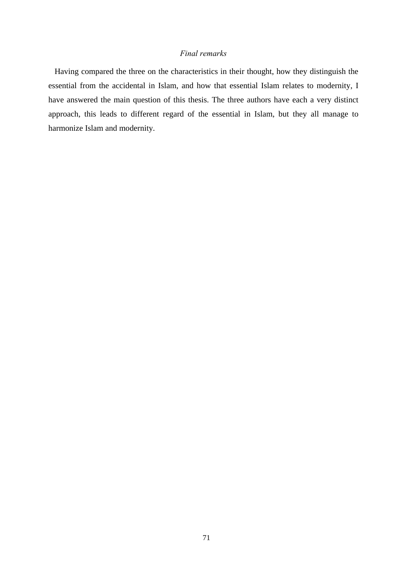## *Final remarks*

Having compared the three on the characteristics in their thought, how they distinguish the essential from the accidental in Islam, and how that essential Islam relates to modernity, I have answered the main question of this thesis. The three authors have each a very distinct approach, this leads to different regard of the essential in Islam, but they all manage to harmonize Islam and modernity.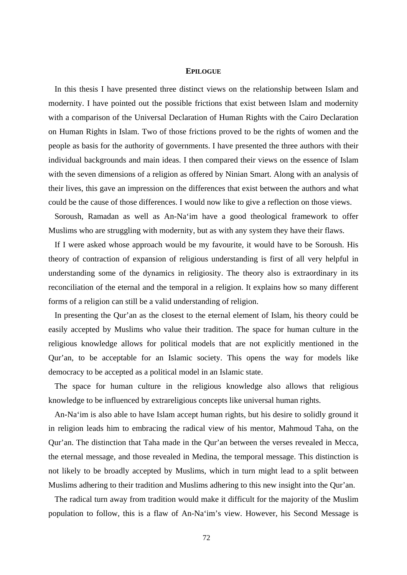## **EPILOGUE**

In this thesis I have presented three distinct views on the relationship between Islam and modernity. I have pointed out the possible frictions that exist between Islam and modernity with a comparison of the Universal Declaration of Human Rights with the Cairo Declaration on Human Rights in Islam. Two of those frictions proved to be the rights of women and the people as basis for the authority of governments. I have presented the three authors with their individual backgrounds and main ideas. I then compared their views on the essence of Islam with the seven dimensions of a religion as offered by Ninian Smart. Along with an analysis of their lives, this gave an impression on the differences that exist between the authors and what could be the cause of those differences. I would now like to give a reflection on those views.

Soroush, Ramadan as well as An-Na'im have a good theological framework to offer Muslims who are struggling with modernity, but as with any system they have their flaws.

If I were asked whose approach would be my favourite, it would have to be Soroush. His theory of contraction of expansion of religious understanding is first of all very helpful in understanding some of the dynamics in religiosity. The theory also is extraordinary in its reconciliation of the eternal and the temporal in a religion. It explains how so many different forms of a religion can still be a valid understanding of religion.

In presenting the Qur'an as the closest to the eternal element of Islam, his theory could be easily accepted by Muslims who value their tradition. The space for human culture in the religious knowledge allows for political models that are not explicitly mentioned in the Qur'an, to be acceptable for an Islamic society. This opens the way for models like democracy to be accepted as a political model in an Islamic state.

The space for human culture in the religious knowledge also allows that religious knowledge to be influenced by extrareligious concepts like universal human rights.

An-Na'im is also able to have Islam accept human rights, but his desire to solidly ground it in religion leads him to embracing the radical view of his mentor, Mahmoud Taha, on the Qur'an. The distinction that Taha made in the Qur'an between the verses revealed in Mecca, the eternal message, and those revealed in Medina, the temporal message. This distinction is not likely to be broadly accepted by Muslims, which in turn might lead to a split between Muslims adhering to their tradition and Muslims adhering to this new insight into the Qur'an.

The radical turn away from tradition would make it difficult for the majority of the Muslim population to follow, this is a flaw of An-Na'im's view. However, his Second Message is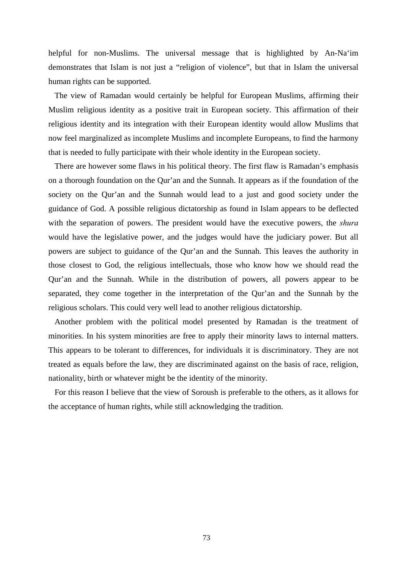helpful for non-Muslims. The universal message that is highlighted by An-Na'im demonstrates that Islam is not just a "religion of violence", but that in Islam the universal human rights can be supported.

The view of Ramadan would certainly be helpful for European Muslims, affirming their Muslim religious identity as a positive trait in European society. This affirmation of their religious identity and its integration with their European identity would allow Muslims that now feel marginalized as incomplete Muslims and incomplete Europeans, to find the harmony that is needed to fully participate with their whole identity in the European society.

There are however some flaws in his political theory. The first flaw is Ramadan's emphasis on a thorough foundation on the Qur'an and the Sunnah. It appears as if the foundation of the society on the Qur'an and the Sunnah would lead to a just and good society under the guidance of God. A possible religious dictatorship as found in Islam appears to be deflected with the separation of powers. The president would have the executive powers, the *shura* would have the legislative power, and the judges would have the judiciary power. But all powers are subject to guidance of the Qur'an and the Sunnah. This leaves the authority in those closest to God, the religious intellectuals, those who know how we should read the Qur'an and the Sunnah. While in the distribution of powers, all powers appear to be separated, they come together in the interpretation of the Qur'an and the Sunnah by the religious scholars. This could very well lead to another religious dictatorship.

Another problem with the political model presented by Ramadan is the treatment of minorities. In his system minorities are free to apply their minority laws to internal matters. This appears to be tolerant to differences, for individuals it is discriminatory. They are not treated as equals before the law, they are discriminated against on the basis of race, religion, nationality, birth or whatever might be the identity of the minority.

For this reason I believe that the view of Soroush is preferable to the others, as it allows for the acceptance of human rights, while still acknowledging the tradition.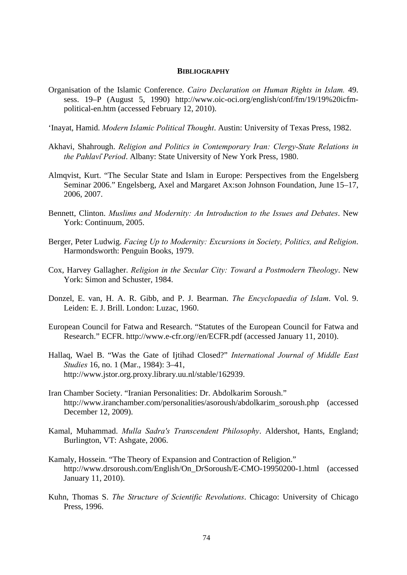## **BIBLIOGRAPHY**

- Organisation of the Islamic Conference. *Cairo Declaration on Human Rights in Islam.* 49. sess. 19–P (August 5, 1990) http://www.oic-oci.org/english/conf/fm/19/19%20icfmpolitical-en.htm (accessed February 12, 2010).
- 'Inayat, Hamid. *Modern Islamic Political Thought*. Austin: University of Texas Press, 1982.
- Akhavi, Shahrough. *Religion and Politics in Contemporary Iran: Clergy-State Relations in the Pahlavi*̄ *Period*. Albany: State University of New York Press, 1980.
- Almqvist, Kurt. "The Secular State and Islam in Europe: Perspectives from the Engelsberg Seminar 2006." Engelsberg, Axel and Margaret Ax:son Johnson Foundation, June 15–17, 2006, 2007.
- Bennett, Clinton. *Muslims and Modernity: An Introduction to the Issues and Debates*. New York: Continuum, 2005.
- Berger, Peter Ludwig. *Facing Up to Modernity: Excursions in Society, Politics, and Religion*. Harmondsworth: Penguin Books, 1979.
- Cox, Harvey Gallagher. *Religion in the Secular City: Toward a Postmodern Theology*. New York: Simon and Schuster, 1984.
- Donzel, E. van, H. A. R. Gibb, and P. J. Bearman. *The Encyclopaedia of Islam*. Vol. 9. Leiden: E. J. Brill. London: Luzac, 1960.
- European Council for Fatwa and Research. "Statutes of the European Council for Fatwa and Research." ECFR. http://www.e-cfr.org//en/ECFR.pdf (accessed January 11, 2010).
- Hallaq, Wael B. "Was the Gate of Ijtihad Closed?" *International Journal of Middle East Studies* 16, no. 1 (Mar., 1984): 3–41, http://www.jstor.org.proxy.library.uu.nl/stable/162939.
- Iran Chamber Society. "Iranian Personalities: Dr. Abdolkarim Soroush." http://www.iranchamber.com/personalities/asoroush/abdolkarim\_soroush.php (accessed December 12, 2009).
- Kamal, Muhammad. *Mulla Sadra's Transcendent Philosophy*. Aldershot, Hants, England; Burlington, VT: Ashgate, 2006.
- Kamaly, Hossein. "The Theory of Expansion and Contraction of Religion." http://www.drsoroush.com/English/On\_DrSoroush/E-CMO-19950200-1.html (accessed January 11, 2010).
- Kuhn, Thomas S. *The Structure of Scientific Revolutions*. Chicago: University of Chicago Press, 1996.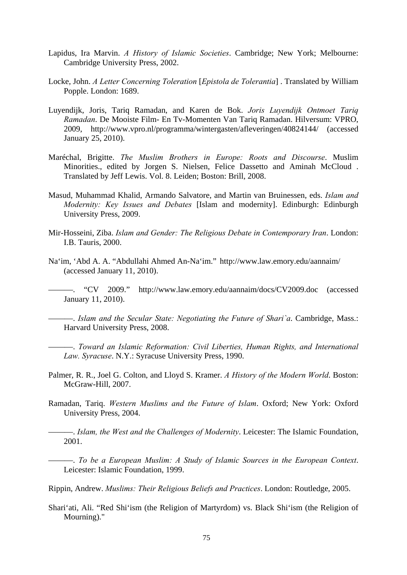- Lapidus, Ira Marvin. *A History of Islamic Societies*. Cambridge; New York; Melbourne: Cambridge University Press, 2002.
- Locke, John. *A Letter Concerning Toleration* [*Epistola de Tolerantia*] . Translated by William Popple. London: 1689.
- Luyendijk, Joris, Tariq Ramadan, and Karen de Bok. *Joris Luyendijk Ontmoet Tariq Ramadan*. De Mooiste Film- En Tv-Momenten Van Tariq Ramadan. Hilversum: VPRO, 2009, http://www.vpro.nl/programma/wintergasten/afleveringen/40824144/ (accessed January 25, 2010).
- Maréchal, Brigitte. *The Muslim Brothers in Europe: Roots and Discourse*. Muslim Minorities., edited by Jorgen S. Nielsen, Felice Dassetto and Aminah McCloud . Translated by Jeff Lewis. Vol. 8. Leiden; Boston: Brill, 2008.
- Masud, Muhammad Khalid, Armando Salvatore, and Martin van Bruinessen, eds. *Islam and Modernity: Key Issues and Debates* [Islam and modernity]. Edinburgh: Edinburgh University Press, 2009.
- Mir-Hosseini, Ziba. *Islam and Gender: The Religious Debate in Contemporary Iran*. London: I.B. Tauris, 2000.
- Na'im, 'Abd A. A. "Abdullahi Ahmed An-Na'im." http://www.law.emory.edu/aannaim/ (accessed January 11, 2010).

"CV 2009." http://www.law.emory.edu/aannaim/docs/CV2009.doc (accessed January 11, 2010).

———. *Islam and the Secular State: Negotiating the Future of Shari`a*. Cambridge, Mass.: Harvard University Press, 2008.

———. *Toward an Islamic Reformation: Civil Liberties, Human Rights, and International Law. Syracuse*. N.Y.: Syracuse University Press, 1990.

- Palmer, R. R., Joel G. Colton, and Lloyd S. Kramer. *A History of the Modern World*. Boston: McGraw-Hill, 2007.
- Ramadan, Tariq. *Western Muslims and the Future of Islam*. Oxford; New York: Oxford University Press, 2004.

———. *Islam, the West and the Challenges of Modernity*. Leicester: The Islamic Foundation, 2001.

———. *To be a European Muslim: A Study of Islamic Sources in the European Context*. Leicester: Islamic Foundation, 1999.

Rippin, Andrew. *Muslims: Their Religious Beliefs and Practices*. London: Routledge, 2005.

Shari'ati, Ali. "Red Shi'ism (the Religion of Martyrdom) vs. Black Shi'ism (the Religion of Mourning)."